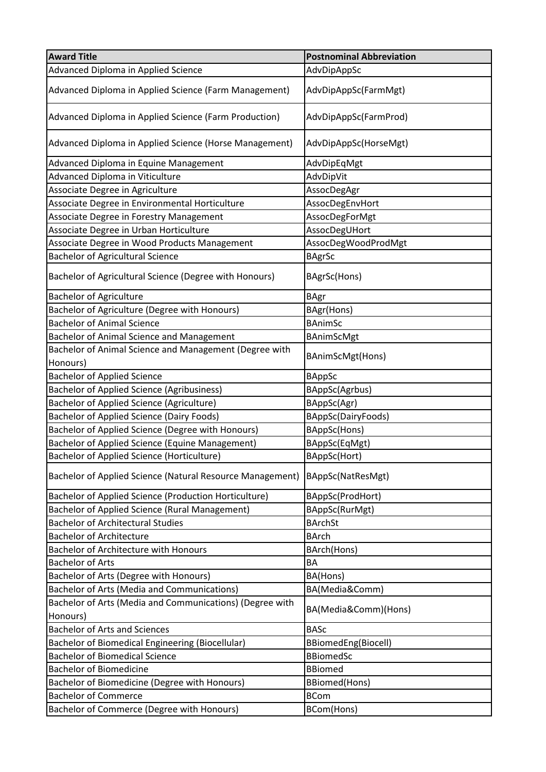| <b>Award Title</b>                                                           | <b>Postnominal Abbreviation</b>         |
|------------------------------------------------------------------------------|-----------------------------------------|
| Advanced Diploma in Applied Science                                          | AdvDipAppSc                             |
| Advanced Diploma in Applied Science (Farm Management)                        | AdvDipAppSc(FarmMgt)                    |
| Advanced Diploma in Applied Science (Farm Production)                        | AdvDipAppSc(FarmProd)                   |
| Advanced Diploma in Applied Science (Horse Management)                       | AdvDipAppSc(HorseMgt)                   |
| Advanced Diploma in Equine Management                                        | AdvDipEqMgt                             |
| Advanced Diploma in Viticulture                                              | AdvDipVit                               |
| Associate Degree in Agriculture                                              | AssocDegAgr                             |
| Associate Degree in Environmental Horticulture                               | AssocDegEnvHort                         |
| Associate Degree in Forestry Management                                      | AssocDegForMgt                          |
| Associate Degree in Urban Horticulture                                       | AssocDegUHort                           |
| Associate Degree in Wood Products Management                                 | AssocDegWoodProdMgt                     |
| <b>Bachelor of Agricultural Science</b>                                      | <b>BAgrSc</b>                           |
| Bachelor of Agricultural Science (Degree with Honours)                       | BAgrSc(Hons)                            |
| <b>Bachelor of Agriculture</b>                                               | <b>BAgr</b>                             |
| Bachelor of Agriculture (Degree with Honours)                                | BAgr(Hons)                              |
| <b>Bachelor of Animal Science</b>                                            | <b>BAnimSc</b>                          |
| Bachelor of Animal Science and Management                                    | <b>BAnimScMgt</b>                       |
| Bachelor of Animal Science and Management (Degree with<br>Honours)           | BAnimScMgt(Hons)                        |
| <b>Bachelor of Applied Science</b>                                           | <b>BAppSc</b>                           |
| <b>Bachelor of Applied Science (Agribusiness)</b>                            | BAppSc(Agrbus)                          |
| <b>Bachelor of Applied Science (Agriculture)</b>                             | BAppSc(Agr)                             |
| <b>Bachelor of Applied Science (Dairy Foods)</b>                             | BAppSc(DairyFoods)                      |
| Bachelor of Applied Science (Degree with Honours)                            | BAppSc(Hons)                            |
| Bachelor of Applied Science (Equine Management)                              | BAppSc(EqMgt)                           |
| <b>Bachelor of Applied Science (Horticulture)</b>                            | BAppSc(Hort)                            |
| Bachelor of Applied Science (Natural Resource Management)                    | BAppSc(NatResMgt)                       |
| Bachelor of Applied Science (Production Horticulture)                        | BAppSc(ProdHort)                        |
| Bachelor of Applied Science (Rural Management)                               | BAppSc(RurMgt)                          |
| <b>Bachelor of Architectural Studies</b>                                     | <b>BArchSt</b>                          |
| <b>Bachelor of Architecture</b>                                              | <b>BArch</b>                            |
| <b>Bachelor of Architecture with Honours</b>                                 | BArch(Hons)                             |
| <b>Bachelor of Arts</b>                                                      | <b>BA</b>                               |
| Bachelor of Arts (Degree with Honours)                                       | BA(Hons)                                |
| <b>Bachelor of Arts (Media and Communications)</b>                           | BA(Media&Comm)                          |
| Bachelor of Arts (Media and Communications) (Degree with<br>Honours)         | BA(Media&Comm)(Hons)                    |
| <b>Bachelor of Arts and Sciences</b>                                         | <b>BASc</b>                             |
| Bachelor of Biomedical Engineering (Biocellular)                             |                                         |
| <b>Bachelor of Biomedical Science</b>                                        | BBiomedEng(Biocell)<br><b>BBiomedSc</b> |
| <b>Bachelor of Biomedicine</b>                                               | <b>BBiomed</b>                          |
|                                                                              |                                         |
| Bachelor of Biomedicine (Degree with Honours)<br><b>Bachelor of Commerce</b> | <b>BBiomed(Hons)</b><br><b>BCom</b>     |
|                                                                              |                                         |
| Bachelor of Commerce (Degree with Honours)                                   | BCom(Hons)                              |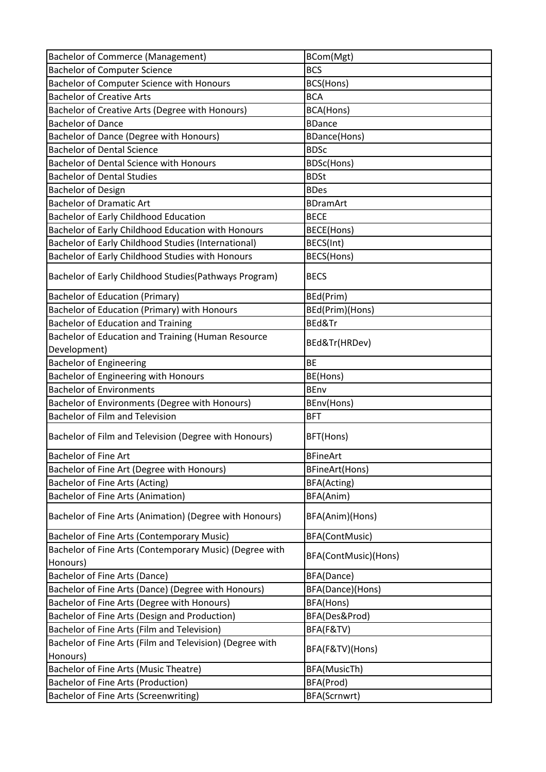| <b>Bachelor of Commerce (Management)</b>                 | BCom(Mgt)            |
|----------------------------------------------------------|----------------------|
| <b>Bachelor of Computer Science</b>                      | <b>BCS</b>           |
| Bachelor of Computer Science with Honours                | BCS(Hons)            |
| <b>Bachelor of Creative Arts</b>                         | <b>BCA</b>           |
| Bachelor of Creative Arts (Degree with Honours)          | BCA(Hons)            |
| <b>Bachelor of Dance</b>                                 | <b>BDance</b>        |
| Bachelor of Dance (Degree with Honours)                  | <b>BDance(Hons)</b>  |
| <b>Bachelor of Dental Science</b>                        | <b>BDSc</b>          |
| Bachelor of Dental Science with Honours                  | BDSc(Hons)           |
| <b>Bachelor of Dental Studies</b>                        | <b>BDSt</b>          |
| <b>Bachelor of Design</b>                                | <b>BDes</b>          |
| <b>Bachelor of Dramatic Art</b>                          | <b>BDramArt</b>      |
| <b>Bachelor of Early Childhood Education</b>             | <b>BECE</b>          |
| Bachelor of Early Childhood Education with Honours       | <b>BECE(Hons)</b>    |
| Bachelor of Early Childhood Studies (International)      | BECS(Int)            |
| Bachelor of Early Childhood Studies with Honours         | BECS(Hons)           |
| Bachelor of Early Childhood Studies (Pathways Program)   | <b>BECS</b>          |
| <b>Bachelor of Education (Primary)</b>                   | BEd(Prim)            |
| Bachelor of Education (Primary) with Honours             | BEd(Prim)(Hons)      |
| <b>Bachelor of Education and Training</b>                | BEd&Tr               |
| Bachelor of Education and Training (Human Resource       |                      |
| Development)                                             | BEd&Tr(HRDev)        |
| <b>Bachelor of Engineering</b>                           | <b>BE</b>            |
| Bachelor of Engineering with Honours                     | BE(Hons)             |
| <b>Bachelor of Environments</b>                          | <b>BEnv</b>          |
| Bachelor of Environments (Degree with Honours)           | BEnv(Hons)           |
| <b>Bachelor of Film and Television</b>                   | <b>BFT</b>           |
| Bachelor of Film and Television (Degree with Honours)    | BFT(Hons)            |
| Bachelor of Fine Art                                     | <b>BFineArt</b>      |
| Bachelor of Fine Art (Degree with Honours)               | BFineArt(Hons)       |
| Bachelor of Fine Arts (Acting)                           | BFA(Acting)          |
| <b>Bachelor of Fine Arts (Animation)</b>                 | BFA(Anim)            |
| Bachelor of Fine Arts (Animation) (Degree with Honours)  | BFA(Anim)(Hons)      |
| Bachelor of Fine Arts (Contemporary Music)               | BFA(ContMusic)       |
| Bachelor of Fine Arts (Contemporary Music) (Degree with  |                      |
| Honours)                                                 | BFA(ContMusic)(Hons) |
| Bachelor of Fine Arts (Dance)                            | BFA(Dance)           |
| Bachelor of Fine Arts (Dance) (Degree with Honours)      | BFA(Dance)(Hons)     |
| Bachelor of Fine Arts (Degree with Honours)              | BFA(Hons)            |
| Bachelor of Fine Arts (Design and Production)            | BFA(Des&Prod)        |
| Bachelor of Fine Arts (Film and Television)              | BFA(F&TV)            |
| Bachelor of Fine Arts (Film and Television) (Degree with |                      |
| Honours)                                                 | BFA(F&TV)(Hons)      |
| Bachelor of Fine Arts (Music Theatre)                    | BFA(MusicTh)         |
| Bachelor of Fine Arts (Production)                       | BFA(Prod)            |
| Bachelor of Fine Arts (Screenwriting)                    | BFA(Scrnwrt)         |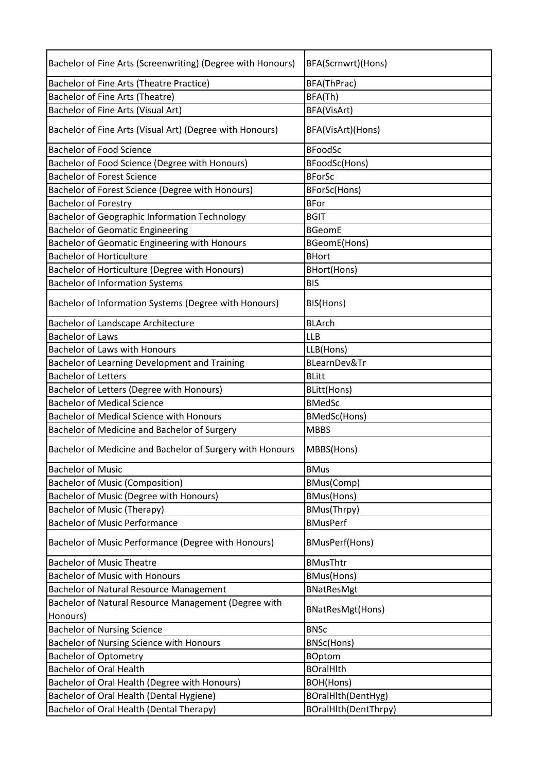| Bachelor of Fine Arts (Screenwriting) (Degree with Honours) | BFA(Scrnwrt)(Hons)    |
|-------------------------------------------------------------|-----------------------|
| Bachelor of Fine Arts (Theatre Practice)                    | BFA(ThPrac)           |
| Bachelor of Fine Arts (Theatre)                             | BFA(Th)               |
| Bachelor of Fine Arts (Visual Art)                          | BFA(VisArt)           |
| Bachelor of Fine Arts (Visual Art) (Degree with Honours)    | BFA(VisArt)(Hons)     |
| <b>Bachelor of Food Science</b>                             | <b>BFoodSc</b>        |
| Bachelor of Food Science (Degree with Honours)              | BFoodSc(Hons)         |
| <b>Bachelor of Forest Science</b>                           | <b>BForSc</b>         |
| Bachelor of Forest Science (Degree with Honours)            | BForSc(Hons)          |
| <b>Bachelor of Forestry</b>                                 | <b>BFor</b>           |
| Bachelor of Geographic Information Technology               | <b>BGIT</b>           |
| <b>Bachelor of Geomatic Engineering</b>                     | <b>BGeomE</b>         |
| Bachelor of Geomatic Engineering with Honours               | BGeomE(Hons)          |
| <b>Bachelor of Horticulture</b>                             | <b>BHort</b>          |
| Bachelor of Horticulture (Degree with Honours)              | BHort(Hons)           |
| <b>Bachelor of Information Systems</b>                      | <b>BIS</b>            |
| Bachelor of Information Systems (Degree with Honours)       | BIS(Hons)             |
| <b>Bachelor of Landscape Architecture</b>                   | <b>BLArch</b>         |
| <b>Bachelor of Laws</b>                                     | <b>LLB</b>            |
| <b>Bachelor of Laws with Honours</b>                        | LLB(Hons)             |
| Bachelor of Learning Development and Training               | BLearnDev&Tr          |
| <b>Bachelor of Letters</b>                                  | <b>BLitt</b>          |
| Bachelor of Letters (Degree with Honours)                   | <b>BLitt(Hons)</b>    |
| <b>Bachelor of Medical Science</b>                          | <b>BMedSc</b>         |
| <b>Bachelor of Medical Science with Honours</b>             | BMedSc(Hons)          |
| Bachelor of Medicine and Bachelor of Surgery                | <b>MBBS</b>           |
| Bachelor of Medicine and Bachelor of Surgery with Honours   | MBBS(Hons)            |
| <b>Bachelor of Music</b>                                    | <b>BMus</b>           |
| <b>Bachelor of Music (Composition)</b>                      | BMus(Comp)            |
| Bachelor of Music (Degree with Honours)                     | BMus(Hons)            |
| <b>Bachelor of Music (Therapy)</b>                          | BMus(Thrpy)           |
| <b>Bachelor of Music Performance</b>                        | <b>BMusPerf</b>       |
| Bachelor of Music Performance (Degree with Honours)         | <b>BMusPerf(Hons)</b> |
| <b>Bachelor of Music Theatre</b>                            | <b>BMusThtr</b>       |
| <b>Bachelor of Music with Honours</b>                       | <b>BMus(Hons)</b>     |
| <b>Bachelor of Natural Resource Management</b>              | <b>BNatResMgt</b>     |
| Bachelor of Natural Resource Management (Degree with        | BNatResMgt(Hons)      |
| Honours)                                                    |                       |
| <b>Bachelor of Nursing Science</b>                          | <b>BNSc</b>           |
| Bachelor of Nursing Science with Honours                    | BNSc(Hons)            |
| <b>Bachelor of Optometry</b>                                | <b>BOptom</b>         |
| <b>Bachelor of Oral Health</b>                              | <b>BOralHlth</b>      |
| Bachelor of Oral Health (Degree with Honours)               | BOH(Hons)             |
| Bachelor of Oral Health (Dental Hygiene)                    | BOralHlth(DentHyg)    |
| Bachelor of Oral Health (Dental Therapy)                    | BOralHlth(DentThrpy)  |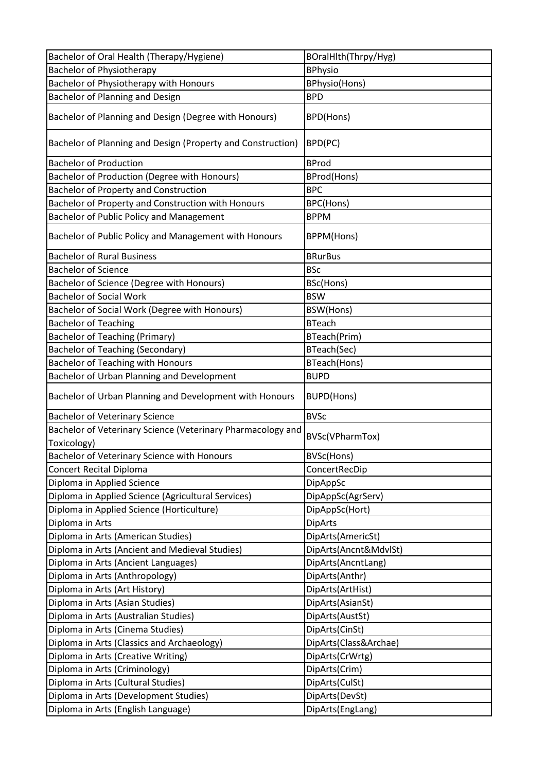| Bachelor of Oral Health (Therapy/Hygiene)                   | BOralHlth(Thrpy/Hyg)  |
|-------------------------------------------------------------|-----------------------|
| <b>Bachelor of Physiotherapy</b>                            | <b>BPhysio</b>        |
| Bachelor of Physiotherapy with Honours                      | <b>BPhysio(Hons)</b>  |
| Bachelor of Planning and Design                             | <b>BPD</b>            |
| Bachelor of Planning and Design (Degree with Honours)       | <b>BPD(Hons)</b>      |
| Bachelor of Planning and Design (Property and Construction) | BPD(PC)               |
| <b>Bachelor of Production</b>                               | <b>BProd</b>          |
| Bachelor of Production (Degree with Honours)                | BProd(Hons)           |
| <b>Bachelor of Property and Construction</b>                | <b>BPC</b>            |
| Bachelor of Property and Construction with Honours          | BPC(Hons)             |
| Bachelor of Public Policy and Management                    | <b>BPPM</b>           |
| Bachelor of Public Policy and Management with Honours       | BPPM(Hons)            |
| <b>Bachelor of Rural Business</b>                           | <b>BRurBus</b>        |
| <b>Bachelor of Science</b>                                  | <b>BSc</b>            |
| Bachelor of Science (Degree with Honours)                   | BSc(Hons)             |
| <b>Bachelor of Social Work</b>                              | <b>BSW</b>            |
| Bachelor of Social Work (Degree with Honours)               | BSW(Hons)             |
| <b>Bachelor of Teaching</b>                                 | <b>BTeach</b>         |
| <b>Bachelor of Teaching (Primary)</b>                       | BTeach(Prim)          |
| <b>Bachelor of Teaching (Secondary)</b>                     | BTeach(Sec)           |
| Bachelor of Teaching with Honours                           | BTeach(Hons)          |
| Bachelor of Urban Planning and Development                  | <b>BUPD</b>           |
| Bachelor of Urban Planning and Development with Honours     | <b>BUPD(Hons)</b>     |
| <b>Bachelor of Veterinary Science</b>                       | <b>BVSc</b>           |
| Bachelor of Veterinary Science (Veterinary Pharmacology and |                       |
| Toxicology)                                                 | BVSc(VPharmTox)       |
| Bachelor of Veterinary Science with Honours                 | BVSc(Hons)            |
| <b>Concert Recital Diploma</b>                              | ConcertRecDip         |
| Diploma in Applied Science                                  | DipAppSc              |
| Diploma in Applied Science (Agricultural Services)          | DipAppSc(AgrServ)     |
| Diploma in Applied Science (Horticulture)                   | DipAppSc(Hort)        |
| Diploma in Arts                                             | <b>DipArts</b>        |
| Diploma in Arts (American Studies)                          | DipArts(AmericSt)     |
| Diploma in Arts (Ancient and Medieval Studies)              | DipArts(Ancnt&MdvlSt) |
| Diploma in Arts (Ancient Languages)                         | DipArts(AncntLang)    |
| Diploma in Arts (Anthropology)                              | DipArts(Anthr)        |
| Diploma in Arts (Art History)                               | DipArts(ArtHist)      |
| Diploma in Arts (Asian Studies)                             | DipArts(AsianSt)      |
| Diploma in Arts (Australian Studies)                        | DipArts(AustSt)       |
| Diploma in Arts (Cinema Studies)                            | DipArts(CinSt)        |
| Diploma in Arts (Classics and Archaeology)                  | DipArts(Class&Archae) |
| Diploma in Arts (Creative Writing)                          | DipArts(CrWrtg)       |
| Diploma in Arts (Criminology)                               | DipArts(Crim)         |
| Diploma in Arts (Cultural Studies)                          | DipArts(CulSt)        |
| Diploma in Arts (Development Studies)                       | DipArts(DevSt)        |
| Diploma in Arts (English Language)                          | DipArts(EngLang)      |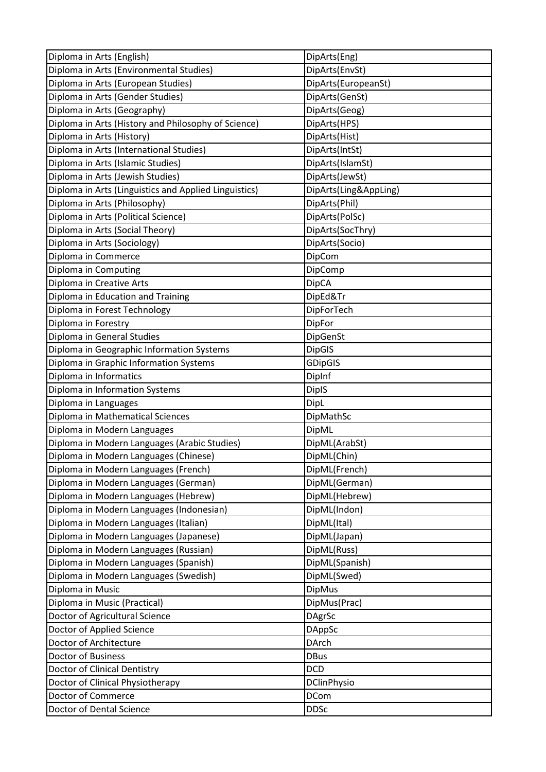| Diploma in Arts (English)                             | DipArts(Eng)                  |
|-------------------------------------------------------|-------------------------------|
| Diploma in Arts (Environmental Studies)               | DipArts(EnvSt)                |
| Diploma in Arts (European Studies)                    | DipArts(EuropeanSt)           |
| Diploma in Arts (Gender Studies)                      | DipArts(GenSt)                |
| Diploma in Arts (Geography)                           | DipArts(Geog)                 |
| Diploma in Arts (History and Philosophy of Science)   | DipArts(HPS)                  |
| Diploma in Arts (History)                             | DipArts(Hist)                 |
| Diploma in Arts (International Studies)               | DipArts(IntSt)                |
| Diploma in Arts (Islamic Studies)                     | DipArts(IslamSt)              |
| Diploma in Arts (Jewish Studies)                      | DipArts(JewSt)                |
| Diploma in Arts (Linguistics and Applied Linguistics) | DipArts(Ling&AppLing)         |
| Diploma in Arts (Philosophy)                          | DipArts(Phil)                 |
| Diploma in Arts (Political Science)                   | DipArts(PolSc)                |
| Diploma in Arts (Social Theory)                       | DipArts(SocThry)              |
| Diploma in Arts (Sociology)                           | DipArts(Socio)                |
| Diploma in Commerce                                   | DipCom                        |
| Diploma in Computing                                  | DipComp                       |
| Diploma in Creative Arts                              | <b>DipCA</b>                  |
| Diploma in Education and Training                     | DipEd&Tr                      |
| Diploma in Forest Technology                          | DipForTech                    |
| Diploma in Forestry                                   | DipFor                        |
| Diploma in General Studies                            | DipGenSt                      |
| Diploma in Geographic Information Systems             | <b>DipGIS</b>                 |
| Diploma in Graphic Information Systems                | <b>GDipGIS</b>                |
| Diploma in Informatics                                | DipInf                        |
| Diploma in Information Systems                        | <b>DiplS</b>                  |
| Diploma in Languages                                  | <b>DipL</b>                   |
| Diploma in Mathematical Sciences                      | DipMathSc                     |
| Diploma in Modern Languages                           | DipML                         |
| Diploma in Modern Languages (Arabic Studies)          | DipML(ArabSt)                 |
| Diploma in Modern Languages (Chinese)                 | DipML(Chin)                   |
| Diploma in Modern Languages (French)                  | DipML(French)                 |
| Diploma in Modern Languages (German)                  | DipML(German)                 |
| Diploma in Modern Languages (Hebrew)                  | DipML(Hebrew)                 |
| Diploma in Modern Languages (Indonesian)              | DipML(Indon)                  |
| Diploma in Modern Languages (Italian)                 | DipML(Ital)                   |
| Diploma in Modern Languages (Japanese)                | DipML(Japan)                  |
| Diploma in Modern Languages (Russian)                 | DipML(Russ)                   |
| Diploma in Modern Languages (Spanish)                 | DipML(Spanish)                |
| Diploma in Modern Languages (Swedish)                 | DipML(Swed)                   |
| Diploma in Music                                      | <b>DipMus</b>                 |
| Diploma in Music (Practical)                          | DipMus(Prac)                  |
| Doctor of Agricultural Science                        | <b>DAgrSc</b>                 |
|                                                       |                               |
| Doctor of Applied Science<br>Doctor of Architecture   | <b>DAppSc</b><br><b>DArch</b> |
|                                                       |                               |
| <b>Doctor of Business</b>                             | <b>DBus</b>                   |
| Doctor of Clinical Dentistry                          | <b>DCD</b>                    |
| Doctor of Clinical Physiotherapy                      | <b>DClinPhysio</b>            |
| Doctor of Commerce                                    | <b>DCom</b>                   |
| Doctor of Dental Science                              | <b>DDSc</b>                   |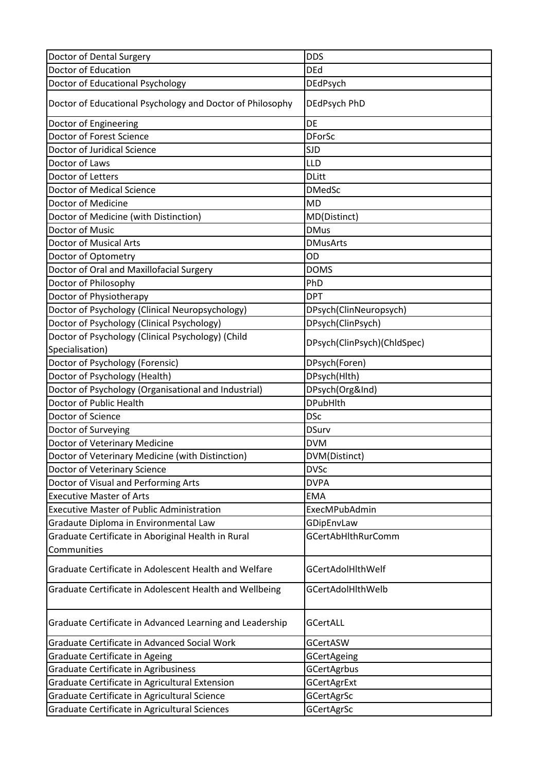| Doctor of Dental Surgery                                  | <b>DDS</b>                  |
|-----------------------------------------------------------|-----------------------------|
| Doctor of Education                                       | <b>DEd</b>                  |
| Doctor of Educational Psychology                          | DEdPsych                    |
| Doctor of Educational Psychology and Doctor of Philosophy | DEdPsych PhD                |
| Doctor of Engineering                                     | DE                          |
| Doctor of Forest Science                                  | <b>DForSc</b>               |
| Doctor of Juridical Science                               | <b>SJD</b>                  |
| Doctor of Laws                                            | LLD                         |
| Doctor of Letters                                         | <b>DLitt</b>                |
| <b>Doctor of Medical Science</b>                          | <b>DMedSc</b>               |
| Doctor of Medicine                                        | <b>MD</b>                   |
| Doctor of Medicine (with Distinction)                     | MD(Distinct)                |
| Doctor of Music                                           | <b>DMus</b>                 |
| <b>Doctor of Musical Arts</b>                             | <b>DMusArts</b>             |
| Doctor of Optometry                                       | OD                          |
| Doctor of Oral and Maxillofacial Surgery                  | <b>DOMS</b>                 |
| Doctor of Philosophy                                      | PhD                         |
| Doctor of Physiotherapy                                   | <b>DPT</b>                  |
| Doctor of Psychology (Clinical Neuropsychology)           | DPsych(ClinNeuropsych)      |
| Doctor of Psychology (Clinical Psychology)                | DPsych(ClinPsych)           |
| Doctor of Psychology (Clinical Psychology) (Child         | DPsych(ClinPsych)(ChldSpec) |
| Specialisation)                                           |                             |
| Doctor of Psychology (Forensic)                           | DPsych(Foren)               |
| Doctor of Psychology (Health)                             | DPsych(Hlth)                |
| Doctor of Psychology (Organisational and Industrial)      | DPsych(Org&Ind)             |
| Doctor of Public Health                                   | <b>DPubHlth</b>             |
| Doctor of Science                                         | <b>DSc</b>                  |
| Doctor of Surveying                                       | <b>DSurv</b>                |
| Doctor of Veterinary Medicine                             | <b>DVM</b>                  |
| Doctor of Veterinary Medicine (with Distinction)          | DVM(Distinct)               |
| Doctor of Veterinary Science                              | <b>DVSc</b>                 |
| Doctor of Visual and Performing Arts                      | <b>DVPA</b>                 |
| <b>Executive Master of Arts</b>                           | <b>EMA</b>                  |
| <b>Executive Master of Public Administration</b>          | ExecMPubAdmin               |
| Gradaute Diploma in Environmental Law                     | GDipEnvLaw                  |
| Graduate Certificate in Aboriginal Health in Rural        | <b>GCertAbHlthRurComm</b>   |
| Communities                                               |                             |
| Graduate Certificate in Adolescent Health and Welfare     | <b>GCertAdolHithWelf</b>    |
| Graduate Certificate in Adolescent Health and Wellbeing   | GCertAdolHlthWelb           |
| Graduate Certificate in Advanced Learning and Leadership  | <b>GCertALL</b>             |
| Graduate Certificate in Advanced Social Work              | <b>GCertASW</b>             |
| Graduate Certificate in Ageing                            | GCertAgeing                 |
| Graduate Certificate in Agribusiness                      | <b>GCertAgrbus</b>          |
| Graduate Certificate in Agricultural Extension            | <b>GCertAgrExt</b>          |
| Graduate Certificate in Agricultural Science              | GCertAgrSc                  |
| Graduate Certificate in Agricultural Sciences             | GCertAgrSc                  |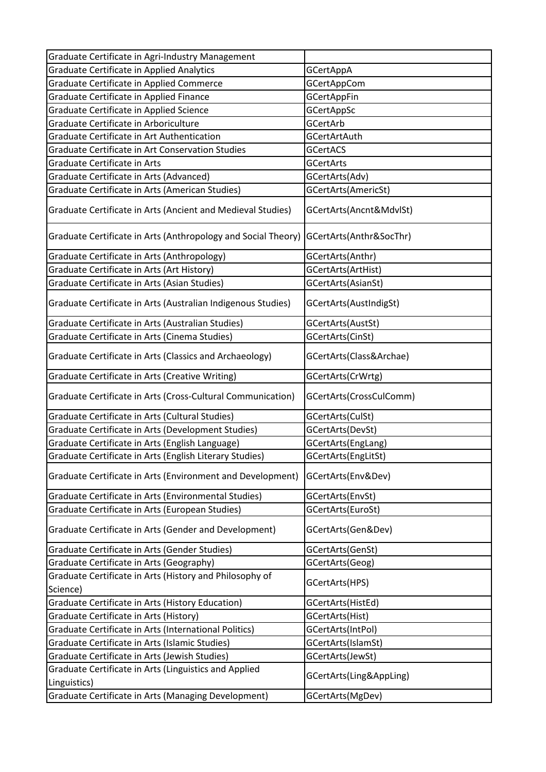| Graduate Certificate in Agri-Industry Management              |                         |
|---------------------------------------------------------------|-------------------------|
| Graduate Certificate in Applied Analytics                     | <b>GCertAppA</b>        |
| Graduate Certificate in Applied Commerce                      | <b>GCertAppCom</b>      |
| Graduate Certificate in Applied Finance                       | <b>GCertAppFin</b>      |
| Graduate Certificate in Applied Science                       | <b>GCertAppSc</b>       |
| Graduate Certificate in Arboriculture                         | GCertArb                |
| Graduate Certificate in Art Authentication                    | GCertArtAuth            |
| Graduate Certificate in Art Conservation Studies              | <b>GCertACS</b>         |
| Graduate Certificate in Arts                                  | <b>GCertArts</b>        |
| Graduate Certificate in Arts (Advanced)                       | GCertArts(Adv)          |
| Graduate Certificate in Arts (American Studies)               | GCertArts(AmericSt)     |
| Graduate Certificate in Arts (Ancient and Medieval Studies)   | GCertArts(Ancnt&MdvlSt) |
| Graduate Certificate in Arts (Anthropology and Social Theory) | GCertArts(Anthr&SocThr) |
| Graduate Certificate in Arts (Anthropology)                   | GCertArts(Anthr)        |
| Graduate Certificate in Arts (Art History)                    | GCertArts(ArtHist)      |
| Graduate Certificate in Arts (Asian Studies)                  | GCertArts(AsianSt)      |
| Graduate Certificate in Arts (Australian Indigenous Studies)  | GCertArts(AustIndigSt)  |
| Graduate Certificate in Arts (Australian Studies)             | GCertArts(AustSt)       |
| Graduate Certificate in Arts (Cinema Studies)                 | GCertArts(CinSt)        |
| Graduate Certificate in Arts (Classics and Archaeology)       | GCertArts(Class&Archae) |
| Graduate Certificate in Arts (Creative Writing)               | GCertArts(CrWrtg)       |
| Graduate Certificate in Arts (Cross-Cultural Communication)   | GCertArts(CrossCulComm) |
| Graduate Certificate in Arts (Cultural Studies)               | GCertArts(CulSt)        |
| Graduate Certificate in Arts (Development Studies)            | GCertArts(DevSt)        |
| Graduate Certificate in Arts (English Language)               | GCertArts(EngLang)      |
| Graduate Certificate in Arts (English Literary Studies)       | GCertArts(EngLitSt)     |
| Graduate Certificate in Arts (Environment and Development)    | GCertArts(Env&Dev)      |
| Graduate Certificate in Arts (Environmental Studies)          | GCertArts(EnvSt)        |
| Graduate Certificate in Arts (European Studies)               | GCertArts(EuroSt)       |
| Graduate Certificate in Arts (Gender and Development)         | GCertArts(Gen&Dev)      |
| Graduate Certificate in Arts (Gender Studies)                 | GCertArts(GenSt)        |
| Graduate Certificate in Arts (Geography)                      | GCertArts(Geog)         |
| Graduate Certificate in Arts (History and Philosophy of       |                         |
| Science)                                                      | GCertArts(HPS)          |
| Graduate Certificate in Arts (History Education)              | GCertArts(HistEd)       |
| Graduate Certificate in Arts (History)                        | GCertArts(Hist)         |
| Graduate Certificate in Arts (International Politics)         | GCertArts(IntPol)       |
| Graduate Certificate in Arts (Islamic Studies)                | GCertArts(IslamSt)      |
| Graduate Certificate in Arts (Jewish Studies)                 | GCertArts(JewSt)        |
| Graduate Certificate in Arts (Linguistics and Applied         | GCertArts(Ling&AppLing) |
| Linguistics)                                                  |                         |
| Graduate Certificate in Arts (Managing Development)           | GCertArts(MgDev)        |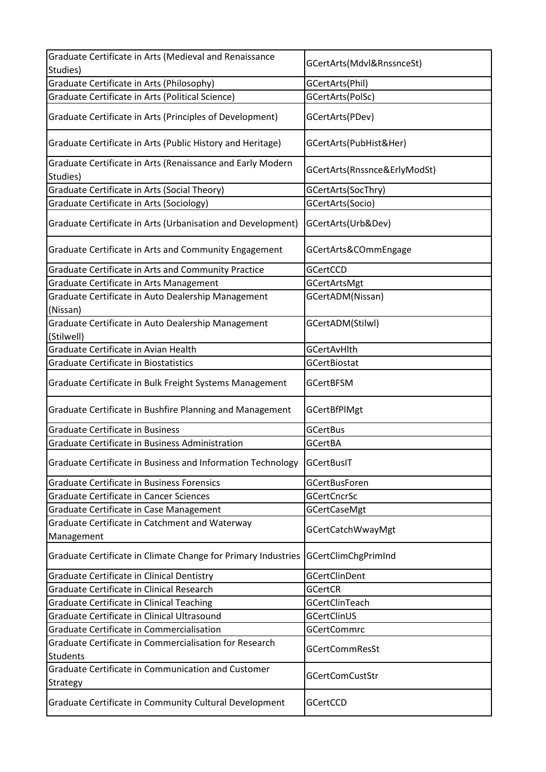| Graduate Certificate in Arts (Medieval and Renaissance                    |                              |
|---------------------------------------------------------------------------|------------------------------|
|                                                                           | GCertArts(Mdvl&RnssnceSt)    |
| Studies)                                                                  |                              |
| Graduate Certificate in Arts (Philosophy)                                 | GCertArts(Phil)              |
| Graduate Certificate in Arts (Political Science)                          | GCertArts(PolSc)             |
| Graduate Certificate in Arts (Principles of Development)                  | GCertArts(PDev)              |
| Graduate Certificate in Arts (Public History and Heritage)                | GCertArts(PubHist&Her)       |
| Graduate Certificate in Arts (Renaissance and Early Modern<br>Studies)    | GCertArts(Rnssnce&ErlyModSt) |
| Graduate Certificate in Arts (Social Theory)                              | GCertArts(SocThry)           |
| Graduate Certificate in Arts (Sociology)                                  | GCertArts(Socio)             |
| Graduate Certificate in Arts (Urbanisation and Development)               | GCertArts(Urb&Dev)           |
| Graduate Certificate in Arts and Community Engagement                     | GCertArts&COmmEngage         |
| Graduate Certificate in Arts and Community Practice                       | GCertCCD                     |
| Graduate Certificate in Arts Management                                   | GCertArtsMgt                 |
| Graduate Certificate in Auto Dealership Management<br>(Nissan)            | GCertADM(Nissan)             |
| Graduate Certificate in Auto Dealership Management<br>(Stilwell)          | GCertADM(Stilwl)             |
| Graduate Certificate in Avian Health                                      | <b>GCertAvHlth</b>           |
| <b>Graduate Certificate in Biostatistics</b>                              | <b>GCertBiostat</b>          |
| Graduate Certificate in Bulk Freight Systems Management                   | <b>GCertBFSM</b>             |
| Graduate Certificate in Bushfire Planning and Management                  | <b>GCertBfPlMgt</b>          |
| <b>Graduate Certificate in Business</b>                                   | <b>GCertBus</b>              |
| Graduate Certificate in Business Administration                           | <b>GCertBA</b>               |
| Graduate Certificate in Business and Information Technology               | GCertBusIT                   |
| <b>Graduate Certificate in Business Forensics</b>                         | <b>GCertBusForen</b>         |
| <b>Graduate Certificate in Cancer Sciences</b>                            | <b>GCertCncrSc</b>           |
| Graduate Certificate in Case Management                                   | <b>GCertCaseMgt</b>          |
| Graduate Certificate in Catchment and Waterway<br>Management              | GCertCatchWwayMgt            |
| Graduate Certificate in Climate Change for Primary Industries             | GCertClimChgPrimInd          |
| Graduate Certificate in Clinical Dentistry                                | GCertClinDent                |
| Graduate Certificate in Clinical Research                                 | <b>GCertCR</b>               |
| Graduate Certificate in Clinical Teaching                                 | GCertClinTeach               |
| Graduate Certificate in Clinical Ultrasound                               | <b>GCertClinUS</b>           |
| Graduate Certificate in Commercialisation                                 | <b>GCertCommrc</b>           |
| Graduate Certificate in Commercialisation for Research<br><b>Students</b> | <b>GCertCommResSt</b>        |
| Graduate Certificate in Communication and Customer<br>Strategy            | <b>GCertComCustStr</b>       |
| Graduate Certificate in Community Cultural Development                    | GCertCCD                     |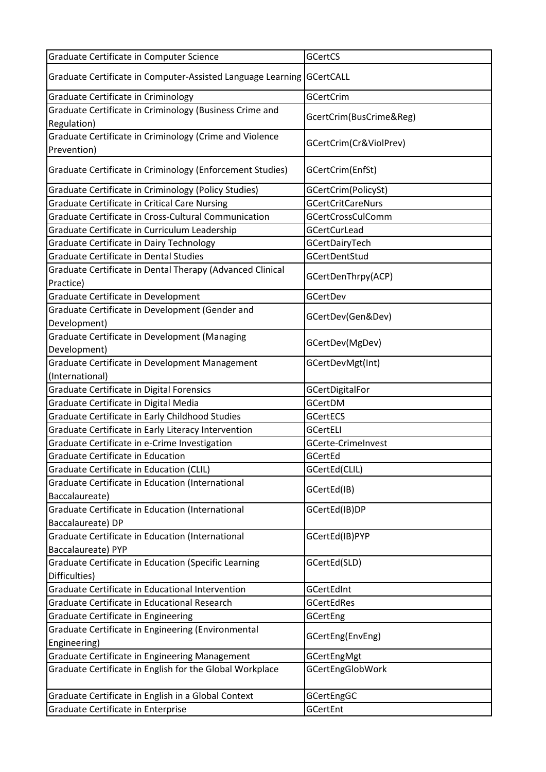| Graduate Certificate in Computer-Assisted Language Learning GCertCALL<br><b>GCertCrim</b><br>Graduate Certificate in Criminology<br>Graduate Certificate in Criminology (Business Crime and<br>GcertCrim(BusCrime&Reg)<br>Regulation)<br>Graduate Certificate in Criminology (Crime and Violence<br>GCertCrim(Cr&ViolPrev)<br>Prevention)<br>Graduate Certificate in Criminology (Enforcement Studies)<br>GCertCrim(EnfSt)<br>Graduate Certificate in Criminology (Policy Studies)<br>GCertCrim(PolicySt)<br><b>Graduate Certificate in Critical Care Nursing</b><br><b>GCertCritCareNurs</b><br>Graduate Certificate in Cross-Cultural Communication<br><b>GCertCrossCulComm</b><br>Graduate Certificate in Curriculum Leadership<br><b>GCertCurLead</b><br>Graduate Certificate in Dairy Technology<br>GCertDairyTech<br><b>Graduate Certificate in Dental Studies</b><br><b>GCertDentStud</b><br>Graduate Certificate in Dental Therapy (Advanced Clinical<br>GCertDenThrpy(ACP)<br>Graduate Certificate in Development<br><b>GCertDev</b><br>Graduate Certificate in Development (Gender and<br>GCertDev(Gen&Dev)<br>Development)<br>Graduate Certificate in Development (Managing<br>GCertDev(MgDev)<br>Development)<br>Graduate Certificate in Development Management<br>GCertDevMgt(Int)<br>(International)<br>Graduate Certificate in Digital Forensics<br><b>GCertDigitalFor</b><br>Graduate Certificate in Digital Media<br><b>GCertDM</b><br>Graduate Certificate in Early Childhood Studies<br><b>GCertECS</b><br>Graduate Certificate in Early Literacy Intervention<br><b>GCertELI</b><br>Graduate Certificate in e-Crime Investigation<br><b>GCerte-CrimeInvest</b><br>Graduate Certificate in Education<br>GCertEd<br>Graduate Certificate in Education (CLIL)<br>GCertEd(CLIL)<br>Graduate Certificate in Education (International<br>GCertEd(IB)<br>Baccalaureate)<br>Graduate Certificate in Education (International<br>GCertEd(IB)DP<br>Baccalaureate) DP<br>Graduate Certificate in Education (International<br>GCertEd(IB)PYP<br>Baccalaureate) PYP<br>Graduate Certificate in Education (Specific Learning<br>GCertEd(SLD)<br>Difficulties)<br>Graduate Certificate in Educational Intervention<br>GCertEdInt<br>Graduate Certificate in Educational Research<br><b>GCertEdRes</b><br>Graduate Certificate in Engineering<br>GCertEng<br>Graduate Certificate in Engineering (Environmental<br>GCertEng(EnvEng)<br>Engineering)<br>Graduate Certificate in Engineering Management<br><b>GCertEngMgt</b><br>Graduate Certificate in English for the Global Workplace<br><b>GCertEngGlobWork</b><br>Graduate Certificate in English in a Global Context<br>GCertEngGC<br>Graduate Certificate in Enterprise<br>GCertEnt | Graduate Certificate in Computer Science | GCertCS |
|-----------------------------------------------------------------------------------------------------------------------------------------------------------------------------------------------------------------------------------------------------------------------------------------------------------------------------------------------------------------------------------------------------------------------------------------------------------------------------------------------------------------------------------------------------------------------------------------------------------------------------------------------------------------------------------------------------------------------------------------------------------------------------------------------------------------------------------------------------------------------------------------------------------------------------------------------------------------------------------------------------------------------------------------------------------------------------------------------------------------------------------------------------------------------------------------------------------------------------------------------------------------------------------------------------------------------------------------------------------------------------------------------------------------------------------------------------------------------------------------------------------------------------------------------------------------------------------------------------------------------------------------------------------------------------------------------------------------------------------------------------------------------------------------------------------------------------------------------------------------------------------------------------------------------------------------------------------------------------------------------------------------------------------------------------------------------------------------------------------------------------------------------------------------------------------------------------------------------------------------------------------------------------------------------------------------------------------------------------------------------------------------------------------------------------------------------------------------------------------------------------------------------------------------------------------------------------------------------------------------------------------------------------------------------------------------------------------------------------------------------|------------------------------------------|---------|
|                                                                                                                                                                                                                                                                                                                                                                                                                                                                                                                                                                                                                                                                                                                                                                                                                                                                                                                                                                                                                                                                                                                                                                                                                                                                                                                                                                                                                                                                                                                                                                                                                                                                                                                                                                                                                                                                                                                                                                                                                                                                                                                                                                                                                                                                                                                                                                                                                                                                                                                                                                                                                                                                                                                                               |                                          |         |
|                                                                                                                                                                                                                                                                                                                                                                                                                                                                                                                                                                                                                                                                                                                                                                                                                                                                                                                                                                                                                                                                                                                                                                                                                                                                                                                                                                                                                                                                                                                                                                                                                                                                                                                                                                                                                                                                                                                                                                                                                                                                                                                                                                                                                                                                                                                                                                                                                                                                                                                                                                                                                                                                                                                                               |                                          |         |
|                                                                                                                                                                                                                                                                                                                                                                                                                                                                                                                                                                                                                                                                                                                                                                                                                                                                                                                                                                                                                                                                                                                                                                                                                                                                                                                                                                                                                                                                                                                                                                                                                                                                                                                                                                                                                                                                                                                                                                                                                                                                                                                                                                                                                                                                                                                                                                                                                                                                                                                                                                                                                                                                                                                                               |                                          |         |
|                                                                                                                                                                                                                                                                                                                                                                                                                                                                                                                                                                                                                                                                                                                                                                                                                                                                                                                                                                                                                                                                                                                                                                                                                                                                                                                                                                                                                                                                                                                                                                                                                                                                                                                                                                                                                                                                                                                                                                                                                                                                                                                                                                                                                                                                                                                                                                                                                                                                                                                                                                                                                                                                                                                                               |                                          |         |
|                                                                                                                                                                                                                                                                                                                                                                                                                                                                                                                                                                                                                                                                                                                                                                                                                                                                                                                                                                                                                                                                                                                                                                                                                                                                                                                                                                                                                                                                                                                                                                                                                                                                                                                                                                                                                                                                                                                                                                                                                                                                                                                                                                                                                                                                                                                                                                                                                                                                                                                                                                                                                                                                                                                                               |                                          |         |
|                                                                                                                                                                                                                                                                                                                                                                                                                                                                                                                                                                                                                                                                                                                                                                                                                                                                                                                                                                                                                                                                                                                                                                                                                                                                                                                                                                                                                                                                                                                                                                                                                                                                                                                                                                                                                                                                                                                                                                                                                                                                                                                                                                                                                                                                                                                                                                                                                                                                                                                                                                                                                                                                                                                                               |                                          |         |
|                                                                                                                                                                                                                                                                                                                                                                                                                                                                                                                                                                                                                                                                                                                                                                                                                                                                                                                                                                                                                                                                                                                                                                                                                                                                                                                                                                                                                                                                                                                                                                                                                                                                                                                                                                                                                                                                                                                                                                                                                                                                                                                                                                                                                                                                                                                                                                                                                                                                                                                                                                                                                                                                                                                                               |                                          |         |
|                                                                                                                                                                                                                                                                                                                                                                                                                                                                                                                                                                                                                                                                                                                                                                                                                                                                                                                                                                                                                                                                                                                                                                                                                                                                                                                                                                                                                                                                                                                                                                                                                                                                                                                                                                                                                                                                                                                                                                                                                                                                                                                                                                                                                                                                                                                                                                                                                                                                                                                                                                                                                                                                                                                                               |                                          |         |
|                                                                                                                                                                                                                                                                                                                                                                                                                                                                                                                                                                                                                                                                                                                                                                                                                                                                                                                                                                                                                                                                                                                                                                                                                                                                                                                                                                                                                                                                                                                                                                                                                                                                                                                                                                                                                                                                                                                                                                                                                                                                                                                                                                                                                                                                                                                                                                                                                                                                                                                                                                                                                                                                                                                                               |                                          |         |
|                                                                                                                                                                                                                                                                                                                                                                                                                                                                                                                                                                                                                                                                                                                                                                                                                                                                                                                                                                                                                                                                                                                                                                                                                                                                                                                                                                                                                                                                                                                                                                                                                                                                                                                                                                                                                                                                                                                                                                                                                                                                                                                                                                                                                                                                                                                                                                                                                                                                                                                                                                                                                                                                                                                                               |                                          |         |
|                                                                                                                                                                                                                                                                                                                                                                                                                                                                                                                                                                                                                                                                                                                                                                                                                                                                                                                                                                                                                                                                                                                                                                                                                                                                                                                                                                                                                                                                                                                                                                                                                                                                                                                                                                                                                                                                                                                                                                                                                                                                                                                                                                                                                                                                                                                                                                                                                                                                                                                                                                                                                                                                                                                                               |                                          |         |
|                                                                                                                                                                                                                                                                                                                                                                                                                                                                                                                                                                                                                                                                                                                                                                                                                                                                                                                                                                                                                                                                                                                                                                                                                                                                                                                                                                                                                                                                                                                                                                                                                                                                                                                                                                                                                                                                                                                                                                                                                                                                                                                                                                                                                                                                                                                                                                                                                                                                                                                                                                                                                                                                                                                                               |                                          |         |
|                                                                                                                                                                                                                                                                                                                                                                                                                                                                                                                                                                                                                                                                                                                                                                                                                                                                                                                                                                                                                                                                                                                                                                                                                                                                                                                                                                                                                                                                                                                                                                                                                                                                                                                                                                                                                                                                                                                                                                                                                                                                                                                                                                                                                                                                                                                                                                                                                                                                                                                                                                                                                                                                                                                                               | Practice)                                |         |
|                                                                                                                                                                                                                                                                                                                                                                                                                                                                                                                                                                                                                                                                                                                                                                                                                                                                                                                                                                                                                                                                                                                                                                                                                                                                                                                                                                                                                                                                                                                                                                                                                                                                                                                                                                                                                                                                                                                                                                                                                                                                                                                                                                                                                                                                                                                                                                                                                                                                                                                                                                                                                                                                                                                                               |                                          |         |
|                                                                                                                                                                                                                                                                                                                                                                                                                                                                                                                                                                                                                                                                                                                                                                                                                                                                                                                                                                                                                                                                                                                                                                                                                                                                                                                                                                                                                                                                                                                                                                                                                                                                                                                                                                                                                                                                                                                                                                                                                                                                                                                                                                                                                                                                                                                                                                                                                                                                                                                                                                                                                                                                                                                                               |                                          |         |
|                                                                                                                                                                                                                                                                                                                                                                                                                                                                                                                                                                                                                                                                                                                                                                                                                                                                                                                                                                                                                                                                                                                                                                                                                                                                                                                                                                                                                                                                                                                                                                                                                                                                                                                                                                                                                                                                                                                                                                                                                                                                                                                                                                                                                                                                                                                                                                                                                                                                                                                                                                                                                                                                                                                                               |                                          |         |
|                                                                                                                                                                                                                                                                                                                                                                                                                                                                                                                                                                                                                                                                                                                                                                                                                                                                                                                                                                                                                                                                                                                                                                                                                                                                                                                                                                                                                                                                                                                                                                                                                                                                                                                                                                                                                                                                                                                                                                                                                                                                                                                                                                                                                                                                                                                                                                                                                                                                                                                                                                                                                                                                                                                                               |                                          |         |
|                                                                                                                                                                                                                                                                                                                                                                                                                                                                                                                                                                                                                                                                                                                                                                                                                                                                                                                                                                                                                                                                                                                                                                                                                                                                                                                                                                                                                                                                                                                                                                                                                                                                                                                                                                                                                                                                                                                                                                                                                                                                                                                                                                                                                                                                                                                                                                                                                                                                                                                                                                                                                                                                                                                                               |                                          |         |
|                                                                                                                                                                                                                                                                                                                                                                                                                                                                                                                                                                                                                                                                                                                                                                                                                                                                                                                                                                                                                                                                                                                                                                                                                                                                                                                                                                                                                                                                                                                                                                                                                                                                                                                                                                                                                                                                                                                                                                                                                                                                                                                                                                                                                                                                                                                                                                                                                                                                                                                                                                                                                                                                                                                                               |                                          |         |
|                                                                                                                                                                                                                                                                                                                                                                                                                                                                                                                                                                                                                                                                                                                                                                                                                                                                                                                                                                                                                                                                                                                                                                                                                                                                                                                                                                                                                                                                                                                                                                                                                                                                                                                                                                                                                                                                                                                                                                                                                                                                                                                                                                                                                                                                                                                                                                                                                                                                                                                                                                                                                                                                                                                                               |                                          |         |
|                                                                                                                                                                                                                                                                                                                                                                                                                                                                                                                                                                                                                                                                                                                                                                                                                                                                                                                                                                                                                                                                                                                                                                                                                                                                                                                                                                                                                                                                                                                                                                                                                                                                                                                                                                                                                                                                                                                                                                                                                                                                                                                                                                                                                                                                                                                                                                                                                                                                                                                                                                                                                                                                                                                                               |                                          |         |
|                                                                                                                                                                                                                                                                                                                                                                                                                                                                                                                                                                                                                                                                                                                                                                                                                                                                                                                                                                                                                                                                                                                                                                                                                                                                                                                                                                                                                                                                                                                                                                                                                                                                                                                                                                                                                                                                                                                                                                                                                                                                                                                                                                                                                                                                                                                                                                                                                                                                                                                                                                                                                                                                                                                                               |                                          |         |
|                                                                                                                                                                                                                                                                                                                                                                                                                                                                                                                                                                                                                                                                                                                                                                                                                                                                                                                                                                                                                                                                                                                                                                                                                                                                                                                                                                                                                                                                                                                                                                                                                                                                                                                                                                                                                                                                                                                                                                                                                                                                                                                                                                                                                                                                                                                                                                                                                                                                                                                                                                                                                                                                                                                                               |                                          |         |
|                                                                                                                                                                                                                                                                                                                                                                                                                                                                                                                                                                                                                                                                                                                                                                                                                                                                                                                                                                                                                                                                                                                                                                                                                                                                                                                                                                                                                                                                                                                                                                                                                                                                                                                                                                                                                                                                                                                                                                                                                                                                                                                                                                                                                                                                                                                                                                                                                                                                                                                                                                                                                                                                                                                                               |                                          |         |
|                                                                                                                                                                                                                                                                                                                                                                                                                                                                                                                                                                                                                                                                                                                                                                                                                                                                                                                                                                                                                                                                                                                                                                                                                                                                                                                                                                                                                                                                                                                                                                                                                                                                                                                                                                                                                                                                                                                                                                                                                                                                                                                                                                                                                                                                                                                                                                                                                                                                                                                                                                                                                                                                                                                                               |                                          |         |
|                                                                                                                                                                                                                                                                                                                                                                                                                                                                                                                                                                                                                                                                                                                                                                                                                                                                                                                                                                                                                                                                                                                                                                                                                                                                                                                                                                                                                                                                                                                                                                                                                                                                                                                                                                                                                                                                                                                                                                                                                                                                                                                                                                                                                                                                                                                                                                                                                                                                                                                                                                                                                                                                                                                                               |                                          |         |
|                                                                                                                                                                                                                                                                                                                                                                                                                                                                                                                                                                                                                                                                                                                                                                                                                                                                                                                                                                                                                                                                                                                                                                                                                                                                                                                                                                                                                                                                                                                                                                                                                                                                                                                                                                                                                                                                                                                                                                                                                                                                                                                                                                                                                                                                                                                                                                                                                                                                                                                                                                                                                                                                                                                                               |                                          |         |
|                                                                                                                                                                                                                                                                                                                                                                                                                                                                                                                                                                                                                                                                                                                                                                                                                                                                                                                                                                                                                                                                                                                                                                                                                                                                                                                                                                                                                                                                                                                                                                                                                                                                                                                                                                                                                                                                                                                                                                                                                                                                                                                                                                                                                                                                                                                                                                                                                                                                                                                                                                                                                                                                                                                                               |                                          |         |
|                                                                                                                                                                                                                                                                                                                                                                                                                                                                                                                                                                                                                                                                                                                                                                                                                                                                                                                                                                                                                                                                                                                                                                                                                                                                                                                                                                                                                                                                                                                                                                                                                                                                                                                                                                                                                                                                                                                                                                                                                                                                                                                                                                                                                                                                                                                                                                                                                                                                                                                                                                                                                                                                                                                                               |                                          |         |
|                                                                                                                                                                                                                                                                                                                                                                                                                                                                                                                                                                                                                                                                                                                                                                                                                                                                                                                                                                                                                                                                                                                                                                                                                                                                                                                                                                                                                                                                                                                                                                                                                                                                                                                                                                                                                                                                                                                                                                                                                                                                                                                                                                                                                                                                                                                                                                                                                                                                                                                                                                                                                                                                                                                                               |                                          |         |
|                                                                                                                                                                                                                                                                                                                                                                                                                                                                                                                                                                                                                                                                                                                                                                                                                                                                                                                                                                                                                                                                                                                                                                                                                                                                                                                                                                                                                                                                                                                                                                                                                                                                                                                                                                                                                                                                                                                                                                                                                                                                                                                                                                                                                                                                                                                                                                                                                                                                                                                                                                                                                                                                                                                                               |                                          |         |
|                                                                                                                                                                                                                                                                                                                                                                                                                                                                                                                                                                                                                                                                                                                                                                                                                                                                                                                                                                                                                                                                                                                                                                                                                                                                                                                                                                                                                                                                                                                                                                                                                                                                                                                                                                                                                                                                                                                                                                                                                                                                                                                                                                                                                                                                                                                                                                                                                                                                                                                                                                                                                                                                                                                                               |                                          |         |
|                                                                                                                                                                                                                                                                                                                                                                                                                                                                                                                                                                                                                                                                                                                                                                                                                                                                                                                                                                                                                                                                                                                                                                                                                                                                                                                                                                                                                                                                                                                                                                                                                                                                                                                                                                                                                                                                                                                                                                                                                                                                                                                                                                                                                                                                                                                                                                                                                                                                                                                                                                                                                                                                                                                                               |                                          |         |
|                                                                                                                                                                                                                                                                                                                                                                                                                                                                                                                                                                                                                                                                                                                                                                                                                                                                                                                                                                                                                                                                                                                                                                                                                                                                                                                                                                                                                                                                                                                                                                                                                                                                                                                                                                                                                                                                                                                                                                                                                                                                                                                                                                                                                                                                                                                                                                                                                                                                                                                                                                                                                                                                                                                                               |                                          |         |
|                                                                                                                                                                                                                                                                                                                                                                                                                                                                                                                                                                                                                                                                                                                                                                                                                                                                                                                                                                                                                                                                                                                                                                                                                                                                                                                                                                                                                                                                                                                                                                                                                                                                                                                                                                                                                                                                                                                                                                                                                                                                                                                                                                                                                                                                                                                                                                                                                                                                                                                                                                                                                                                                                                                                               |                                          |         |
|                                                                                                                                                                                                                                                                                                                                                                                                                                                                                                                                                                                                                                                                                                                                                                                                                                                                                                                                                                                                                                                                                                                                                                                                                                                                                                                                                                                                                                                                                                                                                                                                                                                                                                                                                                                                                                                                                                                                                                                                                                                                                                                                                                                                                                                                                                                                                                                                                                                                                                                                                                                                                                                                                                                                               |                                          |         |
|                                                                                                                                                                                                                                                                                                                                                                                                                                                                                                                                                                                                                                                                                                                                                                                                                                                                                                                                                                                                                                                                                                                                                                                                                                                                                                                                                                                                                                                                                                                                                                                                                                                                                                                                                                                                                                                                                                                                                                                                                                                                                                                                                                                                                                                                                                                                                                                                                                                                                                                                                                                                                                                                                                                                               |                                          |         |
|                                                                                                                                                                                                                                                                                                                                                                                                                                                                                                                                                                                                                                                                                                                                                                                                                                                                                                                                                                                                                                                                                                                                                                                                                                                                                                                                                                                                                                                                                                                                                                                                                                                                                                                                                                                                                                                                                                                                                                                                                                                                                                                                                                                                                                                                                                                                                                                                                                                                                                                                                                                                                                                                                                                                               |                                          |         |
|                                                                                                                                                                                                                                                                                                                                                                                                                                                                                                                                                                                                                                                                                                                                                                                                                                                                                                                                                                                                                                                                                                                                                                                                                                                                                                                                                                                                                                                                                                                                                                                                                                                                                                                                                                                                                                                                                                                                                                                                                                                                                                                                                                                                                                                                                                                                                                                                                                                                                                                                                                                                                                                                                                                                               |                                          |         |
|                                                                                                                                                                                                                                                                                                                                                                                                                                                                                                                                                                                                                                                                                                                                                                                                                                                                                                                                                                                                                                                                                                                                                                                                                                                                                                                                                                                                                                                                                                                                                                                                                                                                                                                                                                                                                                                                                                                                                                                                                                                                                                                                                                                                                                                                                                                                                                                                                                                                                                                                                                                                                                                                                                                                               |                                          |         |
|                                                                                                                                                                                                                                                                                                                                                                                                                                                                                                                                                                                                                                                                                                                                                                                                                                                                                                                                                                                                                                                                                                                                                                                                                                                                                                                                                                                                                                                                                                                                                                                                                                                                                                                                                                                                                                                                                                                                                                                                                                                                                                                                                                                                                                                                                                                                                                                                                                                                                                                                                                                                                                                                                                                                               |                                          |         |
|                                                                                                                                                                                                                                                                                                                                                                                                                                                                                                                                                                                                                                                                                                                                                                                                                                                                                                                                                                                                                                                                                                                                                                                                                                                                                                                                                                                                                                                                                                                                                                                                                                                                                                                                                                                                                                                                                                                                                                                                                                                                                                                                                                                                                                                                                                                                                                                                                                                                                                                                                                                                                                                                                                                                               |                                          |         |
|                                                                                                                                                                                                                                                                                                                                                                                                                                                                                                                                                                                                                                                                                                                                                                                                                                                                                                                                                                                                                                                                                                                                                                                                                                                                                                                                                                                                                                                                                                                                                                                                                                                                                                                                                                                                                                                                                                                                                                                                                                                                                                                                                                                                                                                                                                                                                                                                                                                                                                                                                                                                                                                                                                                                               |                                          |         |
|                                                                                                                                                                                                                                                                                                                                                                                                                                                                                                                                                                                                                                                                                                                                                                                                                                                                                                                                                                                                                                                                                                                                                                                                                                                                                                                                                                                                                                                                                                                                                                                                                                                                                                                                                                                                                                                                                                                                                                                                                                                                                                                                                                                                                                                                                                                                                                                                                                                                                                                                                                                                                                                                                                                                               |                                          |         |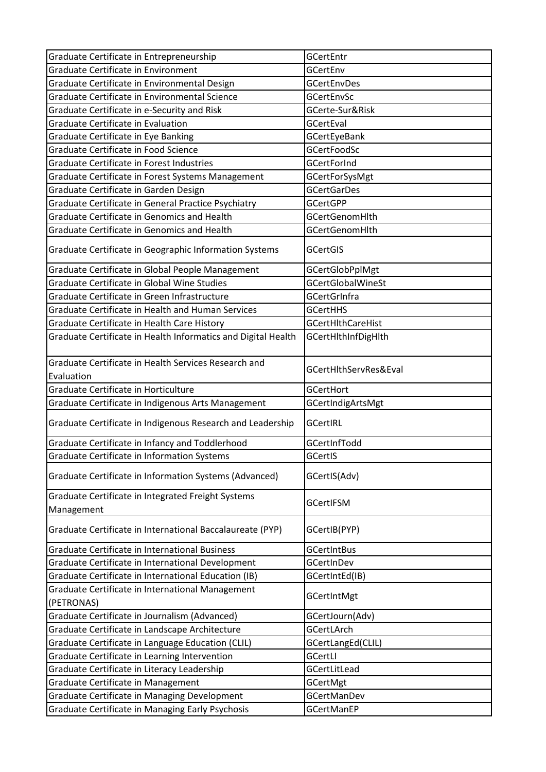| Graduate Certificate in Entrepreneurship                                                                         | GCertEntr                               |
|------------------------------------------------------------------------------------------------------------------|-----------------------------------------|
| <b>Graduate Certificate in Environment</b>                                                                       | GCertEnv                                |
| Graduate Certificate in Environmental Design                                                                     | <b>GCertEnvDes</b>                      |
| Graduate Certificate in Environmental Science                                                                    | <b>GCertEnvSc</b>                       |
| Graduate Certificate in e-Security and Risk                                                                      | GCerte-Sur&Risk                         |
| Graduate Certificate in Evaluation                                                                               | GCertEval                               |
| Graduate Certificate in Eye Banking                                                                              | <b>GCertEyeBank</b>                     |
| Graduate Certificate in Food Science                                                                             | <b>GCertFoodSc</b>                      |
| <b>Graduate Certificate in Forest Industries</b>                                                                 | <b>GCertForInd</b>                      |
|                                                                                                                  |                                         |
| Graduate Certificate in Forest Systems Management                                                                | GCertForSysMgt                          |
| Graduate Certificate in Garden Design                                                                            | <b>GCertGarDes</b>                      |
| Graduate Certificate in General Practice Psychiatry                                                              | <b>GCertGPP</b>                         |
| Graduate Certificate in Genomics and Health                                                                      | <b>GCertGenomHlth</b>                   |
| Graduate Certificate in Genomics and Health                                                                      | <b>GCertGenomHlth</b>                   |
| Graduate Certificate in Geographic Information Systems                                                           | <b>GCertGIS</b>                         |
| Graduate Certificate in Global People Management                                                                 | <b>GCertGlobPplMgt</b>                  |
| Graduate Certificate in Global Wine Studies                                                                      | <b>GCertGlobalWineSt</b>                |
| Graduate Certificate in Green Infrastructure                                                                     | <b>GCertGrInfra</b>                     |
| Graduate Certificate in Health and Human Services                                                                | <b>GCertHHS</b>                         |
| Graduate Certificate in Health Care History                                                                      | GCertHlthCareHist                       |
| Graduate Certificate in Health Informatics and Digital Health                                                    | GCertHlthInfDigHlth                     |
| Graduate Certificate in Health Services Research and<br>Evaluation                                               | GCertHlthServRes&Eval                   |
|                                                                                                                  |                                         |
|                                                                                                                  |                                         |
| Graduate Certificate in Horticulture                                                                             | <b>GCertHort</b>                        |
| Graduate Certificate in Indigenous Arts Management<br>Graduate Certificate in Indigenous Research and Leadership | GCertIndigArtsMgt<br>GCertIRL           |
|                                                                                                                  |                                         |
| Graduate Certificate in Infancy and Toddlerhood                                                                  | GCertInfTodd                            |
| Graduate Certificate in Information Systems<br>Graduate Certificate in Information Systems (Advanced)            | GCertIS<br>GCertIS(Adv)                 |
| Graduate Certificate in Integrated Freight Systems                                                               | GCertIFSM                               |
| Management<br>Graduate Certificate in International Baccalaureate (PYP)                                          | GCertIB(PYP)                            |
| Graduate Certificate in International Business                                                                   | <b>GCertIntBus</b>                      |
| Graduate Certificate in International Development                                                                | GCertInDev                              |
|                                                                                                                  | GCertIntEd(IB)                          |
| Graduate Certificate in International Education (IB)<br>Graduate Certificate in International Management         |                                         |
| (PETRONAS)                                                                                                       | GCertIntMgt                             |
|                                                                                                                  |                                         |
| Graduate Certificate in Journalism (Advanced)                                                                    | GCertJourn(Adv)<br>GCertLArch           |
| Graduate Certificate in Landscape Architecture                                                                   |                                         |
| Graduate Certificate in Language Education (CLIL)                                                                | GCertLangEd(CLIL)<br>GCertLI            |
| Graduate Certificate in Learning Intervention                                                                    |                                         |
| Graduate Certificate in Literacy Leadership                                                                      | GCertLitLead                            |
| Graduate Certificate in Management                                                                               | <b>GCertMgt</b>                         |
| Graduate Certificate in Managing Development<br>Graduate Certificate in Managing Early Psychosis                 | <b>GCertManDev</b><br><b>GCertManEP</b> |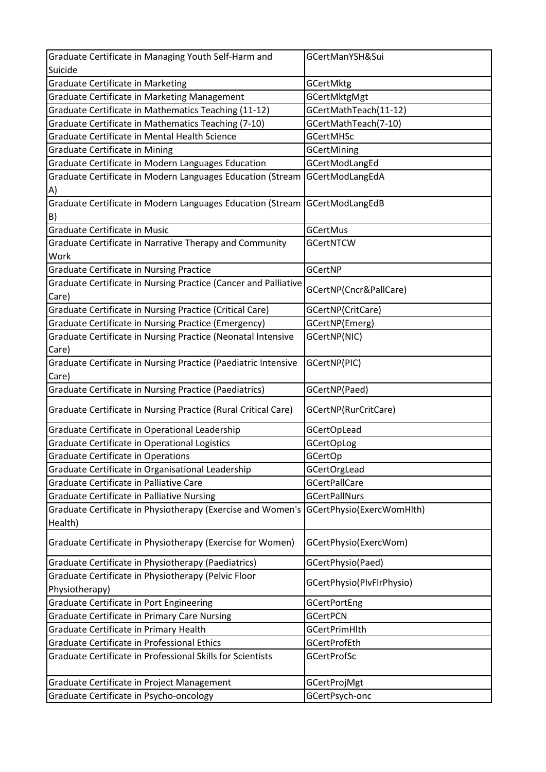| Graduate Certificate in Managing Youth Self-Harm and            | GCertManYSH&Sui           |
|-----------------------------------------------------------------|---------------------------|
| Suicide                                                         |                           |
| <b>Graduate Certificate in Marketing</b>                        | GCertMktg                 |
| Graduate Certificate in Marketing Management                    | <b>GCertMktgMgt</b>       |
| Graduate Certificate in Mathematics Teaching (11-12)            | GCertMathTeach(11-12)     |
| Graduate Certificate in Mathematics Teaching (7-10)             | GCertMathTeach(7-10)      |
| Graduate Certificate in Mental Health Science                   | <b>GCertMHSc</b>          |
| <b>Graduate Certificate in Mining</b>                           | <b>GCertMining</b>        |
| Graduate Certificate in Modern Languages Education              | GCertModLangEd            |
| Graduate Certificate in Modern Languages Education (Stream      | GCertModLangEdA           |
| A)                                                              |                           |
| Graduate Certificate in Modern Languages Education (Stream      | GCertModLangEdB           |
| B)                                                              |                           |
| Graduate Certificate in Music                                   | <b>GCertMus</b>           |
| Graduate Certificate in Narrative Therapy and Community         | <b>GCertNTCW</b>          |
| Work                                                            |                           |
| Graduate Certificate in Nursing Practice                        | GCertNP                   |
| Graduate Certificate in Nursing Practice (Cancer and Palliative |                           |
| Care)                                                           | GCertNP(Cncr&PallCare)    |
| Graduate Certificate in Nursing Practice (Critical Care)        | GCertNP(CritCare)         |
| Graduate Certificate in Nursing Practice (Emergency)            | GCertNP(Emerg)            |
| Graduate Certificate in Nursing Practice (Neonatal Intensive    | GCertNP(NIC)              |
| Care)                                                           |                           |
| Graduate Certificate in Nursing Practice (Paediatric Intensive  | GCertNP(PIC)              |
| Care)                                                           |                           |
| Graduate Certificate in Nursing Practice (Paediatrics)          | GCertNP(Paed)             |
| Graduate Certificate in Nursing Practice (Rural Critical Care)  | GCertNP(RurCritCare)      |
| Graduate Certificate in Operational Leadership                  | <b>GCertOpLead</b>        |
| Graduate Certificate in Operational Logistics                   | <b>GCertOpLog</b>         |
| <b>Graduate Certificate in Operations</b>                       | <b>GCertOp</b>            |
| Graduate Certificate in Organisational Leadership               | GCertOrgLead              |
| Graduate Certificate in Palliative Care                         | <b>GCertPallCare</b>      |
| Graduate Certificate in Palliative Nursing                      | <b>GCertPallNurs</b>      |
| Graduate Certificate in Physiotherapy (Exercise and Women's     | GCertPhysio(ExercWomHlth) |
| Health)                                                         |                           |
| Graduate Certificate in Physiotherapy (Exercise for Women)      | GCertPhysio(ExercWom)     |
|                                                                 |                           |
| Graduate Certificate in Physiotherapy (Paediatrics)             | GCertPhysio(Paed)         |
| Graduate Certificate in Physiotherapy (Pelvic Floor             | GCertPhysio(PlvFlrPhysio) |
| Physiotherapy)                                                  |                           |
| Graduate Certificate in Port Engineering                        | <b>GCertPortEng</b>       |
| Graduate Certificate in Primary Care Nursing                    | <b>GCertPCN</b>           |
| Graduate Certificate in Primary Health                          | <b>GCertPrimHlth</b>      |
| Graduate Certificate in Professional Ethics                     | <b>GCertProfEth</b>       |
| Graduate Certificate in Professional Skills for Scientists      | <b>GCertProfSc</b>        |
| Graduate Certificate in Project Management                      | <b>GCertProjMgt</b>       |
| Graduate Certificate in Psycho-oncology                         | GCertPsych-onc            |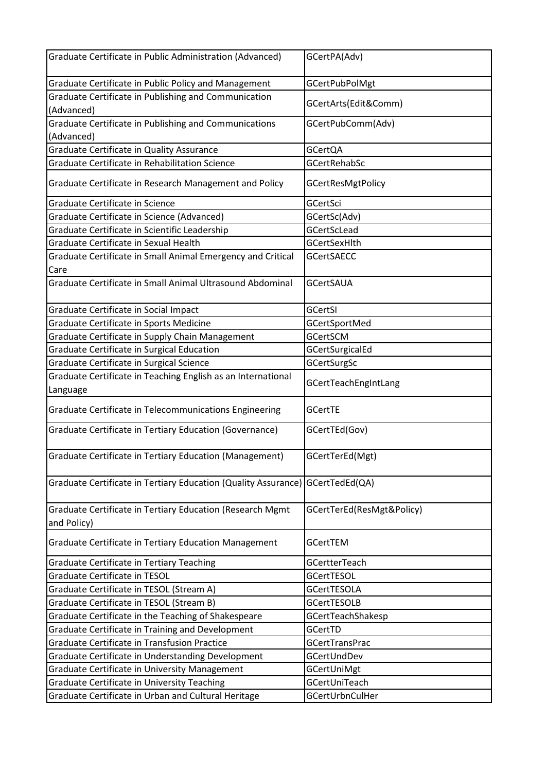| Graduate Certificate in Public Administration (Advanced)                      | GCertPA(Adv)              |
|-------------------------------------------------------------------------------|---------------------------|
| Graduate Certificate in Public Policy and Management                          | <b>GCertPubPolMgt</b>     |
| Graduate Certificate in Publishing and Communication                          |                           |
| (Advanced)                                                                    | GCertArts(Edit&Comm)      |
| Graduate Certificate in Publishing and Communications                         | GCertPubComm(Adv)         |
| (Advanced)                                                                    |                           |
| Graduate Certificate in Quality Assurance                                     | <b>GCertQA</b>            |
| Graduate Certificate in Rehabilitation Science                                | GCertRehabSc              |
| Graduate Certificate in Research Management and Policy                        | <b>GCertResMgtPolicy</b>  |
| Graduate Certificate in Science                                               | GCertSci                  |
| Graduate Certificate in Science (Advanced)                                    | GCertSc(Adv)              |
| Graduate Certificate in Scientific Leadership                                 | GCertScLead               |
| Graduate Certificate in Sexual Health                                         | GCertSexHlth              |
| Graduate Certificate in Small Animal Emergency and Critical                   | <b>GCertSAECC</b>         |
| Care                                                                          |                           |
| Graduate Certificate in Small Animal Ultrasound Abdominal                     | <b>GCertSAUA</b>          |
| Graduate Certificate in Social Impact                                         | GCertSI                   |
| Graduate Certificate in Sports Medicine                                       | <b>GCertSportMed</b>      |
| Graduate Certificate in Supply Chain Management                               | <b>GCertSCM</b>           |
| Graduate Certificate in Surgical Education                                    | GCertSurgicalEd           |
| Graduate Certificate in Surgical Science                                      | GCertSurgSc               |
| Graduate Certificate in Teaching English as an International                  |                           |
| Language                                                                      | GCertTeachEngIntLang      |
| Graduate Certificate in Telecommunications Engineering                        | <b>GCertTE</b>            |
| Graduate Certificate in Tertiary Education (Governance)                       | GCertTEd(Gov)             |
| Graduate Certificate in Tertiary Education (Management)                       | GCertTerEd(Mgt)           |
| Graduate Certificate in Tertiary Education (Quality Assurance) GCertTedEd(QA) |                           |
| Graduate Certificate in Tertiary Education (Research Mgmt<br>and Policy)      | GCertTerEd(ResMgt&Policy) |
| Graduate Certificate in Tertiary Education Management                         | <b>GCertTEM</b>           |
| <b>Graduate Certificate in Tertiary Teaching</b>                              | GCertterTeach             |
| Graduate Certificate in TESOL                                                 | <b>GCertTESOL</b>         |
| Graduate Certificate in TESOL (Stream A)                                      | <b>GCertTESOLA</b>        |
| Graduate Certificate in TESOL (Stream B)                                      | <b>GCertTESOLB</b>        |
| Graduate Certificate in the Teaching of Shakespeare                           | GCertTeachShakesp         |
| Graduate Certificate in Training and Development                              | GCertTD                   |
| Graduate Certificate in Transfusion Practice                                  | <b>GCertTransPrac</b>     |
| Graduate Certificate in Understanding Development                             | GCertUndDev               |
| Graduate Certificate in University Management                                 | GCertUniMgt               |
| <b>Graduate Certificate in University Teaching</b>                            | GCertUniTeach             |
| Graduate Certificate in Urban and Cultural Heritage                           | GCertUrbnCulHer           |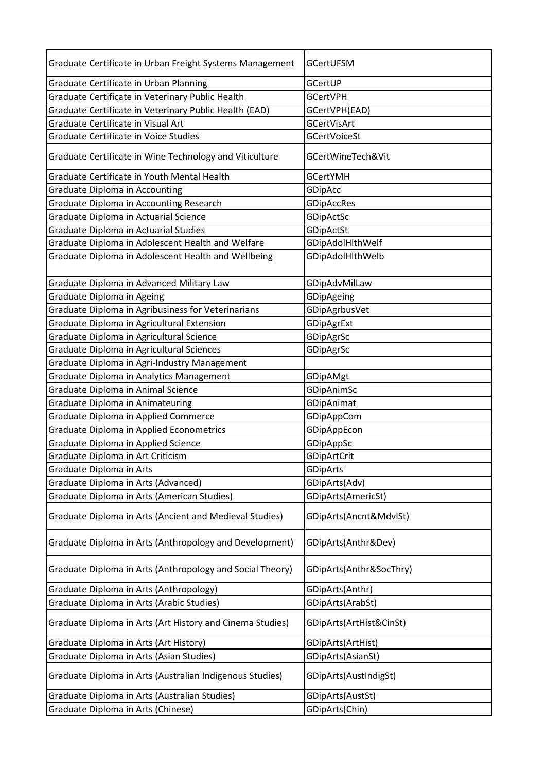| Graduate Certificate in Urban Freight Systems Management  | GCertUFSM               |
|-----------------------------------------------------------|-------------------------|
| Graduate Certificate in Urban Planning                    | GCertUP                 |
| Graduate Certificate in Veterinary Public Health          | <b>GCertVPH</b>         |
| Graduate Certificate in Veterinary Public Health (EAD)    | GCertVPH(EAD)           |
| Graduate Certificate in Visual Art                        | GCertVisArt             |
| <b>Graduate Certificate in Voice Studies</b>              | <b>GCertVoiceSt</b>     |
| Graduate Certificate in Wine Technology and Viticulture   | GCertWineTech&Vit       |
| Graduate Certificate in Youth Mental Health               | <b>GCertYMH</b>         |
| <b>Graduate Diploma in Accounting</b>                     | GDipAcc                 |
| Graduate Diploma in Accounting Research                   | GDipAccRes              |
| Graduate Diploma in Actuarial Science                     | GDipActSc               |
| <b>Graduate Diploma in Actuarial Studies</b>              | GDipActSt               |
| Graduate Diploma in Adolescent Health and Welfare         | GDipAdolHlthWelf        |
| Graduate Diploma in Adolescent Health and Wellbeing       | GDipAdolHlthWelb        |
| Graduate Diploma in Advanced Military Law                 | GDipAdvMilLaw           |
| Graduate Diploma in Ageing                                | GDipAgeing              |
| Graduate Diploma in Agribusiness for Veterinarians        | GDipAgrbusVet           |
| Graduate Diploma in Agricultural Extension                | GDipAgrExt              |
| Graduate Diploma in Agricultural Science                  | GDipAgrSc               |
| Graduate Diploma in Agricultural Sciences                 | GDipAgrSc               |
| Graduate Diploma in Agri-Industry Management              |                         |
| Graduate Diploma in Analytics Management                  | GDipAMgt                |
| Graduate Diploma in Animal Science                        | GDipAnimSc              |
| Graduate Diploma in Animateuring                          | GDipAnimat              |
| Graduate Diploma in Applied Commerce                      | GDipAppCom              |
| Graduate Diploma in Applied Econometrics                  | GDipAppEcon             |
| Graduate Diploma in Applied Science                       | GDipAppSc               |
| Graduate Diploma in Art Criticism                         | GDipArtCrit             |
| Graduate Diploma in Arts                                  | <b>GDipArts</b>         |
| Graduate Diploma in Arts (Advanced)                       | GDipArts(Adv)           |
| Graduate Diploma in Arts (American Studies)               | GDipArts(AmericSt)      |
| Graduate Diploma in Arts (Ancient and Medieval Studies)   | GDipArts(Ancnt&MdvlSt)  |
| Graduate Diploma in Arts (Anthropology and Development)   | GDipArts(Anthr&Dev)     |
| Graduate Diploma in Arts (Anthropology and Social Theory) | GDipArts(Anthr&SocThry) |
| Graduate Diploma in Arts (Anthropology)                   | GDipArts(Anthr)         |
| Graduate Diploma in Arts (Arabic Studies)                 | GDipArts(ArabSt)        |
| Graduate Diploma in Arts (Art History and Cinema Studies) | GDipArts(ArtHist&CinSt) |
| Graduate Diploma in Arts (Art History)                    | GDipArts(ArtHist)       |
| Graduate Diploma in Arts (Asian Studies)                  | GDipArts(AsianSt)       |
| Graduate Diploma in Arts (Australian Indigenous Studies)  | GDipArts(AustIndigSt)   |
| Graduate Diploma in Arts (Australian Studies)             | GDipArts(AustSt)        |
| Graduate Diploma in Arts (Chinese)                        | GDipArts(Chin)          |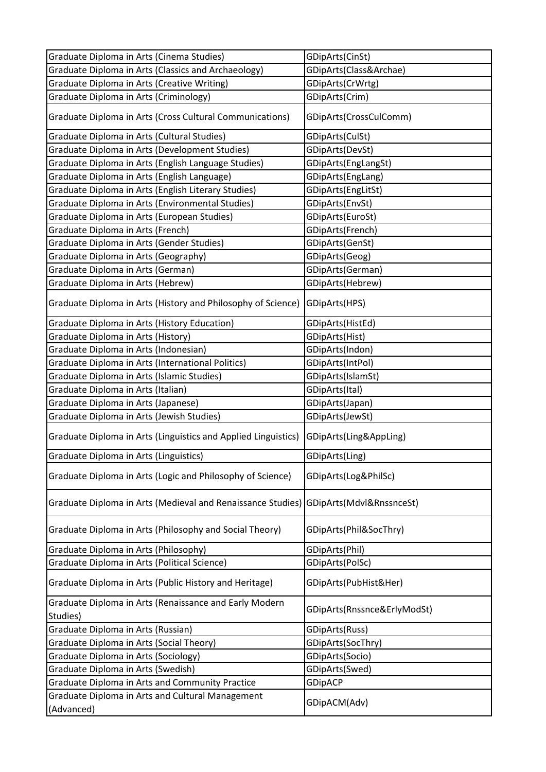| Graduate Diploma in Arts (Cinema Studies)                          | GDipArts(CinSt)             |
|--------------------------------------------------------------------|-----------------------------|
| Graduate Diploma in Arts (Classics and Archaeology)                | GDipArts(Class&Archae)      |
| Graduate Diploma in Arts (Creative Writing)                        | GDipArts(CrWrtg)            |
| Graduate Diploma in Arts (Criminology)                             | GDipArts(Crim)              |
| Graduate Diploma in Arts (Cross Cultural Communications)           | GDipArts(CrossCulComm)      |
| Graduate Diploma in Arts (Cultural Studies)                        | GDipArts(CulSt)             |
| Graduate Diploma in Arts (Development Studies)                     | GDipArts(DevSt)             |
| Graduate Diploma in Arts (English Language Studies)                | GDipArts(EngLangSt)         |
| Graduate Diploma in Arts (English Language)                        | GDipArts(EngLang)           |
| Graduate Diploma in Arts (English Literary Studies)                | GDipArts(EngLitSt)          |
| Graduate Diploma in Arts (Environmental Studies)                   | GDipArts(EnvSt)             |
| Graduate Diploma in Arts (European Studies)                        | GDipArts(EuroSt)            |
| Graduate Diploma in Arts (French)                                  | GDipArts(French)            |
| Graduate Diploma in Arts (Gender Studies)                          | GDipArts(GenSt)             |
| Graduate Diploma in Arts (Geography)                               | GDipArts(Geog)              |
| Graduate Diploma in Arts (German)                                  | GDipArts(German)            |
| Graduate Diploma in Arts (Hebrew)                                  | GDipArts(Hebrew)            |
| Graduate Diploma in Arts (History and Philosophy of Science)       | GDipArts(HPS)               |
| Graduate Diploma in Arts (History Education)                       | GDipArts(HistEd)            |
| Graduate Diploma in Arts (History)                                 | GDipArts(Hist)              |
| Graduate Diploma in Arts (Indonesian)                              | GDipArts(Indon)             |
| Graduate Diploma in Arts (International Politics)                  | GDipArts(IntPol)            |
| Graduate Diploma in Arts (Islamic Studies)                         | GDipArts(IslamSt)           |
| Graduate Diploma in Arts (Italian)                                 | GDipArts(Ital)              |
| Graduate Diploma in Arts (Japanese)                                | GDipArts(Japan)             |
| Graduate Diploma in Arts (Jewish Studies)                          | GDipArts(JewSt)             |
| Graduate Diploma in Arts (Linguistics and Applied Linguistics)     | GDipArts(Ling&AppLing)      |
| Graduate Diploma in Arts (Linguistics)                             | GDipArts(Ling)              |
| Graduate Diploma in Arts (Logic and Philosophy of Science)         | GDipArts(Log&PhilSc)        |
| Graduate Diploma in Arts (Medieval and Renaissance Studies)        | GDipArts(Mdvl&RnssnceSt)    |
| Graduate Diploma in Arts (Philosophy and Social Theory)            | GDipArts(Phil&SocThry)      |
| Graduate Diploma in Arts (Philosophy)                              | GDipArts(Phil)              |
| Graduate Diploma in Arts (Political Science)                       | GDipArts(PolSc)             |
| Graduate Diploma in Arts (Public History and Heritage)             | GDipArts(PubHist&Her)       |
| Graduate Diploma in Arts (Renaissance and Early Modern<br>Studies) | GDipArts(Rnssnce&ErlyModSt) |
| Graduate Diploma in Arts (Russian)                                 | GDipArts(Russ)              |
| Graduate Diploma in Arts (Social Theory)                           | GDipArts(SocThry)           |
| Graduate Diploma in Arts (Sociology)                               | GDipArts(Socio)             |
| Graduate Diploma in Arts (Swedish)                                 | GDipArts(Swed)              |
| Graduate Diploma in Arts and Community Practice                    | <b>GDipACP</b>              |
| Graduate Diploma in Arts and Cultural Management                   |                             |
| (Advanced)                                                         | GDipACM(Adv)                |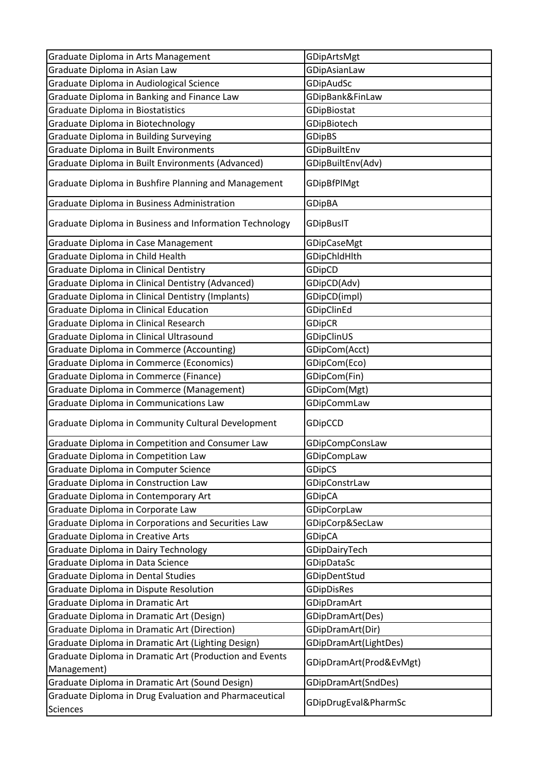| Graduate Diploma in Arts Management                     | GDipArtsMgt             |
|---------------------------------------------------------|-------------------------|
| Graduate Diploma in Asian Law                           | GDipAsianLaw            |
| Graduate Diploma in Audiological Science                | GDipAudSc               |
| Graduate Diploma in Banking and Finance Law             | GDipBank&FinLaw         |
| <b>Graduate Diploma in Biostatistics</b>                | GDipBiostat             |
| Graduate Diploma in Biotechnology                       | GDipBiotech             |
| Graduate Diploma in Building Surveying                  | <b>GDipBS</b>           |
| Graduate Diploma in Built Environments                  | GDipBuiltEnv            |
| Graduate Diploma in Built Environments (Advanced)       | GDipBuiltEnv(Adv)       |
| Graduate Diploma in Bushfire Planning and Management    | GDipBfPlMgt             |
| Graduate Diploma in Business Administration             | <b>GDipBA</b>           |
| Graduate Diploma in Business and Information Technology | GDipBuslT               |
| Graduate Diploma in Case Management                     | GDipCaseMgt             |
| Graduate Diploma in Child Health                        | GDipChIdHlth            |
| Graduate Diploma in Clinical Dentistry                  | GDipCD                  |
| Graduate Diploma in Clinical Dentistry (Advanced)       | GDipCD(Adv)             |
| Graduate Diploma in Clinical Dentistry (Implants)       | GDipCD(impl)            |
| Graduate Diploma in Clinical Education                  | GDipClinEd              |
| Graduate Diploma in Clinical Research                   | <b>GDipCR</b>           |
| Graduate Diploma in Clinical Ultrasound                 | GDipClinUS              |
| <b>Graduate Diploma in Commerce (Accounting)</b>        | GDipCom(Acct)           |
| Graduate Diploma in Commerce (Economics)                | GDipCom(Eco)            |
| Graduate Diploma in Commerce (Finance)                  | GDipCom(Fin)            |
| Graduate Diploma in Commerce (Management)               | GDipCom(Mgt)            |
| Graduate Diploma in Communications Law                  | GDipCommLaw             |
| Graduate Diploma in Community Cultural Development      | GDipCCD                 |
| Graduate Diploma in Competition and Consumer Law        | GDipCompConsLaw         |
| Graduate Diploma in Competition Law                     | GDipCompLaw             |
| Graduate Diploma in Computer Science                    | <b>GDipCS</b>           |
| Graduate Diploma in Construction Law                    | GDipConstrLaw           |
| Graduate Diploma in Contemporary Art                    | <b>GDipCA</b>           |
| Graduate Diploma in Corporate Law                       | GDipCorpLaw             |
| Graduate Diploma in Corporations and Securities Law     | GDipCorp&SecLaw         |
| Graduate Diploma in Creative Arts                       | <b>GDipCA</b>           |
| <b>Graduate Diploma in Dairy Technology</b>             | GDipDairyTech           |
| Graduate Diploma in Data Science                        | GDipDataSc              |
| <b>Graduate Diploma in Dental Studies</b>               | GDipDentStud            |
| Graduate Diploma in Dispute Resolution                  | <b>GDipDisRes</b>       |
| Graduate Diploma in Dramatic Art                        | GDipDramArt             |
| Graduate Diploma in Dramatic Art (Design)               | GDipDramArt(Des)        |
| Graduate Diploma in Dramatic Art (Direction)            | GDipDramArt(Dir)        |
| Graduate Diploma in Dramatic Art (Lighting Design)      | GDipDramArt(LightDes)   |
| Graduate Diploma in Dramatic Art (Production and Events |                         |
| Management)                                             | GDipDramArt(Prod&EvMgt) |
| Graduate Diploma in Dramatic Art (Sound Design)         | GDipDramArt(SndDes)     |
| Graduate Diploma in Drug Evaluation and Pharmaceutical  |                         |
| <b>Sciences</b>                                         | GDipDrugEval&PharmSc    |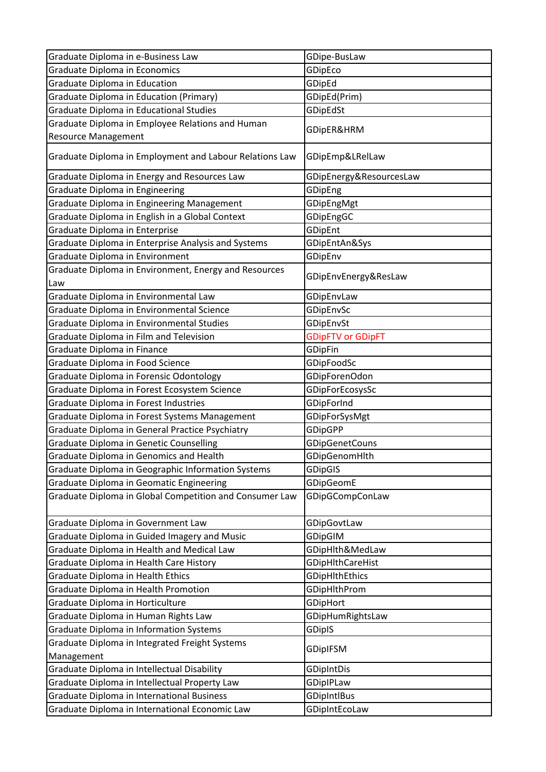| Graduate Diploma in e-Business Law                      | GDipe-BusLaw             |
|---------------------------------------------------------|--------------------------|
| <b>Graduate Diploma in Economics</b>                    | GDipEco                  |
| <b>Graduate Diploma in Education</b>                    | GDipEd                   |
| <b>Graduate Diploma in Education (Primary)</b>          | GDipEd(Prim)             |
| <b>Graduate Diploma in Educational Studies</b>          | GDipEdSt                 |
| Graduate Diploma in Employee Relations and Human        |                          |
| <b>Resource Management</b>                              | GDipER&HRM               |
| Graduate Diploma in Employment and Labour Relations Law | GDipEmp&LRelLaw          |
| Graduate Diploma in Energy and Resources Law            | GDipEnergy&ResourcesLaw  |
| Graduate Diploma in Engineering                         | GDipEng                  |
| Graduate Diploma in Engineering Management              | GDipEngMgt               |
| Graduate Diploma in English in a Global Context         | GDipEngGC                |
| Graduate Diploma in Enterprise                          | GDipEnt                  |
| Graduate Diploma in Enterprise Analysis and Systems     | GDipEntAn&Sys            |
| Graduate Diploma in Environment                         | GDipEnv                  |
| Graduate Diploma in Environment, Energy and Resources   | GDipEnvEnergy&ResLaw     |
| Law                                                     |                          |
| Graduate Diploma in Environmental Law                   | GDipEnvLaw               |
| Graduate Diploma in Environmental Science               | GDipEnvSc                |
| Graduate Diploma in Environmental Studies               | GDipEnvSt                |
| Graduate Diploma in Film and Television                 | <b>GDipFTV or GDipFT</b> |
| Graduate Diploma in Finance                             | <b>GDipFin</b>           |
| Graduate Diploma in Food Science                        | GDipFoodSc               |
| Graduate Diploma in Forensic Odontology                 | GDipForenOdon            |
| Graduate Diploma in Forest Ecosystem Science            | GDipForEcosysSc          |
| Graduate Diploma in Forest Industries                   | GDipForInd               |
| Graduate Diploma in Forest Systems Management           | GDipForSysMgt            |
| Graduate Diploma in General Practice Psychiatry         | <b>GDipGPP</b>           |
| <b>Graduate Diploma in Genetic Counselling</b>          | <b>GDipGenetCouns</b>    |
| Graduate Diploma in Genomics and Health                 | GDipGenomHlth            |
| Graduate Diploma in Geographic Information Systems      | <b>GDipGIS</b>           |
| Graduate Diploma in Geomatic Engineering                | GDipGeomE                |
| Graduate Diploma in Global Competition and Consumer Law | GDipGCompConLaw          |
| Graduate Diploma in Government Law                      | GDipGovtLaw              |
| Graduate Diploma in Guided Imagery and Music            | GDipGIM                  |
| Graduate Diploma in Health and Medical Law              | GDipHlth&MedLaw          |
| Graduate Diploma in Health Care History                 | GDipHlthCareHist         |
| Graduate Diploma in Health Ethics                       | GDipHlthEthics           |
| Graduate Diploma in Health Promotion                    | <b>GDipHlthProm</b>      |
| Graduate Diploma in Horticulture                        | GDipHort                 |
| Graduate Diploma in Human Rights Law                    | GDipHumRightsLaw         |
| Graduate Diploma in Information Systems                 | <b>GDipIS</b>            |
| Graduate Diploma in Integrated Freight Systems          | <b>GDipIFSM</b>          |
| Management                                              |                          |
| Graduate Diploma in Intellectual Disability             | <b>GDipIntDis</b>        |
| Graduate Diploma in Intellectual Property Law           | GDipIPLaw                |
| Graduate Diploma in International Business              | <b>GDipIntlBus</b>       |
| Graduate Diploma in International Economic Law          | GDipIntEcoLaw            |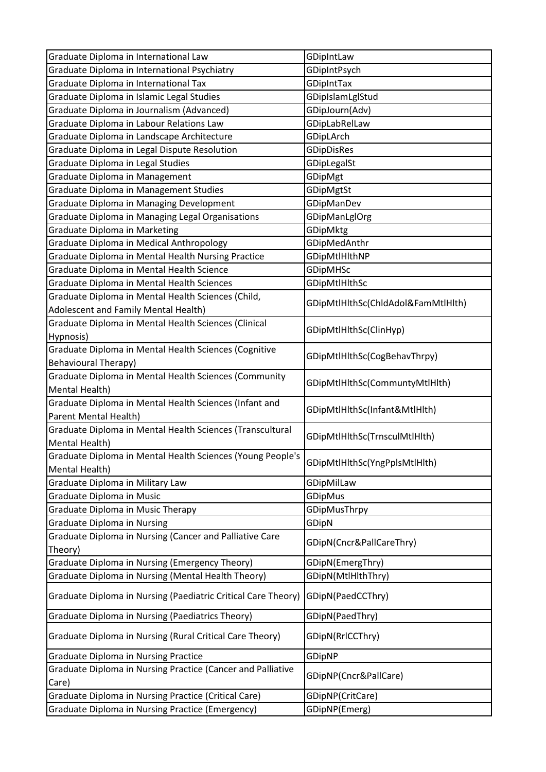| Graduate Diploma in International Psychiatry<br>GDipIntPsych<br>Graduate Diploma in International Tax<br>GDipIntTax<br>Graduate Diploma in Islamic Legal Studies<br>GDipIslamLglStud<br>Graduate Diploma in Journalism (Advanced)<br>GDipJourn(Adv)<br>Graduate Diploma in Labour Relations Law<br>GDipLabRelLaw<br>Graduate Diploma in Landscape Architecture<br>GDipLArch<br>Graduate Diploma in Legal Dispute Resolution<br><b>GDipDisRes</b><br>Graduate Diploma in Legal Studies<br>GDipLegalSt<br>Graduate Diploma in Management<br>GDipMgt<br>Graduate Diploma in Management Studies<br>GDipMgtSt<br><b>Graduate Diploma in Managing Development</b><br><b>GDipManDev</b><br>Graduate Diploma in Managing Legal Organisations<br><b>GDipManLglOrg</b><br><b>Graduate Diploma in Marketing</b><br>GDipMktg<br>Graduate Diploma in Medical Anthropology<br>GDipMedAnthr<br>Graduate Diploma in Mental Health Nursing Practice<br>GDipMtlHlthNP<br>Graduate Diploma in Mental Health Science<br><b>GDipMHSc</b><br>Graduate Diploma in Mental Health Sciences<br>GDipMtlHlthSc<br>Graduate Diploma in Mental Health Sciences (Child,<br>GDipMtlHlthSc(ChldAdol&FamMtlHlth)<br>Adolescent and Family Mental Health)<br>Graduate Diploma in Mental Health Sciences (Clinical<br>GDipMtlHlthSc(ClinHyp)<br>Hypnosis)<br>Graduate Diploma in Mental Health Sciences (Cognitive<br>GDipMtlHlthSc(CogBehavThrpy)<br><b>Behavioural Therapy)</b><br>Graduate Diploma in Mental Health Sciences (Community<br>GDipMtlHlthSc(CommuntyMtlHlth)<br>Mental Health)<br>Graduate Diploma in Mental Health Sciences (Infant and<br>GDipMtlHlthSc(Infant&MtlHlth)<br>Parent Mental Health)<br>Graduate Diploma in Mental Health Sciences (Transcultural<br>GDipMtlHlthSc(TrnsculMtlHlth)<br>Mental Health)<br>Graduate Diploma in Mental Health Sciences (Young People's<br>GDipMtlHlthSc(YngPplsMtlHlth)<br>Mental Health)<br>Graduate Diploma in Military Law<br>GDipMilLaw<br>Graduate Diploma in Music<br><b>GDipMus</b><br><b>Graduate Diploma in Music Therapy</b><br>GDipMusThrpy<br><b>Graduate Diploma in Nursing</b><br>GDipN<br>Graduate Diploma in Nursing (Cancer and Palliative Care<br>GDipN(Cncr&PallCareThry)<br>Theory)<br>Graduate Diploma in Nursing (Emergency Theory)<br>GDipN(EmergThry)<br>Graduate Diploma in Nursing (Mental Health Theory)<br>GDipN(MtlHlthThry)<br>Graduate Diploma in Nursing (Paediatric Critical Care Theory)<br>GDipN(PaedCCThry)<br>Graduate Diploma in Nursing (Paediatrics Theory)<br>GDipN(PaedThry)<br>Graduate Diploma in Nursing (Rural Critical Care Theory)<br>GDipN(RrlCCThry)<br><b>Graduate Diploma in Nursing Practice</b><br>GDipNP<br>Graduate Diploma in Nursing Practice (Cancer and Palliative<br>GDipNP(Cncr&PallCare)<br>Care)<br>Graduate Diploma in Nursing Practice (Critical Care)<br>GDipNP(CritCare)<br><b>Graduate Diploma in Nursing Practice (Emergency)</b><br>GDipNP(Emerg) | Graduate Diploma in International Law | GDipIntLaw |
|------------------------------------------------------------------------------------------------------------------------------------------------------------------------------------------------------------------------------------------------------------------------------------------------------------------------------------------------------------------------------------------------------------------------------------------------------------------------------------------------------------------------------------------------------------------------------------------------------------------------------------------------------------------------------------------------------------------------------------------------------------------------------------------------------------------------------------------------------------------------------------------------------------------------------------------------------------------------------------------------------------------------------------------------------------------------------------------------------------------------------------------------------------------------------------------------------------------------------------------------------------------------------------------------------------------------------------------------------------------------------------------------------------------------------------------------------------------------------------------------------------------------------------------------------------------------------------------------------------------------------------------------------------------------------------------------------------------------------------------------------------------------------------------------------------------------------------------------------------------------------------------------------------------------------------------------------------------------------------------------------------------------------------------------------------------------------------------------------------------------------------------------------------------------------------------------------------------------------------------------------------------------------------------------------------------------------------------------------------------------------------------------------------------------------------------------------------------------------------------------------------------------------------------------------------------------------------------------------------------------------------------------------------------------------------------------------------------------------------------------------------------------------------------------------------------------------------------------------------------------------------------------------------------------------------------------|---------------------------------------|------------|
|                                                                                                                                                                                                                                                                                                                                                                                                                                                                                                                                                                                                                                                                                                                                                                                                                                                                                                                                                                                                                                                                                                                                                                                                                                                                                                                                                                                                                                                                                                                                                                                                                                                                                                                                                                                                                                                                                                                                                                                                                                                                                                                                                                                                                                                                                                                                                                                                                                                                                                                                                                                                                                                                                                                                                                                                                                                                                                                                                |                                       |            |
|                                                                                                                                                                                                                                                                                                                                                                                                                                                                                                                                                                                                                                                                                                                                                                                                                                                                                                                                                                                                                                                                                                                                                                                                                                                                                                                                                                                                                                                                                                                                                                                                                                                                                                                                                                                                                                                                                                                                                                                                                                                                                                                                                                                                                                                                                                                                                                                                                                                                                                                                                                                                                                                                                                                                                                                                                                                                                                                                                |                                       |            |
|                                                                                                                                                                                                                                                                                                                                                                                                                                                                                                                                                                                                                                                                                                                                                                                                                                                                                                                                                                                                                                                                                                                                                                                                                                                                                                                                                                                                                                                                                                                                                                                                                                                                                                                                                                                                                                                                                                                                                                                                                                                                                                                                                                                                                                                                                                                                                                                                                                                                                                                                                                                                                                                                                                                                                                                                                                                                                                                                                |                                       |            |
|                                                                                                                                                                                                                                                                                                                                                                                                                                                                                                                                                                                                                                                                                                                                                                                                                                                                                                                                                                                                                                                                                                                                                                                                                                                                                                                                                                                                                                                                                                                                                                                                                                                                                                                                                                                                                                                                                                                                                                                                                                                                                                                                                                                                                                                                                                                                                                                                                                                                                                                                                                                                                                                                                                                                                                                                                                                                                                                                                |                                       |            |
|                                                                                                                                                                                                                                                                                                                                                                                                                                                                                                                                                                                                                                                                                                                                                                                                                                                                                                                                                                                                                                                                                                                                                                                                                                                                                                                                                                                                                                                                                                                                                                                                                                                                                                                                                                                                                                                                                                                                                                                                                                                                                                                                                                                                                                                                                                                                                                                                                                                                                                                                                                                                                                                                                                                                                                                                                                                                                                                                                |                                       |            |
|                                                                                                                                                                                                                                                                                                                                                                                                                                                                                                                                                                                                                                                                                                                                                                                                                                                                                                                                                                                                                                                                                                                                                                                                                                                                                                                                                                                                                                                                                                                                                                                                                                                                                                                                                                                                                                                                                                                                                                                                                                                                                                                                                                                                                                                                                                                                                                                                                                                                                                                                                                                                                                                                                                                                                                                                                                                                                                                                                |                                       |            |
|                                                                                                                                                                                                                                                                                                                                                                                                                                                                                                                                                                                                                                                                                                                                                                                                                                                                                                                                                                                                                                                                                                                                                                                                                                                                                                                                                                                                                                                                                                                                                                                                                                                                                                                                                                                                                                                                                                                                                                                                                                                                                                                                                                                                                                                                                                                                                                                                                                                                                                                                                                                                                                                                                                                                                                                                                                                                                                                                                |                                       |            |
|                                                                                                                                                                                                                                                                                                                                                                                                                                                                                                                                                                                                                                                                                                                                                                                                                                                                                                                                                                                                                                                                                                                                                                                                                                                                                                                                                                                                                                                                                                                                                                                                                                                                                                                                                                                                                                                                                                                                                                                                                                                                                                                                                                                                                                                                                                                                                                                                                                                                                                                                                                                                                                                                                                                                                                                                                                                                                                                                                |                                       |            |
|                                                                                                                                                                                                                                                                                                                                                                                                                                                                                                                                                                                                                                                                                                                                                                                                                                                                                                                                                                                                                                                                                                                                                                                                                                                                                                                                                                                                                                                                                                                                                                                                                                                                                                                                                                                                                                                                                                                                                                                                                                                                                                                                                                                                                                                                                                                                                                                                                                                                                                                                                                                                                                                                                                                                                                                                                                                                                                                                                |                                       |            |
|                                                                                                                                                                                                                                                                                                                                                                                                                                                                                                                                                                                                                                                                                                                                                                                                                                                                                                                                                                                                                                                                                                                                                                                                                                                                                                                                                                                                                                                                                                                                                                                                                                                                                                                                                                                                                                                                                                                                                                                                                                                                                                                                                                                                                                                                                                                                                                                                                                                                                                                                                                                                                                                                                                                                                                                                                                                                                                                                                |                                       |            |
|                                                                                                                                                                                                                                                                                                                                                                                                                                                                                                                                                                                                                                                                                                                                                                                                                                                                                                                                                                                                                                                                                                                                                                                                                                                                                                                                                                                                                                                                                                                                                                                                                                                                                                                                                                                                                                                                                                                                                                                                                                                                                                                                                                                                                                                                                                                                                                                                                                                                                                                                                                                                                                                                                                                                                                                                                                                                                                                                                |                                       |            |
|                                                                                                                                                                                                                                                                                                                                                                                                                                                                                                                                                                                                                                                                                                                                                                                                                                                                                                                                                                                                                                                                                                                                                                                                                                                                                                                                                                                                                                                                                                                                                                                                                                                                                                                                                                                                                                                                                                                                                                                                                                                                                                                                                                                                                                                                                                                                                                                                                                                                                                                                                                                                                                                                                                                                                                                                                                                                                                                                                |                                       |            |
|                                                                                                                                                                                                                                                                                                                                                                                                                                                                                                                                                                                                                                                                                                                                                                                                                                                                                                                                                                                                                                                                                                                                                                                                                                                                                                                                                                                                                                                                                                                                                                                                                                                                                                                                                                                                                                                                                                                                                                                                                                                                                                                                                                                                                                                                                                                                                                                                                                                                                                                                                                                                                                                                                                                                                                                                                                                                                                                                                |                                       |            |
|                                                                                                                                                                                                                                                                                                                                                                                                                                                                                                                                                                                                                                                                                                                                                                                                                                                                                                                                                                                                                                                                                                                                                                                                                                                                                                                                                                                                                                                                                                                                                                                                                                                                                                                                                                                                                                                                                                                                                                                                                                                                                                                                                                                                                                                                                                                                                                                                                                                                                                                                                                                                                                                                                                                                                                                                                                                                                                                                                |                                       |            |
|                                                                                                                                                                                                                                                                                                                                                                                                                                                                                                                                                                                                                                                                                                                                                                                                                                                                                                                                                                                                                                                                                                                                                                                                                                                                                                                                                                                                                                                                                                                                                                                                                                                                                                                                                                                                                                                                                                                                                                                                                                                                                                                                                                                                                                                                                                                                                                                                                                                                                                                                                                                                                                                                                                                                                                                                                                                                                                                                                |                                       |            |
|                                                                                                                                                                                                                                                                                                                                                                                                                                                                                                                                                                                                                                                                                                                                                                                                                                                                                                                                                                                                                                                                                                                                                                                                                                                                                                                                                                                                                                                                                                                                                                                                                                                                                                                                                                                                                                                                                                                                                                                                                                                                                                                                                                                                                                                                                                                                                                                                                                                                                                                                                                                                                                                                                                                                                                                                                                                                                                                                                |                                       |            |
|                                                                                                                                                                                                                                                                                                                                                                                                                                                                                                                                                                                                                                                                                                                                                                                                                                                                                                                                                                                                                                                                                                                                                                                                                                                                                                                                                                                                                                                                                                                                                                                                                                                                                                                                                                                                                                                                                                                                                                                                                                                                                                                                                                                                                                                                                                                                                                                                                                                                                                                                                                                                                                                                                                                                                                                                                                                                                                                                                |                                       |            |
|                                                                                                                                                                                                                                                                                                                                                                                                                                                                                                                                                                                                                                                                                                                                                                                                                                                                                                                                                                                                                                                                                                                                                                                                                                                                                                                                                                                                                                                                                                                                                                                                                                                                                                                                                                                                                                                                                                                                                                                                                                                                                                                                                                                                                                                                                                                                                                                                                                                                                                                                                                                                                                                                                                                                                                                                                                                                                                                                                |                                       |            |
|                                                                                                                                                                                                                                                                                                                                                                                                                                                                                                                                                                                                                                                                                                                                                                                                                                                                                                                                                                                                                                                                                                                                                                                                                                                                                                                                                                                                                                                                                                                                                                                                                                                                                                                                                                                                                                                                                                                                                                                                                                                                                                                                                                                                                                                                                                                                                                                                                                                                                                                                                                                                                                                                                                                                                                                                                                                                                                                                                |                                       |            |
|                                                                                                                                                                                                                                                                                                                                                                                                                                                                                                                                                                                                                                                                                                                                                                                                                                                                                                                                                                                                                                                                                                                                                                                                                                                                                                                                                                                                                                                                                                                                                                                                                                                                                                                                                                                                                                                                                                                                                                                                                                                                                                                                                                                                                                                                                                                                                                                                                                                                                                                                                                                                                                                                                                                                                                                                                                                                                                                                                |                                       |            |
|                                                                                                                                                                                                                                                                                                                                                                                                                                                                                                                                                                                                                                                                                                                                                                                                                                                                                                                                                                                                                                                                                                                                                                                                                                                                                                                                                                                                                                                                                                                                                                                                                                                                                                                                                                                                                                                                                                                                                                                                                                                                                                                                                                                                                                                                                                                                                                                                                                                                                                                                                                                                                                                                                                                                                                                                                                                                                                                                                |                                       |            |
|                                                                                                                                                                                                                                                                                                                                                                                                                                                                                                                                                                                                                                                                                                                                                                                                                                                                                                                                                                                                                                                                                                                                                                                                                                                                                                                                                                                                                                                                                                                                                                                                                                                                                                                                                                                                                                                                                                                                                                                                                                                                                                                                                                                                                                                                                                                                                                                                                                                                                                                                                                                                                                                                                                                                                                                                                                                                                                                                                |                                       |            |
|                                                                                                                                                                                                                                                                                                                                                                                                                                                                                                                                                                                                                                                                                                                                                                                                                                                                                                                                                                                                                                                                                                                                                                                                                                                                                                                                                                                                                                                                                                                                                                                                                                                                                                                                                                                                                                                                                                                                                                                                                                                                                                                                                                                                                                                                                                                                                                                                                                                                                                                                                                                                                                                                                                                                                                                                                                                                                                                                                |                                       |            |
|                                                                                                                                                                                                                                                                                                                                                                                                                                                                                                                                                                                                                                                                                                                                                                                                                                                                                                                                                                                                                                                                                                                                                                                                                                                                                                                                                                                                                                                                                                                                                                                                                                                                                                                                                                                                                                                                                                                                                                                                                                                                                                                                                                                                                                                                                                                                                                                                                                                                                                                                                                                                                                                                                                                                                                                                                                                                                                                                                |                                       |            |
|                                                                                                                                                                                                                                                                                                                                                                                                                                                                                                                                                                                                                                                                                                                                                                                                                                                                                                                                                                                                                                                                                                                                                                                                                                                                                                                                                                                                                                                                                                                                                                                                                                                                                                                                                                                                                                                                                                                                                                                                                                                                                                                                                                                                                                                                                                                                                                                                                                                                                                                                                                                                                                                                                                                                                                                                                                                                                                                                                |                                       |            |
|                                                                                                                                                                                                                                                                                                                                                                                                                                                                                                                                                                                                                                                                                                                                                                                                                                                                                                                                                                                                                                                                                                                                                                                                                                                                                                                                                                                                                                                                                                                                                                                                                                                                                                                                                                                                                                                                                                                                                                                                                                                                                                                                                                                                                                                                                                                                                                                                                                                                                                                                                                                                                                                                                                                                                                                                                                                                                                                                                |                                       |            |
|                                                                                                                                                                                                                                                                                                                                                                                                                                                                                                                                                                                                                                                                                                                                                                                                                                                                                                                                                                                                                                                                                                                                                                                                                                                                                                                                                                                                                                                                                                                                                                                                                                                                                                                                                                                                                                                                                                                                                                                                                                                                                                                                                                                                                                                                                                                                                                                                                                                                                                                                                                                                                                                                                                                                                                                                                                                                                                                                                |                                       |            |
|                                                                                                                                                                                                                                                                                                                                                                                                                                                                                                                                                                                                                                                                                                                                                                                                                                                                                                                                                                                                                                                                                                                                                                                                                                                                                                                                                                                                                                                                                                                                                                                                                                                                                                                                                                                                                                                                                                                                                                                                                                                                                                                                                                                                                                                                                                                                                                                                                                                                                                                                                                                                                                                                                                                                                                                                                                                                                                                                                |                                       |            |
|                                                                                                                                                                                                                                                                                                                                                                                                                                                                                                                                                                                                                                                                                                                                                                                                                                                                                                                                                                                                                                                                                                                                                                                                                                                                                                                                                                                                                                                                                                                                                                                                                                                                                                                                                                                                                                                                                                                                                                                                                                                                                                                                                                                                                                                                                                                                                                                                                                                                                                                                                                                                                                                                                                                                                                                                                                                                                                                                                |                                       |            |
|                                                                                                                                                                                                                                                                                                                                                                                                                                                                                                                                                                                                                                                                                                                                                                                                                                                                                                                                                                                                                                                                                                                                                                                                                                                                                                                                                                                                                                                                                                                                                                                                                                                                                                                                                                                                                                                                                                                                                                                                                                                                                                                                                                                                                                                                                                                                                                                                                                                                                                                                                                                                                                                                                                                                                                                                                                                                                                                                                |                                       |            |
|                                                                                                                                                                                                                                                                                                                                                                                                                                                                                                                                                                                                                                                                                                                                                                                                                                                                                                                                                                                                                                                                                                                                                                                                                                                                                                                                                                                                                                                                                                                                                                                                                                                                                                                                                                                                                                                                                                                                                                                                                                                                                                                                                                                                                                                                                                                                                                                                                                                                                                                                                                                                                                                                                                                                                                                                                                                                                                                                                |                                       |            |
|                                                                                                                                                                                                                                                                                                                                                                                                                                                                                                                                                                                                                                                                                                                                                                                                                                                                                                                                                                                                                                                                                                                                                                                                                                                                                                                                                                                                                                                                                                                                                                                                                                                                                                                                                                                                                                                                                                                                                                                                                                                                                                                                                                                                                                                                                                                                                                                                                                                                                                                                                                                                                                                                                                                                                                                                                                                                                                                                                |                                       |            |
|                                                                                                                                                                                                                                                                                                                                                                                                                                                                                                                                                                                                                                                                                                                                                                                                                                                                                                                                                                                                                                                                                                                                                                                                                                                                                                                                                                                                                                                                                                                                                                                                                                                                                                                                                                                                                                                                                                                                                                                                                                                                                                                                                                                                                                                                                                                                                                                                                                                                                                                                                                                                                                                                                                                                                                                                                                                                                                                                                |                                       |            |
|                                                                                                                                                                                                                                                                                                                                                                                                                                                                                                                                                                                                                                                                                                                                                                                                                                                                                                                                                                                                                                                                                                                                                                                                                                                                                                                                                                                                                                                                                                                                                                                                                                                                                                                                                                                                                                                                                                                                                                                                                                                                                                                                                                                                                                                                                                                                                                                                                                                                                                                                                                                                                                                                                                                                                                                                                                                                                                                                                |                                       |            |
|                                                                                                                                                                                                                                                                                                                                                                                                                                                                                                                                                                                                                                                                                                                                                                                                                                                                                                                                                                                                                                                                                                                                                                                                                                                                                                                                                                                                                                                                                                                                                                                                                                                                                                                                                                                                                                                                                                                                                                                                                                                                                                                                                                                                                                                                                                                                                                                                                                                                                                                                                                                                                                                                                                                                                                                                                                                                                                                                                |                                       |            |
|                                                                                                                                                                                                                                                                                                                                                                                                                                                                                                                                                                                                                                                                                                                                                                                                                                                                                                                                                                                                                                                                                                                                                                                                                                                                                                                                                                                                                                                                                                                                                                                                                                                                                                                                                                                                                                                                                                                                                                                                                                                                                                                                                                                                                                                                                                                                                                                                                                                                                                                                                                                                                                                                                                                                                                                                                                                                                                                                                |                                       |            |
|                                                                                                                                                                                                                                                                                                                                                                                                                                                                                                                                                                                                                                                                                                                                                                                                                                                                                                                                                                                                                                                                                                                                                                                                                                                                                                                                                                                                                                                                                                                                                                                                                                                                                                                                                                                                                                                                                                                                                                                                                                                                                                                                                                                                                                                                                                                                                                                                                                                                                                                                                                                                                                                                                                                                                                                                                                                                                                                                                |                                       |            |
|                                                                                                                                                                                                                                                                                                                                                                                                                                                                                                                                                                                                                                                                                                                                                                                                                                                                                                                                                                                                                                                                                                                                                                                                                                                                                                                                                                                                                                                                                                                                                                                                                                                                                                                                                                                                                                                                                                                                                                                                                                                                                                                                                                                                                                                                                                                                                                                                                                                                                                                                                                                                                                                                                                                                                                                                                                                                                                                                                |                                       |            |
|                                                                                                                                                                                                                                                                                                                                                                                                                                                                                                                                                                                                                                                                                                                                                                                                                                                                                                                                                                                                                                                                                                                                                                                                                                                                                                                                                                                                                                                                                                                                                                                                                                                                                                                                                                                                                                                                                                                                                                                                                                                                                                                                                                                                                                                                                                                                                                                                                                                                                                                                                                                                                                                                                                                                                                                                                                                                                                                                                |                                       |            |
|                                                                                                                                                                                                                                                                                                                                                                                                                                                                                                                                                                                                                                                                                                                                                                                                                                                                                                                                                                                                                                                                                                                                                                                                                                                                                                                                                                                                                                                                                                                                                                                                                                                                                                                                                                                                                                                                                                                                                                                                                                                                                                                                                                                                                                                                                                                                                                                                                                                                                                                                                                                                                                                                                                                                                                                                                                                                                                                                                |                                       |            |
|                                                                                                                                                                                                                                                                                                                                                                                                                                                                                                                                                                                                                                                                                                                                                                                                                                                                                                                                                                                                                                                                                                                                                                                                                                                                                                                                                                                                                                                                                                                                                                                                                                                                                                                                                                                                                                                                                                                                                                                                                                                                                                                                                                                                                                                                                                                                                                                                                                                                                                                                                                                                                                                                                                                                                                                                                                                                                                                                                |                                       |            |
|                                                                                                                                                                                                                                                                                                                                                                                                                                                                                                                                                                                                                                                                                                                                                                                                                                                                                                                                                                                                                                                                                                                                                                                                                                                                                                                                                                                                                                                                                                                                                                                                                                                                                                                                                                                                                                                                                                                                                                                                                                                                                                                                                                                                                                                                                                                                                                                                                                                                                                                                                                                                                                                                                                                                                                                                                                                                                                                                                |                                       |            |
|                                                                                                                                                                                                                                                                                                                                                                                                                                                                                                                                                                                                                                                                                                                                                                                                                                                                                                                                                                                                                                                                                                                                                                                                                                                                                                                                                                                                                                                                                                                                                                                                                                                                                                                                                                                                                                                                                                                                                                                                                                                                                                                                                                                                                                                                                                                                                                                                                                                                                                                                                                                                                                                                                                                                                                                                                                                                                                                                                |                                       |            |
|                                                                                                                                                                                                                                                                                                                                                                                                                                                                                                                                                                                                                                                                                                                                                                                                                                                                                                                                                                                                                                                                                                                                                                                                                                                                                                                                                                                                                                                                                                                                                                                                                                                                                                                                                                                                                                                                                                                                                                                                                                                                                                                                                                                                                                                                                                                                                                                                                                                                                                                                                                                                                                                                                                                                                                                                                                                                                                                                                |                                       |            |
|                                                                                                                                                                                                                                                                                                                                                                                                                                                                                                                                                                                                                                                                                                                                                                                                                                                                                                                                                                                                                                                                                                                                                                                                                                                                                                                                                                                                                                                                                                                                                                                                                                                                                                                                                                                                                                                                                                                                                                                                                                                                                                                                                                                                                                                                                                                                                                                                                                                                                                                                                                                                                                                                                                                                                                                                                                                                                                                                                |                                       |            |
|                                                                                                                                                                                                                                                                                                                                                                                                                                                                                                                                                                                                                                                                                                                                                                                                                                                                                                                                                                                                                                                                                                                                                                                                                                                                                                                                                                                                                                                                                                                                                                                                                                                                                                                                                                                                                                                                                                                                                                                                                                                                                                                                                                                                                                                                                                                                                                                                                                                                                                                                                                                                                                                                                                                                                                                                                                                                                                                                                |                                       |            |
|                                                                                                                                                                                                                                                                                                                                                                                                                                                                                                                                                                                                                                                                                                                                                                                                                                                                                                                                                                                                                                                                                                                                                                                                                                                                                                                                                                                                                                                                                                                                                                                                                                                                                                                                                                                                                                                                                                                                                                                                                                                                                                                                                                                                                                                                                                                                                                                                                                                                                                                                                                                                                                                                                                                                                                                                                                                                                                                                                |                                       |            |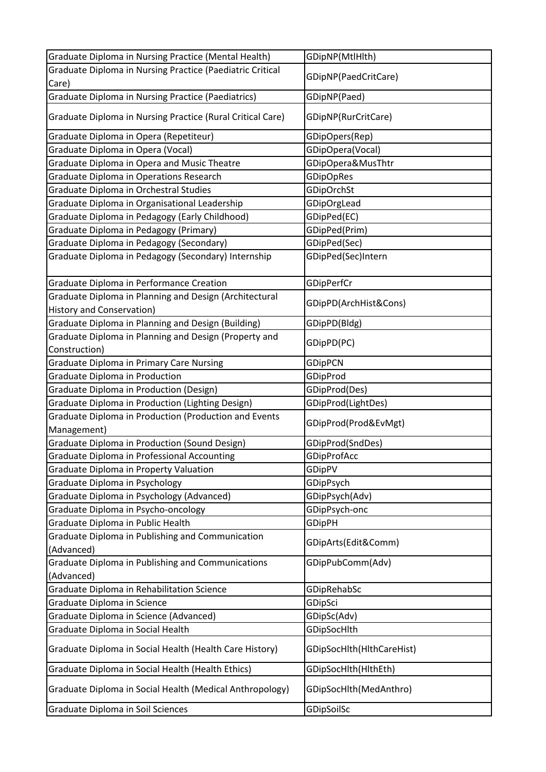| Graduate Diploma in Nursing Practice (Mental Health)           | GDipNP(MtlHlth)           |
|----------------------------------------------------------------|---------------------------|
| Graduate Diploma in Nursing Practice (Paediatric Critical      |                           |
| Care)                                                          | GDipNP(PaedCritCare)      |
| <b>Graduate Diploma in Nursing Practice (Paediatrics)</b>      | GDipNP(Paed)              |
| Graduate Diploma in Nursing Practice (Rural Critical Care)     | GDipNP(RurCritCare)       |
| Graduate Diploma in Opera (Repetiteur)                         | GDipOpers(Rep)            |
| Graduate Diploma in Opera (Vocal)                              | GDipOpera(Vocal)          |
| Graduate Diploma in Opera and Music Theatre                    | GDipOpera&MusThtr         |
| Graduate Diploma in Operations Research                        | <b>GDipOpRes</b>          |
| Graduate Diploma in Orchestral Studies                         | GDipOrchSt                |
| Graduate Diploma in Organisational Leadership                  | GDipOrgLead               |
| Graduate Diploma in Pedagogy (Early Childhood)                 | GDipPed(EC)               |
| Graduate Diploma in Pedagogy (Primary)                         | GDipPed(Prim)             |
| Graduate Diploma in Pedagogy (Secondary)                       | GDipPed(Sec)              |
| Graduate Diploma in Pedagogy (Secondary) Internship            | GDipPed(Sec)Intern        |
| Graduate Diploma in Performance Creation                       | GDipPerfCr                |
| Graduate Diploma in Planning and Design (Architectural         |                           |
| <b>History and Conservation)</b>                               | GDipPD(ArchHist&Cons)     |
| Graduate Diploma in Planning and Design (Building)             | GDipPD(Bldg)              |
| Graduate Diploma in Planning and Design (Property and          |                           |
| Construction)                                                  | GDipPD(PC)                |
| <b>Graduate Diploma in Primary Care Nursing</b>                | <b>GDipPCN</b>            |
| Graduate Diploma in Production                                 | GDipProd                  |
| <b>Graduate Diploma in Production (Design)</b>                 | GDipProd(Des)             |
| Graduate Diploma in Production (Lighting Design)               | GDipProd(LightDes)        |
| Graduate Diploma in Production (Production and Events          | GDipProd(Prod&EvMgt)      |
| Management)                                                    |                           |
| <b>Graduate Diploma in Production (Sound Design)</b>           | GDipProd(SndDes)          |
| Graduate Diploma in Professional Accounting                    | GDipProfAcc               |
| Graduate Diploma in Property Valuation                         | GDipPV                    |
| Graduate Diploma in Psychology                                 | GDipPsych                 |
| Graduate Diploma in Psychology (Advanced)                      | GDipPsych(Adv)            |
| Graduate Diploma in Psycho-oncology                            | GDipPsych-onc             |
| Graduate Diploma in Public Health                              | <b>GDipPH</b>             |
| Graduate Diploma in Publishing and Communication<br>(Advanced) | GDipArts(Edit&Comm)       |
| Graduate Diploma in Publishing and Communications              | GDipPubComm(Adv)          |
| (Advanced)                                                     |                           |
| Graduate Diploma in Rehabilitation Science                     | GDipRehabSc               |
| Graduate Diploma in Science                                    | GDipSci                   |
| Graduate Diploma in Science (Advanced)                         | GDipSc(Adv)               |
| Graduate Diploma in Social Health                              | GDipSocHlth               |
| Graduate Diploma in Social Health (Health Care History)        | GDipSocHlth(HlthCareHist) |
| Graduate Diploma in Social Health (Health Ethics)              | GDipSocHlth(HlthEth)      |
| Graduate Diploma in Social Health (Medical Anthropology)       | GDipSocHlth(MedAnthro)    |
| Graduate Diploma in Soil Sciences                              | GDipSoilSc                |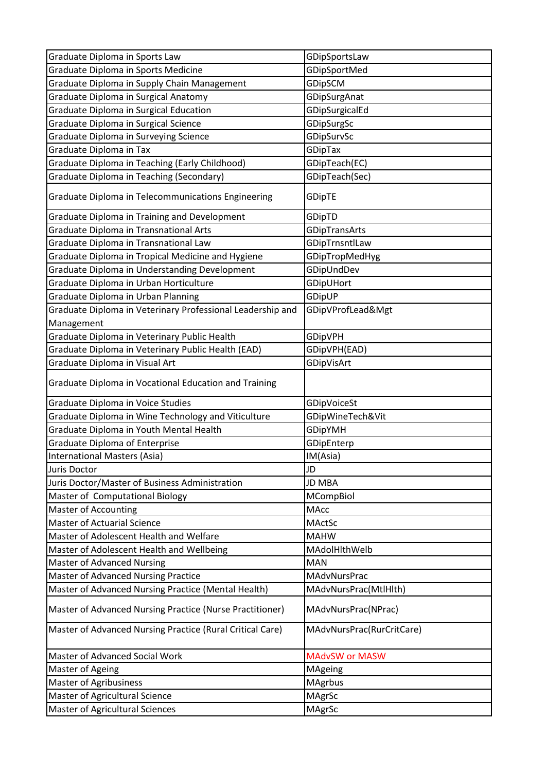| Graduate Diploma in Sports Law                             | GDipSportsLaw             |
|------------------------------------------------------------|---------------------------|
| Graduate Diploma in Sports Medicine                        | GDipSportMed              |
| Graduate Diploma in Supply Chain Management                | GDipSCM                   |
| Graduate Diploma in Surgical Anatomy                       | GDipSurgAnat              |
| Graduate Diploma in Surgical Education                     | GDipSurgicalEd            |
| Graduate Diploma in Surgical Science                       | GDipSurgSc                |
| Graduate Diploma in Surveying Science                      | GDipSurvSc                |
| Graduate Diploma in Tax                                    | <b>GDipTax</b>            |
| Graduate Diploma in Teaching (Early Childhood)             | GDipTeach(EC)             |
| Graduate Diploma in Teaching (Secondary)                   | GDipTeach(Sec)            |
| Graduate Diploma in Telecommunications Engineering         | <b>GDipTE</b>             |
| Graduate Diploma in Training and Development               | GDipTD                    |
| Graduate Diploma in Transnational Arts                     | GDipTransArts             |
| Graduate Diploma in Transnational Law                      | GDipTrnsntlLaw            |
| Graduate Diploma in Tropical Medicine and Hygiene          | GDipTropMedHyg            |
| Graduate Diploma in Understanding Development              | GDipUndDev                |
| Graduate Diploma in Urban Horticulture                     | GDipUHort                 |
| Graduate Diploma in Urban Planning                         | GDipUP                    |
| Graduate Diploma in Veterinary Professional Leadership and | GDipVProfLead&Mgt         |
| Management                                                 |                           |
| Graduate Diploma in Veterinary Public Health               | <b>GDipVPH</b>            |
| Graduate Diploma in Veterinary Public Health (EAD)         | GDipVPH(EAD)              |
| Graduate Diploma in Visual Art                             | GDipVisArt                |
| Graduate Diploma in Vocational Education and Training      |                           |
| Graduate Diploma in Voice Studies                          | GDipVoiceSt               |
| Graduate Diploma in Wine Technology and Viticulture        | GDipWineTech&Vit          |
| Graduate Diploma in Youth Mental Health                    | <b>GDipYMH</b>            |
| <b>Graduate Diploma of Enterprise</b>                      | GDipEnterp                |
| International Masters (Asia)                               | IM(Asia)                  |
| Juris Doctor                                               | JD                        |
| Juris Doctor/Master of Business Administration             | <b>JD MBA</b>             |
| Master of Computational Biology                            | MCompBiol                 |
| <b>Master of Accounting</b>                                | <b>MAcc</b>               |
| <b>Master of Actuarial Science</b>                         | MActSc                    |
| Master of Adolescent Health and Welfare                    | <b>MAHW</b>               |
| Master of Adolescent Health and Wellbeing                  | MAdolHlthWelb             |
| <b>Master of Advanced Nursing</b>                          | <b>MAN</b>                |
| Master of Advanced Nursing Practice                        | MAdvNursPrac              |
| Master of Advanced Nursing Practice (Mental Health)        | MAdvNursPrac(MtlHlth)     |
| Master of Advanced Nursing Practice (Nurse Practitioner)   | MAdvNursPrac(NPrac)       |
| Master of Advanced Nursing Practice (Rural Critical Care)  | MAdvNursPrac(RurCritCare) |
| Master of Advanced Social Work                             | <b>MAdvSW or MASW</b>     |
| Master of Ageing                                           | MAgeing                   |
| Master of Agribusiness                                     | <b>MAgrbus</b>            |
| Master of Agricultural Science                             | MAgrSc                    |
| <b>Master of Agricultural Sciences</b>                     | MAgrSc                    |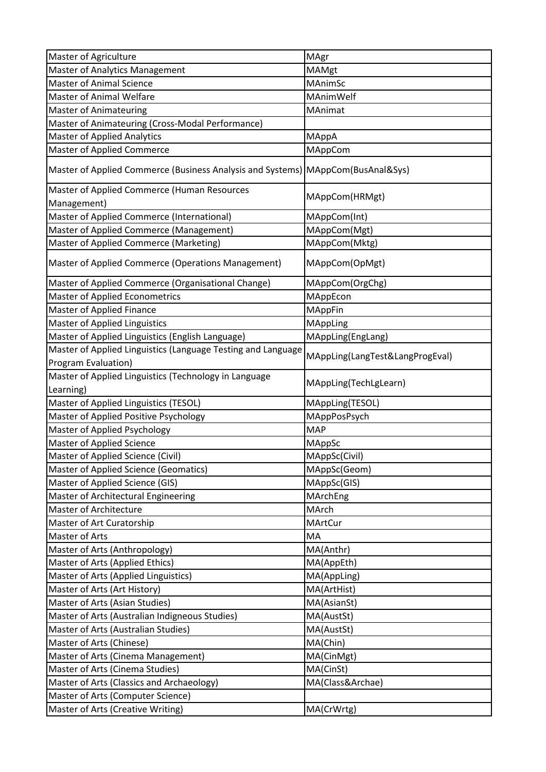| Master of Agriculture                                                           | MAgr                            |
|---------------------------------------------------------------------------------|---------------------------------|
| <b>Master of Analytics Management</b>                                           | <b>MAMgt</b>                    |
| <b>Master of Animal Science</b>                                                 | MAnimSc                         |
| <b>Master of Animal Welfare</b>                                                 | MAnimWelf                       |
| <b>Master of Animateuring</b>                                                   | MAnimat                         |
| Master of Animateuring (Cross-Modal Performance)                                |                                 |
| <b>Master of Applied Analytics</b>                                              | MAppA                           |
| <b>Master of Applied Commerce</b>                                               | MAppCom                         |
| Master of Applied Commerce (Business Analysis and Systems) MAppCom(BusAnal&Sys) |                                 |
| Master of Applied Commerce (Human Resources                                     | MAppCom(HRMgt)                  |
| Management)                                                                     |                                 |
| Master of Applied Commerce (International)                                      | MAppCom(Int)                    |
| Master of Applied Commerce (Management)                                         | MAppCom(Mgt)                    |
| Master of Applied Commerce (Marketing)                                          | MAppCom(Mktg)                   |
| Master of Applied Commerce (Operations Management)                              | MAppCom(OpMgt)                  |
| Master of Applied Commerce (Organisational Change)                              | MAppCom(OrgChg)                 |
| <b>Master of Applied Econometrics</b>                                           | MAppEcon                        |
| <b>Master of Applied Finance</b>                                                | MAppFin                         |
| <b>Master of Applied Linguistics</b>                                            | MAppLing                        |
| Master of Applied Linguistics (English Language)                                | MAppLing(EngLang)               |
| Master of Applied Linguistics (Language Testing and Language                    | MAppLing(LangTest&LangProgEval) |
| Program Evaluation)                                                             |                                 |
| Master of Applied Linguistics (Technology in Language<br>Learning)              | MAppLing(TechLgLearn)           |
| Master of Applied Linguistics (TESOL)                                           | MAppLing(TESOL)                 |
| Master of Applied Positive Psychology                                           | MAppPosPsych                    |
| Master of Applied Psychology                                                    | <b>MAP</b>                      |
| <b>Master of Applied Science</b>                                                | MAppSc                          |
| Master of Applied Science (Civil)                                               | MAppSc(Civil)                   |
| Master of Applied Science (Geomatics)                                           | MAppSc(Geom)                    |
| Master of Applied Science (GIS)                                                 | MAppSc(GIS)                     |
| Master of Architectural Engineering                                             | MArchEng                        |
| <b>Master of Architecture</b>                                                   | MArch                           |
| Master of Art Curatorship                                                       | MArtCur                         |
| Master of Arts                                                                  | MA                              |
| Master of Arts (Anthropology)                                                   | MA(Anthr)                       |
| Master of Arts (Applied Ethics)                                                 | MA(AppEth)                      |
| Master of Arts (Applied Linguistics)                                            | MA(AppLing)                     |
| Master of Arts (Art History)                                                    | MA(ArtHist)                     |
| Master of Arts (Asian Studies)                                                  | MA(AsianSt)                     |
| Master of Arts (Australian Indigneous Studies)                                  | MA(AustSt)                      |
| Master of Arts (Australian Studies)                                             | MA(AustSt)                      |
| Master of Arts (Chinese)                                                        | MA(Chin)                        |
| Master of Arts (Cinema Management)                                              | MA(CinMgt)                      |
| Master of Arts (Cinema Studies)                                                 | MA(CinSt)                       |
|                                                                                 |                                 |
| Master of Arts (Classics and Archaeology)                                       | MA(Class&Archae)                |
| Master of Arts (Computer Science)                                               |                                 |
| Master of Arts (Creative Writing)                                               | MA(CrWrtg)                      |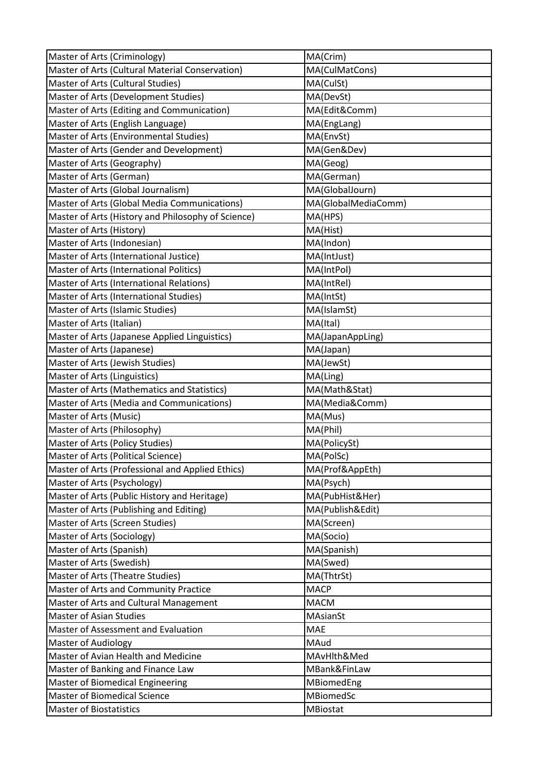| Master of Arts (Criminology)                       | MA(Crim)            |
|----------------------------------------------------|---------------------|
| Master of Arts (Cultural Material Conservation)    | MA(CulMatCons)      |
| Master of Arts (Cultural Studies)                  | MA(CulSt)           |
| Master of Arts (Development Studies)               | MA(DevSt)           |
| Master of Arts (Editing and Communication)         | MA(Edit&Comm)       |
| Master of Arts (English Language)                  | MA(EngLang)         |
| Master of Arts (Environmental Studies)             | MA(EnvSt)           |
| Master of Arts (Gender and Development)            | MA(Gen&Dev)         |
| Master of Arts (Geography)                         | MA(Geog)            |
| Master of Arts (German)                            | MA(German)          |
| Master of Arts (Global Journalism)                 | MA(GlobalJourn)     |
| Master of Arts (Global Media Communications)       | MA(GlobalMediaComm) |
| Master of Arts (History and Philosophy of Science) | MA(HPS)             |
| Master of Arts (History)                           | MA(Hist)            |
| Master of Arts (Indonesian)                        | MA(Indon)           |
| Master of Arts (International Justice)             | MA(IntJust)         |
| Master of Arts (International Politics)            | MA(IntPol)          |
| Master of Arts (International Relations)           | MA(IntRel)          |
| Master of Arts (International Studies)             | MA(IntSt)           |
| Master of Arts (Islamic Studies)                   | MA(IslamSt)         |
| Master of Arts (Italian)                           | MA(Ital)            |
| Master of Arts (Japanese Applied Linguistics)      | MA(JapanAppLing)    |
| Master of Arts (Japanese)                          | MA(Japan)           |
| Master of Arts (Jewish Studies)                    | MA(JewSt)           |
| Master of Arts (Linguistics)                       | MA(Ling)            |
| Master of Arts (Mathematics and Statistics)        | MA(Math&Stat)       |
| Master of Arts (Media and Communications)          | MA(Media&Comm)      |
| Master of Arts (Music)                             | MA(Mus)             |
| Master of Arts (Philosophy)                        | MA(Phil)            |
| Master of Arts (Policy Studies)                    | MA(PolicySt)        |
| Master of Arts (Political Science)                 | MA(PolSc)           |
| Master of Arts (Professional and Applied Ethics)   | MA(Prof&AppEth)     |
| Master of Arts (Psychology)                        | MA(Psych)           |
| Master of Arts (Public History and Heritage)       | MA(PubHist&Her)     |
| Master of Arts (Publishing and Editing)            | MA(Publish&Edit)    |
| Master of Arts (Screen Studies)                    | MA(Screen)          |
| Master of Arts (Sociology)                         | MA(Socio)           |
| Master of Arts (Spanish)                           | MA(Spanish)         |
| Master of Arts (Swedish)                           | MA(Swed)            |
| Master of Arts (Theatre Studies)                   | MA(ThtrSt)          |
| Master of Arts and Community Practice              | <b>MACP</b>         |
| Master of Arts and Cultural Management             | <b>MACM</b>         |
| <b>Master of Asian Studies</b>                     | MAsianSt            |
| Master of Assessment and Evaluation                | MAE                 |
| <b>Master of Audiology</b>                         | MAud                |
| Master of Avian Health and Medicine                | MAvHlth&Med         |
| Master of Banking and Finance Law                  | MBank&FinLaw        |
| <b>Master of Biomedical Engineering</b>            | MBiomedEng          |
| <b>Master of Biomedical Science</b>                | MBiomedSc           |
| <b>Master of Biostatistics</b>                     | MBiostat            |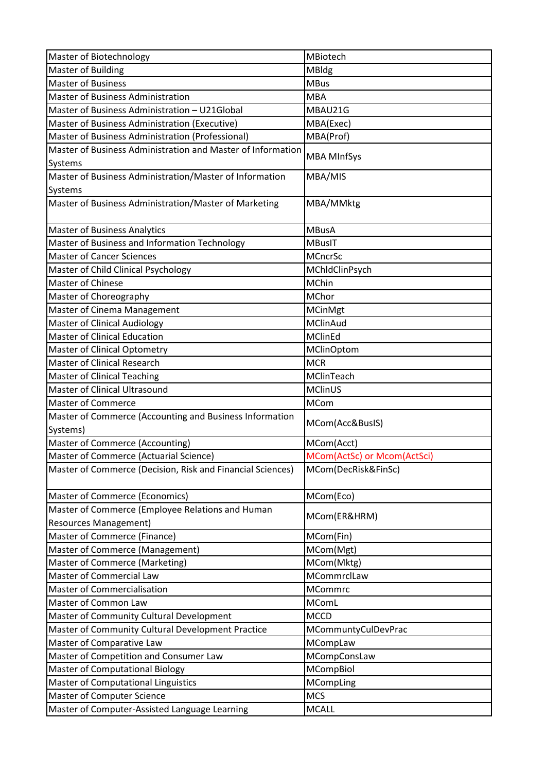| Master of Biotechnology                                     | MBiotech                    |
|-------------------------------------------------------------|-----------------------------|
| <b>Master of Building</b>                                   | MBldg                       |
| <b>Master of Business</b>                                   | <b>MBus</b>                 |
| <b>Master of Business Administration</b>                    | <b>MBA</b>                  |
| Master of Business Administration - U21Global               | MBAU21G                     |
| Master of Business Administration (Executive)               | MBA(Exec)                   |
| Master of Business Administration (Professional)            | MBA(Prof)                   |
| Master of Business Administration and Master of Information |                             |
| Systems                                                     | <b>MBA MInfSys</b>          |
| Master of Business Administration/Master of Information     | MBA/MIS                     |
| Systems                                                     |                             |
| Master of Business Administration/Master of Marketing       | MBA/MMktg                   |
| <b>Master of Business Analytics</b>                         | <b>MBusA</b>                |
| Master of Business and Information Technology               | <b>MBusIT</b>               |
| <b>Master of Cancer Sciences</b>                            |                             |
|                                                             | <b>MCncrSc</b>              |
| Master of Child Clinical Psychology                         | MChldClinPsych              |
| Master of Chinese                                           | <b>MChin</b>                |
| Master of Choreography                                      | MChor                       |
| Master of Cinema Management                                 | MCinMgt                     |
| <b>Master of Clinical Audiology</b>                         | MClinAud                    |
| <b>Master of Clinical Education</b>                         | MClinEd                     |
| <b>Master of Clinical Optometry</b>                         | <b>MClinOptom</b>           |
| Master of Clinical Research                                 | <b>MCR</b>                  |
| <b>Master of Clinical Teaching</b>                          | MClinTeach                  |
| Master of Clinical Ultrasound                               | <b>MClinUS</b>              |
| <b>Master of Commerce</b>                                   | <b>MCom</b>                 |
| Master of Commerce (Accounting and Business Information     | MCom(Acc&BusIS)             |
| Systems)                                                    |                             |
| Master of Commerce (Accounting)                             | MCom(Acct)                  |
| Master of Commerce (Actuarial Science)                      | MCom(ActSc) or Mcom(ActSci) |
| Master of Commerce (Decision, Risk and Financial Sciences)  | MCom(DecRisk&FinSc)         |
| <b>Master of Commerce (Economics)</b>                       | MCom(Eco)                   |
| Master of Commerce (Employee Relations and Human            |                             |
| <b>Resources Management)</b>                                | MCom(ER&HRM)                |
| Master of Commerce (Finance)                                | MCom(Fin)                   |
| Master of Commerce (Management)                             | MCom(Mgt)                   |
| Master of Commerce (Marketing)                              | MCom(Mktg)                  |
| Master of Commercial Law                                    | MCommrclLaw                 |
| <b>Master of Commercialisation</b>                          | <b>MCommrc</b>              |
| Master of Common Law                                        | <b>MComL</b>                |
| Master of Community Cultural Development                    | <b>MCCD</b>                 |
| Master of Community Cultural Development Practice           | MCommuntyCulDevPrac         |
| Master of Comparative Law                                   | MCompLaw                    |
| Master of Competition and Consumer Law                      | MCompConsLaw                |
| <b>Master of Computational Biology</b>                      | MCompBiol                   |
| <b>Master of Computational Linguistics</b>                  | MCompLing                   |
| <b>Master of Computer Science</b>                           | <b>MCS</b>                  |
| Master of Computer-Assisted Language Learning               | <b>MCALL</b>                |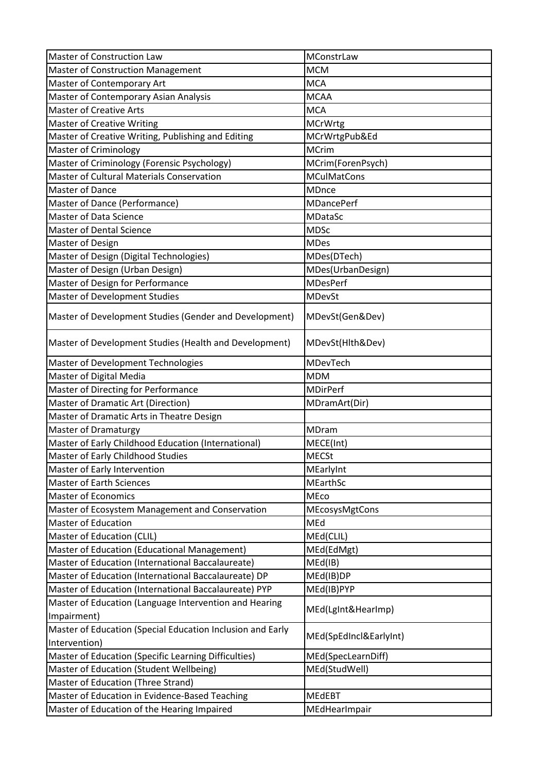| Master of Construction Law                                 | MConstrLaw             |
|------------------------------------------------------------|------------------------|
| <b>Master of Construction Management</b>                   | <b>MCM</b>             |
| Master of Contemporary Art                                 | <b>MCA</b>             |
| Master of Contemporary Asian Analysis                      | <b>MCAA</b>            |
| <b>Master of Creative Arts</b>                             | <b>MCA</b>             |
| <b>Master of Creative Writing</b>                          | <b>MCrWrtg</b>         |
| Master of Creative Writing, Publishing and Editing         | MCrWrtgPub&Ed          |
| <b>Master of Criminology</b>                               | <b>MCrim</b>           |
| Master of Criminology (Forensic Psychology)                | MCrim(ForenPsych)      |
| Master of Cultural Materials Conservation                  | <b>MCulMatCons</b>     |
| <b>Master of Dance</b>                                     | MDnce                  |
| Master of Dance (Performance)                              | <b>MDancePerf</b>      |
| <b>Master of Data Science</b>                              | <b>MDataSc</b>         |
| <b>Master of Dental Science</b>                            | <b>MDSc</b>            |
| Master of Design                                           | <b>MDes</b>            |
| Master of Design (Digital Technologies)                    | MDes(DTech)            |
| Master of Design (Urban Design)                            | MDes(UrbanDesign)      |
| Master of Design for Performance                           | <b>MDesPerf</b>        |
| <b>Master of Development Studies</b>                       | <b>MDevSt</b>          |
| Master of Development Studies (Gender and Development)     | MDevSt(Gen&Dev)        |
| Master of Development Studies (Health and Development)     | MDevSt(Hlth&Dev)       |
| Master of Development Technologies                         | MDevTech               |
| Master of Digital Media                                    | <b>MDM</b>             |
| Master of Directing for Performance                        | <b>MDirPerf</b>        |
| Master of Dramatic Art (Direction)                         | MDramArt(Dir)          |
| Master of Dramatic Arts in Theatre Design                  |                        |
| <b>Master of Dramaturgy</b>                                | MDram                  |
| Master of Early Childhood Education (International)        | MECE(Int)              |
| Master of Early Childhood Studies                          | <b>MECSt</b>           |
| Master of Early Intervention                               | MEarlyInt              |
| <b>Master of Earth Sciences</b>                            | <b>MEarthSc</b>        |
| <b>Master of Economics</b>                                 | MEco                   |
| Master of Ecosystem Management and Conservation            | MEcosysMgtCons         |
| <b>Master of Education</b>                                 | MEd                    |
| Master of Education (CLIL)                                 | MEd(CLIL)              |
| Master of Education (Educational Management)               | MEd(EdMgt)             |
| Master of Education (International Baccalaureate)          | MEd(IB)                |
| Master of Education (International Baccalaureate) DP       | MEd(IB)DP              |
| Master of Education (International Baccalaureate) PYP      | MEd(IB)PYP             |
| Master of Education (Language Intervention and Hearing     | MEd(LgInt&HearImp)     |
| Impairment)                                                |                        |
| Master of Education (Special Education Inclusion and Early | MEd(SpEdIncl&EarlyInt) |
| Intervention)                                              |                        |
| Master of Education (Specific Learning Difficulties)       | MEd(SpecLearnDiff)     |
| Master of Education (Student Wellbeing)                    | MEd(StudWell)          |
| Master of Education (Three Strand)                         |                        |
| Master of Education in Evidence-Based Teaching             | <b>MEdEBT</b>          |
| Master of Education of the Hearing Impaired                | MEdHearImpair          |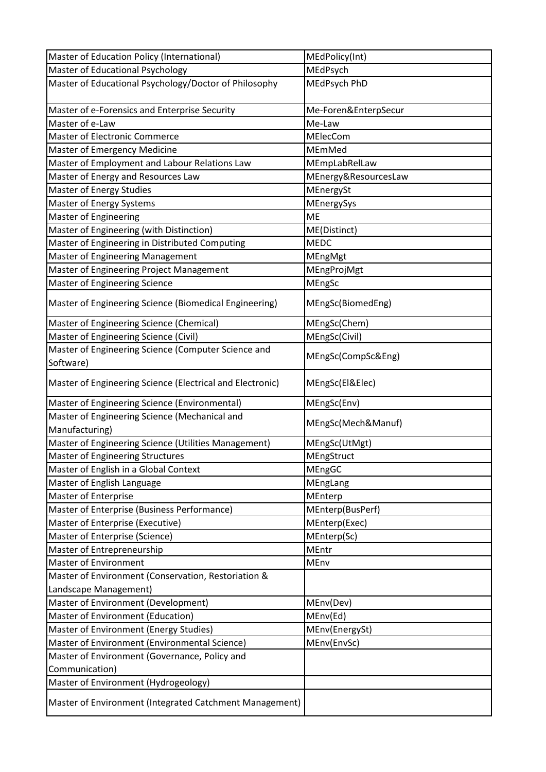| Master of Education Policy (International)                       | MEdPolicy(Int)       |
|------------------------------------------------------------------|----------------------|
| Master of Educational Psychology                                 | MEdPsych             |
| Master of Educational Psychology/Doctor of Philosophy            | MEdPsych PhD         |
|                                                                  |                      |
| Master of e-Forensics and Enterprise Security                    | Me-Foren&EnterpSecur |
| Master of e-Law                                                  | Me-Law               |
| Master of Electronic Commerce                                    | MElecCom             |
| <b>Master of Emergency Medicine</b>                              | MEmMed               |
| Master of Employment and Labour Relations Law                    | MEmpLabRelLaw        |
| Master of Energy and Resources Law                               | MEnergy&ResourcesLaw |
| <b>Master of Energy Studies</b>                                  | MEnergySt            |
| Master of Energy Systems                                         | MEnergySys           |
| <b>Master of Engineering</b>                                     | <b>ME</b>            |
| Master of Engineering (with Distinction)                         | ME(Distinct)         |
| Master of Engineering in Distributed Computing                   | <b>MEDC</b>          |
| <b>Master of Engineering Management</b>                          | MEngMgt              |
| Master of Engineering Project Management                         | MEngProjMgt          |
| <b>Master of Engineering Science</b>                             | MEngSc               |
| Master of Engineering Science (Biomedical Engineering)           | MEngSc(BiomedEng)    |
| Master of Engineering Science (Chemical)                         | MEngSc(Chem)         |
| Master of Engineering Science (Civil)                            | MEngSc(Civil)        |
| Master of Engineering Science (Computer Science and<br>Software) | MEngSc(CompSc&Eng)   |
| Master of Engineering Science (Electrical and Electronic)        | MEngSc(El&Elec)      |
| Master of Engineering Science (Environmental)                    | MEngSc(Env)          |
| Master of Engineering Science (Mechanical and                    |                      |
| Manufacturing)                                                   | MEngSc(Mech&Manuf)   |
| Master of Engineering Science (Utilities Management)             | MEngSc(UtMgt)        |
| <b>Master of Engineering Structures</b>                          | MEngStruct           |
| Master of English in a Global Context                            | MEngGC               |
| Master of English Language                                       | MEngLang             |
| <b>Master of Enterprise</b>                                      | MEnterp              |
| Master of Enterprise (Business Performance)                      | MEnterp(BusPerf)     |
| Master of Enterprise (Executive)                                 | MEnterp(Exec)        |
| Master of Enterprise (Science)                                   | MEnterp(Sc)          |
| Master of Entrepreneurship                                       | MEntr                |
| <b>Master of Environment</b>                                     | MEnv                 |
| Master of Environment (Conservation, Restoriation &              |                      |
| Landscape Management)                                            |                      |
| Master of Environment (Development)                              | MEnv(Dev)            |
| Master of Environment (Education)                                | MEnv(Ed)             |
| Master of Environment (Energy Studies)                           | MEnv(EnergySt)       |
| Master of Environment (Environmental Science)                    | MEnv(EnvSc)          |
| Master of Environment (Governance, Policy and                    |                      |
| Communication)                                                   |                      |
| Master of Environment (Hydrogeology)                             |                      |
| Master of Environment (Integrated Catchment Management)          |                      |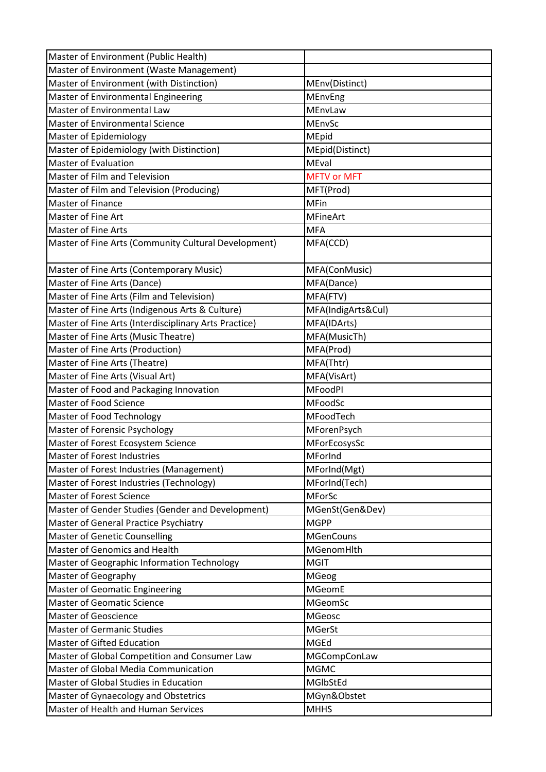| Master of Environment (Public Health)                 |                    |
|-------------------------------------------------------|--------------------|
| Master of Environment (Waste Management)              |                    |
| Master of Environment (with Distinction)              | MEnv(Distinct)     |
| Master of Environmental Engineering                   | MEnvEng            |
| Master of Environmental Law                           | MEnvLaw            |
| <b>Master of Environmental Science</b>                | MEnvSc             |
| Master of Epidemiology                                | MEpid              |
| Master of Epidemiology (with Distinction)             | MEpid(Distinct)    |
| <b>Master of Evaluation</b>                           | MEval              |
| Master of Film and Television                         | <b>MFTV or MFT</b> |
| Master of Film and Television (Producing)             | MFT(Prod)          |
| Master of Finance                                     | <b>MFin</b>        |
| Master of Fine Art                                    | <b>MFineArt</b>    |
| <b>Master of Fine Arts</b>                            | <b>MFA</b>         |
| Master of Fine Arts (Community Cultural Development)  | MFA(CCD)           |
|                                                       |                    |
| Master of Fine Arts (Contemporary Music)              | MFA(ConMusic)      |
| Master of Fine Arts (Dance)                           | MFA(Dance)         |
| Master of Fine Arts (Film and Television)             | MFA(FTV)           |
| Master of Fine Arts (Indigenous Arts & Culture)       | MFA(IndigArts&Cul) |
| Master of Fine Arts (Interdisciplinary Arts Practice) | MFA(IDArts)        |
| Master of Fine Arts (Music Theatre)                   | MFA(MusicTh)       |
| Master of Fine Arts (Production)                      | MFA(Prod)          |
| Master of Fine Arts (Theatre)                         | MFA(Thtr)          |
| Master of Fine Arts (Visual Art)                      | MFA(VisArt)        |
| Master of Food and Packaging Innovation               | <b>MFoodPI</b>     |
| Master of Food Science                                | MFoodSc            |
| <b>Master of Food Technology</b>                      | MFoodTech          |
| Master of Forensic Psychology                         | MForenPsych        |
| Master of Forest Ecosystem Science                    | MForEcosysSc       |
| Master of Forest Industries                           | MForInd            |
| Master of Forest Industries (Management)              | MForInd(Mgt)       |
| Master of Forest Industries (Technology)              | MForInd(Tech)      |
| <b>Master of Forest Science</b>                       | MForSc             |
| Master of Gender Studies (Gender and Development)     | MGenSt(Gen&Dev)    |
| Master of General Practice Psychiatry                 | <b>MGPP</b>        |
| <b>Master of Genetic Counselling</b>                  | <b>MGenCouns</b>   |
| Master of Genomics and Health                         | MGenomHlth         |
| Master of Geographic Information Technology           | <b>MGIT</b>        |
| Master of Geography                                   | MGeog              |
| <b>Master of Geomatic Engineering</b>                 | <b>MGeomE</b>      |
| <b>Master of Geomatic Science</b>                     | <b>MGeomSc</b>     |
| Master of Geoscience                                  | MGeosc             |
| <b>Master of Germanic Studies</b>                     | <b>MGerSt</b>      |
| Master of Gifted Education                            | MGEd               |
| Master of Global Competition and Consumer Law         | MGCompConLaw       |
| Master of Global Media Communication                  | <b>MGMC</b>        |
| Master of Global Studies in Education                 | MGIbStEd           |
| Master of Gynaecology and Obstetrics                  | MGyn&Obstet        |
| Master of Health and Human Services                   | <b>MHHS</b>        |
|                                                       |                    |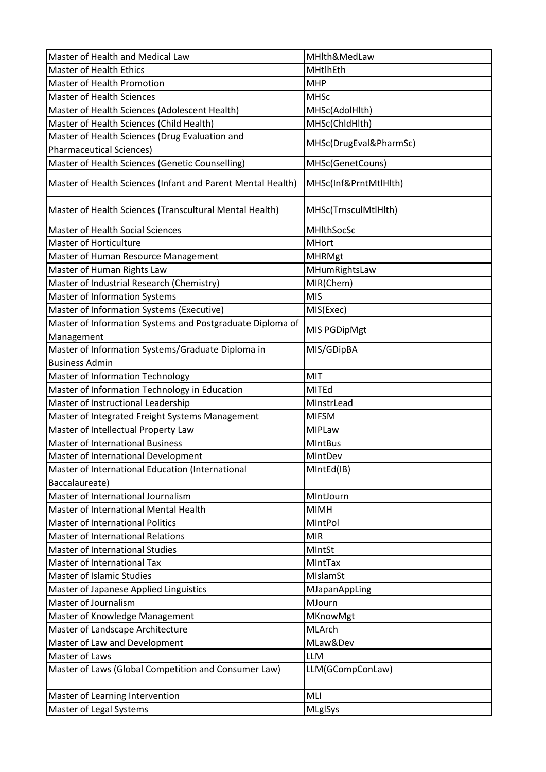| Master of Health and Medical Law                            | MHlth&MedLaw           |
|-------------------------------------------------------------|------------------------|
| <b>Master of Health Ethics</b>                              | MHtlhEth               |
| <b>Master of Health Promotion</b>                           | <b>MHP</b>             |
| <b>Master of Health Sciences</b>                            | <b>MHSc</b>            |
| Master of Health Sciences (Adolescent Health)               | MHSc(AdolHlth)         |
| Master of Health Sciences (Child Health)                    | MHSc(ChldHlth)         |
| Master of Health Sciences (Drug Evaluation and              |                        |
| <b>Pharmaceutical Sciences)</b>                             | MHSc(DrugEval&PharmSc) |
| Master of Health Sciences (Genetic Counselling)             | MHSc(GenetCouns)       |
| Master of Health Sciences (Infant and Parent Mental Health) | MHSc(Inf&PrntMtlHlth)  |
| Master of Health Sciences (Transcultural Mental Health)     | MHSc(TrnsculMtlHlth)   |
| <b>Master of Health Social Sciences</b>                     | MHIthSocSc             |
| <b>Master of Horticulture</b>                               | <b>MHort</b>           |
| Master of Human Resource Management                         | <b>MHRMgt</b>          |
| Master of Human Rights Law                                  | MHumRightsLaw          |
| Master of Industrial Research (Chemistry)                   | MIR(Chem)              |
| <b>Master of Information Systems</b>                        | <b>MIS</b>             |
| Master of Information Systems (Executive)                   | MIS(Exec)              |
| Master of Information Systems and Postgraduate Diploma of   |                        |
| Management                                                  | MIS PGDipMgt           |
| Master of Information Systems/Graduate Diploma in           | MIS/GDipBA             |
| <b>Business Admin</b>                                       |                        |
| <b>Master of Information Technology</b>                     | MIT                    |
| Master of Information Technology in Education               | MITEd                  |
| Master of Instructional Leadership                          | MInstrLead             |
| Master of Integrated Freight Systems Management             | <b>MIFSM</b>           |
| Master of Intellectual Property Law                         | <b>MIPLaw</b>          |
| <b>Master of International Business</b>                     | <b>MIntBus</b>         |
| Master of International Development                         | MIntDev                |
| Master of International Education (International            | MIntEd(IB)             |
| Baccalaureate)                                              |                        |
| Master of International Journalism                          | MIntJourn              |
| Master of International Mental Health                       | <b>MIMH</b>            |
| <b>Master of International Politics</b>                     | MIntPol                |
| <b>Master of International Relations</b>                    | <b>MIR</b>             |
| Master of International Studies                             | MIntSt                 |
| Master of International Tax                                 | MIntTax                |
| <b>Master of Islamic Studies</b>                            | MIslamSt               |
| Master of Japanese Applied Linguistics                      | MJapanAppLing          |
| Master of Journalism                                        | MJourn                 |
| Master of Knowledge Management                              | MKnowMgt               |
| Master of Landscape Architecture                            | MLArch                 |
| Master of Law and Development                               | MLaw&Dev               |
| Master of Laws                                              | <b>LLM</b>             |
| Master of Laws (Global Competition and Consumer Law)        | LLM(GCompConLaw)       |
| Master of Learning Intervention                             | MLI                    |
| Master of Legal Systems                                     | <b>MLglSys</b>         |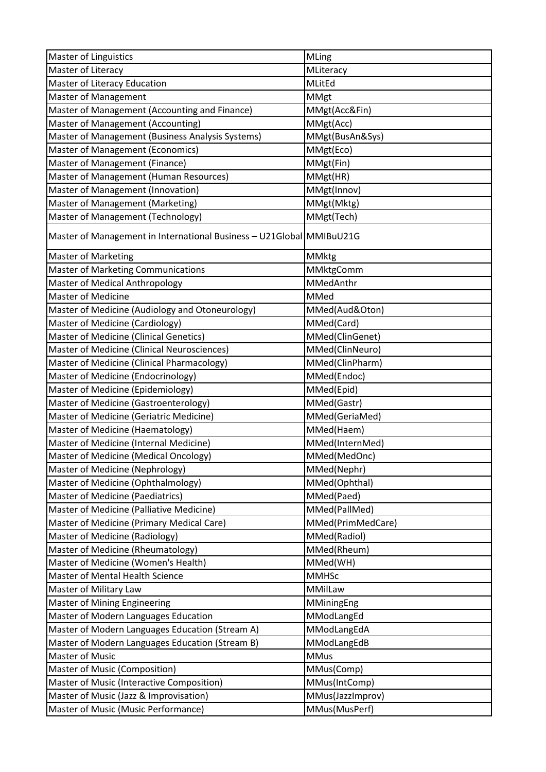| <b>Master of Linguistics</b>                                         | MLing             |
|----------------------------------------------------------------------|-------------------|
| Master of Literacy                                                   | MLiteracy         |
| Master of Literacy Education                                         | MLitEd            |
| <b>Master of Management</b>                                          | <b>MMgt</b>       |
| Master of Management (Accounting and Finance)                        | MMgt(Acc&Fin)     |
| Master of Management (Accounting)                                    | MMgt(Acc)         |
| Master of Management (Business Analysis Systems)                     | MMgt(BusAn&Sys)   |
| <b>Master of Management (Economics)</b>                              | MMgt(Eco)         |
| Master of Management (Finance)                                       | MMgt(Fin)         |
| Master of Management (Human Resources)                               | MMgt(HR)          |
| Master of Management (Innovation)                                    | MMgt(Innov)       |
| Master of Management (Marketing)                                     | MMgt(Mktg)        |
| Master of Management (Technology)                                    | MMgt(Tech)        |
| Master of Management in International Business - U21Global MMIBuU21G |                   |
| <b>Master of Marketing</b>                                           | <b>MMktg</b>      |
| <b>Master of Marketing Communications</b>                            | MMktgComm         |
| Master of Medical Anthropology                                       | MMedAnthr         |
| <b>Master of Medicine</b>                                            | MMed              |
| Master of Medicine (Audiology and Otoneurology)                      | MMed(Aud&Oton)    |
| <b>Master of Medicine (Cardiology)</b>                               | MMed(Card)        |
| Master of Medicine (Clinical Genetics)                               | MMed(ClinGenet)   |
| Master of Medicine (Clinical Neurosciences)                          | MMed(ClinNeuro)   |
| Master of Medicine (Clinical Pharmacology)                           | MMed(ClinPharm)   |
| Master of Medicine (Endocrinology)                                   | MMed(Endoc)       |
| Master of Medicine (Epidemiology)                                    | MMed(Epid)        |
| Master of Medicine (Gastroenterology)                                | MMed(Gastr)       |
| Master of Medicine (Geriatric Medicine)                              | MMed(GeriaMed)    |
| Master of Medicine (Haematology)                                     | MMed(Haem)        |
| Master of Medicine (Internal Medicine)                               | MMed(InternMed)   |
| Master of Medicine (Medical Oncology)                                | MMed(MedOnc)      |
| Master of Medicine (Nephrology)                                      | MMed(Nephr)       |
| Master of Medicine (Ophthalmology)                                   | MMed(Ophthal)     |
| <b>Master of Medicine (Paediatrics)</b>                              | MMed(Paed)        |
| Master of Medicine (Palliative Medicine)                             | MMed(PallMed)     |
| Master of Medicine (Primary Medical Care)                            | MMed(PrimMedCare) |
| Master of Medicine (Radiology)                                       | MMed(Radiol)      |
| Master of Medicine (Rheumatology)                                    | MMed(Rheum)       |
| Master of Medicine (Women's Health)                                  | MMed(WH)          |
| Master of Mental Health Science                                      | <b>MMHSc</b>      |
| Master of Military Law                                               | MMilLaw           |
| <b>Master of Mining Engineering</b>                                  | MMiningEng        |
| Master of Modern Languages Education                                 | MModLangEd        |
| Master of Modern Languages Education (Stream A)                      | MModLangEdA       |
| Master of Modern Languages Education (Stream B)                      | MModLangEdB       |
| <b>Master of Music</b>                                               | <b>MMus</b>       |
| <b>Master of Music (Composition)</b>                                 | MMus(Comp)        |
| Master of Music (Interactive Composition)                            | MMus(IntComp)     |
| Master of Music (Jazz & Improvisation)                               | MMus(JazzImprov)  |
| Master of Music (Music Performance)                                  | MMus(MusPerf)     |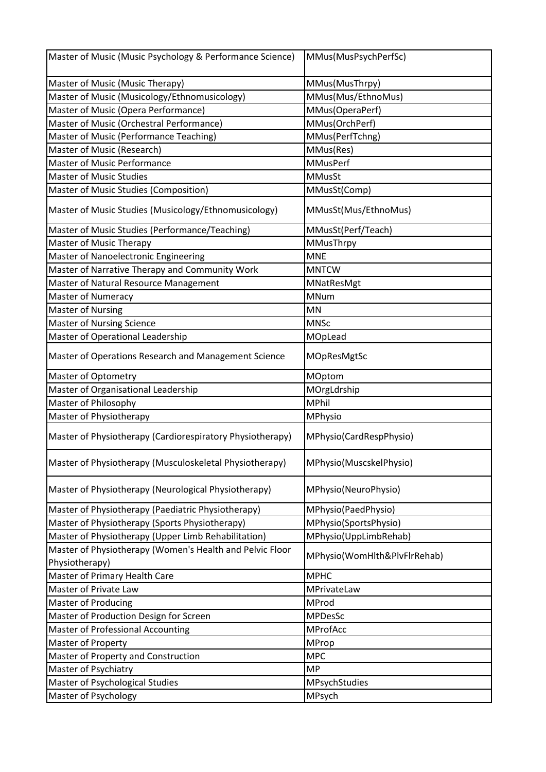| Master of Music (Music Psychology & Performance Science)  | MMus(MusPsychPerfSc)         |
|-----------------------------------------------------------|------------------------------|
| Master of Music (Music Therapy)                           | MMus(MusThrpy)               |
| Master of Music (Musicology/Ethnomusicology)              | MMus(Mus/EthnoMus)           |
| Master of Music (Opera Performance)                       | MMus(OperaPerf)              |
| Master of Music (Orchestral Performance)                  | MMus(OrchPerf)               |
| Master of Music (Performance Teaching)                    | MMus(PerfTchng)              |
| Master of Music (Research)                                | MMus(Res)                    |
| <b>Master of Music Performance</b>                        | <b>MMusPerf</b>              |
| <b>Master of Music Studies</b>                            | <b>MMusSt</b>                |
| Master of Music Studies (Composition)                     | MMusSt(Comp)                 |
| Master of Music Studies (Musicology/Ethnomusicology)      | MMusSt(Mus/EthnoMus)         |
| Master of Music Studies (Performance/Teaching)            | MMusSt(Perf/Teach)           |
| <b>Master of Music Therapy</b>                            | MMusThrpy                    |
| Master of Nanoelectronic Engineering                      | <b>MNE</b>                   |
| Master of Narrative Therapy and Community Work            | <b>MNTCW</b>                 |
| Master of Natural Resource Management                     | MNatResMgt                   |
| <b>Master of Numeracy</b>                                 | <b>MNum</b>                  |
| <b>Master of Nursing</b>                                  | MN                           |
| <b>Master of Nursing Science</b>                          | <b>MNSc</b>                  |
| Master of Operational Leadership                          | MOpLead                      |
| Master of Operations Research and Management Science      | MOpResMgtSc                  |
| <b>Master of Optometry</b>                                | MOptom                       |
| Master of Organisational Leadership                       | MOrgLdrship                  |
| Master of Philosophy                                      | <b>MPhil</b>                 |
| Master of Physiotherapy                                   | MPhysio                      |
| Master of Physiotherapy (Cardiorespiratory Physiotherapy) | MPhysio(CardRespPhysio)      |
| Master of Physiotherapy (Musculoskeletal Physiotherapy)   | MPhysio(MuscskelPhysio)      |
| Master of Physiotherapy (Neurological Physiotherapy)      | MPhysio(NeuroPhysio)         |
| Master of Physiotherapy (Paediatric Physiotherapy)        | MPhysio(PaedPhysio)          |
| Master of Physiotherapy (Sports Physiotherapy)            | MPhysio(SportsPhysio)        |
| Master of Physiotherapy (Upper Limb Rehabilitation)       | MPhysio(UppLimbRehab)        |
| Master of Physiotherapy (Women's Health and Pelvic Floor  | MPhysio(WomHlth&PlvFlrRehab) |
| Physiotherapy)                                            |                              |
| Master of Primary Health Care                             | <b>MPHC</b>                  |
| Master of Private Law                                     | MPrivateLaw                  |
| <b>Master of Producing</b>                                | MProd                        |
| Master of Production Design for Screen                    | <b>MPDesSc</b>               |
| <b>Master of Professional Accounting</b>                  | MProfAcc                     |
| Master of Property                                        | MProp                        |
| Master of Property and Construction                       | <b>MPC</b>                   |
| Master of Psychiatry                                      | <b>MP</b>                    |
| Master of Psychological Studies                           | MPsychStudies                |
| Master of Psychology                                      | MPsych                       |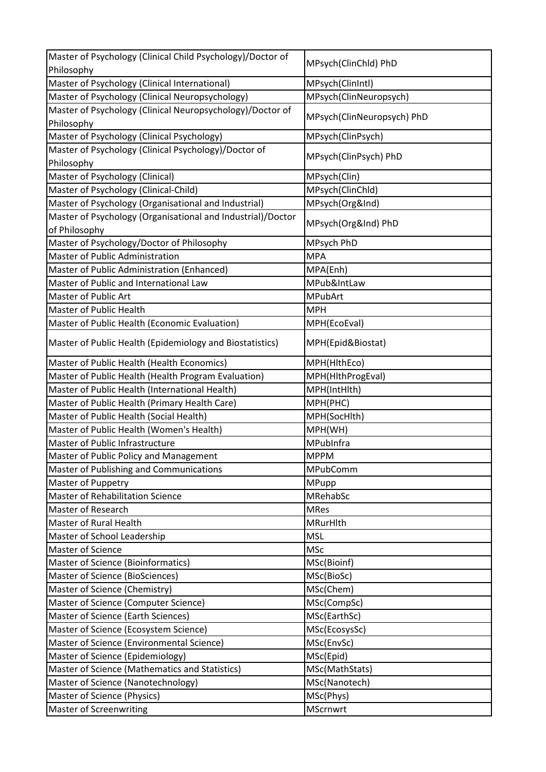| Master of Psychology (Clinical Child Psychology)/Doctor of  |                            |
|-------------------------------------------------------------|----------------------------|
| Philosophy                                                  | MPsych(ClinChld) PhD       |
| Master of Psychology (Clinical International)               | MPsych(ClinIntl)           |
| Master of Psychology (Clinical Neuropsychology)             | MPsych(ClinNeuropsych)     |
| Master of Psychology (Clinical Neuropsychology)/Doctor of   |                            |
| Philosophy                                                  | MPsych(ClinNeuropsych) PhD |
| Master of Psychology (Clinical Psychology)                  | MPsych(ClinPsych)          |
| Master of Psychology (Clinical Psychology)/Doctor of        |                            |
| Philosophy                                                  | MPsych(ClinPsych) PhD      |
| Master of Psychology (Clinical)                             | MPsych(Clin)               |
| Master of Psychology (Clinical-Child)                       | MPsych(ClinChld)           |
| Master of Psychology (Organisational and Industrial)        | MPsych(Org&Ind)            |
| Master of Psychology (Organisational and Industrial)/Doctor |                            |
| of Philosophy                                               | MPsych(Org&Ind) PhD        |
| Master of Psychology/Doctor of Philosophy                   | MPsych PhD                 |
| Master of Public Administration                             | <b>MPA</b>                 |
| Master of Public Administration (Enhanced)                  | MPA(Enh)                   |
| Master of Public and International Law                      | MPub&IntLaw                |
| Master of Public Art                                        | <b>MPubArt</b>             |
| Master of Public Health                                     | <b>MPH</b>                 |
| Master of Public Health (Economic Evaluation)               | MPH(EcoEval)               |
| Master of Public Health (Epidemiology and Biostatistics)    | MPH(Epid&Biostat)          |
| Master of Public Health (Health Economics)                  | MPH(HithEco)               |
| Master of Public Health (Health Program Evaluation)         | MPH(HlthProgEval)          |
| Master of Public Health (International Health)              | MPH(IntHlth)               |
| Master of Public Health (Primary Health Care)               | MPH(PHC)                   |
| Master of Public Health (Social Health)                     | MPH(SocHlth)               |
| Master of Public Health (Women's Health)                    | MPH(WH)                    |
| Master of Public Infrastructure                             | MPubInfra                  |
| Master of Public Policy and Management                      | <b>MPPM</b>                |
| Master of Publishing and Communications                     | MPubComm                   |
| Master of Puppetry                                          | MPupp                      |
| <b>Master of Rehabilitation Science</b>                     | MRehabSc                   |
| Master of Research                                          | <b>MRes</b>                |
| <b>Master of Rural Health</b>                               | MRurHlth                   |
| Master of School Leadership                                 | <b>MSL</b>                 |
| <b>Master of Science</b>                                    | <b>MSc</b>                 |
| Master of Science (Bioinformatics)                          | MSc(Bioinf)                |
| Master of Science (BioSciences)                             | MSc(BioSc)                 |
| Master of Science (Chemistry)                               | MSc(Chem)                  |
| Master of Science (Computer Science)                        | MSc(CompSc)                |
| Master of Science (Earth Sciences)                          | MSc(EarthSc)               |
| Master of Science (Ecosystem Science)                       | MSc(EcosysSc)              |
| Master of Science (Environmental Science)                   | MSc(EnvSc)                 |
| Master of Science (Epidemiology)                            | MSc(Epid)                  |
| Master of Science (Mathematics and Statistics)              | MSc(MathStats)             |
| Master of Science (Nanotechnology)                          | MSc(Nanotech)              |
| Master of Science (Physics)                                 | MSc(Phys)                  |
| <b>Master of Screenwriting</b>                              | <b>MScrnwrt</b>            |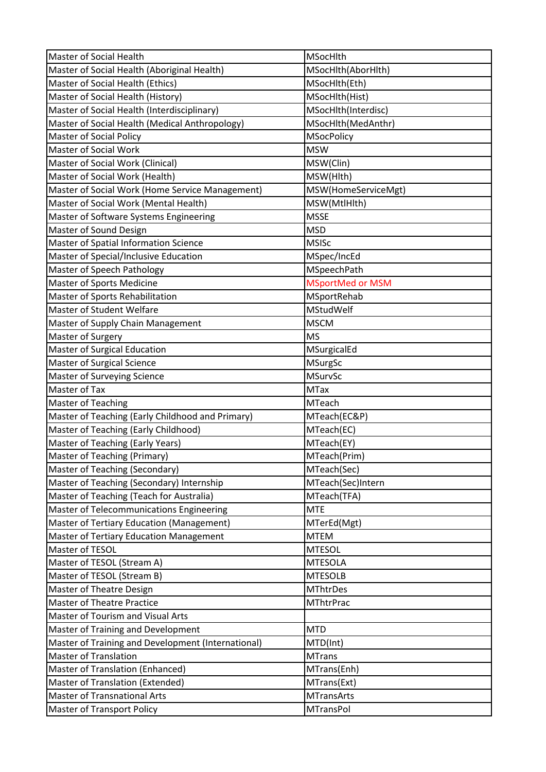| Master of Social Health                            | MSocHlth                |
|----------------------------------------------------|-------------------------|
| Master of Social Health (Aboriginal Health)        | MSocHlth(AborHlth)      |
| Master of Social Health (Ethics)                   | MSocHith(Eth)           |
| Master of Social Health (History)                  | MSocHlth(Hist)          |
| Master of Social Health (Interdisciplinary)        | MSocHlth(Interdisc)     |
| Master of Social Health (Medical Anthropology)     | MSocHlth(MedAnthr)      |
| <b>Master of Social Policy</b>                     | <b>MSocPolicy</b>       |
| <b>Master of Social Work</b>                       | <b>MSW</b>              |
| Master of Social Work (Clinical)                   | MSW(Clin)               |
| Master of Social Work (Health)                     | MSW(Hlth)               |
| Master of Social Work (Home Service Management)    | MSW(HomeServiceMgt)     |
| Master of Social Work (Mental Health)              | MSW(MtlHlth)            |
| Master of Software Systems Engineering             | <b>MSSE</b>             |
| Master of Sound Design                             | <b>MSD</b>              |
| Master of Spatial Information Science              | <b>MSISc</b>            |
| Master of Special/Inclusive Education              | MSpec/IncEd             |
| Master of Speech Pathology                         | MSpeechPath             |
| <b>Master of Sports Medicine</b>                   | <b>MSportMed or MSM</b> |
| Master of Sports Rehabilitation                    | MSportRehab             |
| Master of Student Welfare                          | MStudWelf               |
| Master of Supply Chain Management                  | <b>MSCM</b>             |
| Master of Surgery                                  | <b>MS</b>               |
| Master of Surgical Education                       | MSurgicalEd             |
| <b>Master of Surgical Science</b>                  | <b>MSurgSc</b>          |
| <b>Master of Surveying Science</b>                 | <b>MSurvSc</b>          |
|                                                    |                         |
| <b>Master of Tax</b>                               | <b>MTax</b>             |
| <b>Master of Teaching</b>                          | MTeach                  |
| Master of Teaching (Early Childhood and Primary)   | MTeach(EC&P)            |
| Master of Teaching (Early Childhood)               | MTeach(EC)              |
| Master of Teaching (Early Years)                   | MTeach(EY)              |
| Master of Teaching (Primary)                       | MTeach(Prim)            |
| <b>Master of Teaching (Secondary)</b>              | MTeach(Sec)             |
| Master of Teaching (Secondary) Internship          | MTeach(Sec)Intern       |
| Master of Teaching (Teach for Australia)           | MTeach(TFA)             |
| Master of Telecommunications Engineering           | <b>MTE</b>              |
| Master of Tertiary Education (Management)          | MTerEd(Mgt)             |
| <b>Master of Tertiary Education Management</b>     | <b>MTEM</b>             |
| Master of TESOL                                    | <b>MTESOL</b>           |
| Master of TESOL (Stream A)                         | <b>MTESOLA</b>          |
| Master of TESOL (Stream B)                         | <b>MTESOLB</b>          |
| Master of Theatre Design                           | <b>MThtrDes</b>         |
| <b>Master of Theatre Practice</b>                  | <b>MThtrPrac</b>        |
| Master of Tourism and Visual Arts                  |                         |
| Master of Training and Development                 | <b>MTD</b>              |
| Master of Training and Development (International) | MTD(Int)                |
| <b>Master of Translation</b>                       | <b>MTrans</b>           |
| Master of Translation (Enhanced)                   | MTrans(Enh)             |
| Master of Translation (Extended)                   | MTrans(Ext)             |
| <b>Master of Transnational Arts</b>                | <b>MTransArts</b>       |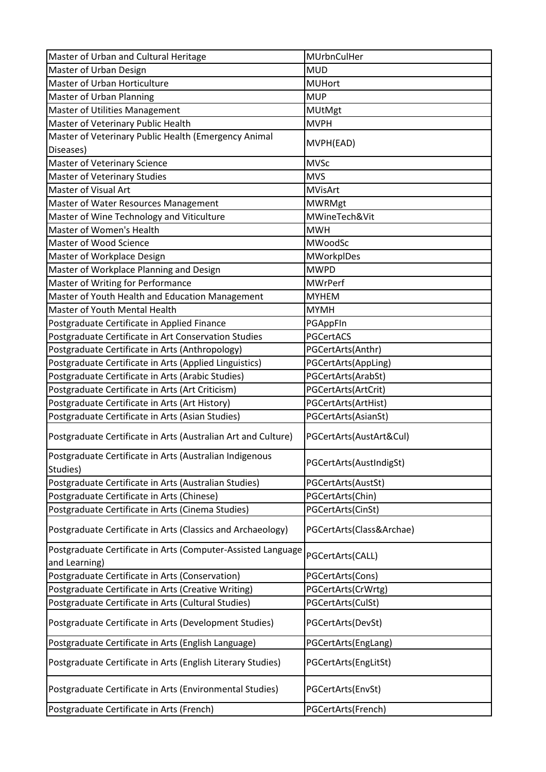| Master of Urban and Cultural Heritage                                                                  | MUrbnCulHer                            |
|--------------------------------------------------------------------------------------------------------|----------------------------------------|
| Master of Urban Design                                                                                 | <b>MUD</b>                             |
| Master of Urban Horticulture                                                                           | <b>MUHort</b>                          |
| Master of Urban Planning                                                                               | <b>MUP</b>                             |
| Master of Utilities Management                                                                         | <b>MUtMgt</b>                          |
| Master of Veterinary Public Health                                                                     | <b>MVPH</b>                            |
| Master of Veterinary Public Health (Emergency Animal                                                   |                                        |
| Diseases)                                                                                              | MVPH(EAD)                              |
| Master of Veterinary Science                                                                           | <b>MVSc</b>                            |
| <b>Master of Veterinary Studies</b>                                                                    | <b>MVS</b>                             |
| Master of Visual Art                                                                                   | <b>MVisArt</b>                         |
| Master of Water Resources Management                                                                   | <b>MWRMgt</b>                          |
| Master of Wine Technology and Viticulture                                                              | MWineTech&Vit                          |
| Master of Women's Health                                                                               | <b>MWH</b>                             |
| Master of Wood Science                                                                                 | MWoodSc                                |
| Master of Workplace Design                                                                             | <b>MWorkplDes</b>                      |
| Master of Workplace Planning and Design                                                                | <b>MWPD</b>                            |
| Master of Writing for Performance                                                                      | <b>MWrPerf</b>                         |
| Master of Youth Health and Education Management                                                        | <b>MYHEM</b>                           |
| Master of Youth Mental Health                                                                          | <b>MYMH</b>                            |
| Postgraduate Certificate in Applied Finance                                                            | PGAppFIn                               |
| Postgraduate Certificate in Art Conservation Studies                                                   | PGCertACS                              |
| Postgraduate Certificate in Arts (Anthropology)                                                        | PGCertArts(Anthr)                      |
| Postgraduate Certificate in Arts (Applied Linguistics)                                                 | PGCertArts(AppLing)                    |
| Postgraduate Certificate in Arts (Arabic Studies)                                                      | PGCertArts(ArabSt)                     |
| Postgraduate Certificate in Arts (Art Criticism)                                                       | PGCertArts(ArtCrit)                    |
| Postgraduate Certificate in Arts (Art History)                                                         | PGCertArts(ArtHist)                    |
| Postgraduate Certificate in Arts (Asian Studies)                                                       | PGCertArts(AsianSt)                    |
| Postgraduate Certificate in Arts (Australian Art and Culture)                                          | PGCertArts(AustArt&Cul)                |
| Postgraduate Certificate in Arts (Australian Indigenous<br>Studies)                                    | PGCertArts(AustIndigSt)                |
| Postgraduate Certificate in Arts (Australian Studies)                                                  | PGCertArts(AustSt)                     |
| Postgraduate Certificate in Arts (Chinese)                                                             | PGCertArts(Chin)                       |
| Postgraduate Certificate in Arts (Cinema Studies)                                                      | PGCertArts(CinSt)                      |
| Postgraduate Certificate in Arts (Classics and Archaeology)                                            | PGCertArts(Class&Archae)               |
| Postgraduate Certificate in Arts (Computer-Assisted Language                                           | PGCertArts(CALL)                       |
| and Learning)                                                                                          |                                        |
| Postgraduate Certificate in Arts (Conservation)<br>Postgraduate Certificate in Arts (Creative Writing) | PGCertArts(Cons)<br>PGCertArts(CrWrtg) |
| Postgraduate Certificate in Arts (Cultural Studies)                                                    | PGCertArts(CulSt)                      |
|                                                                                                        |                                        |
| Postgraduate Certificate in Arts (Development Studies)                                                 | PGCertArts(DevSt)                      |
| Postgraduate Certificate in Arts (English Language)                                                    | PGCertArts(EngLang)                    |
| Postgraduate Certificate in Arts (English Literary Studies)                                            | PGCertArts(EngLitSt)                   |
| Postgraduate Certificate in Arts (Environmental Studies)                                               | PGCertArts(EnvSt)                      |
| Postgraduate Certificate in Arts (French)                                                              | PGCertArts(French)                     |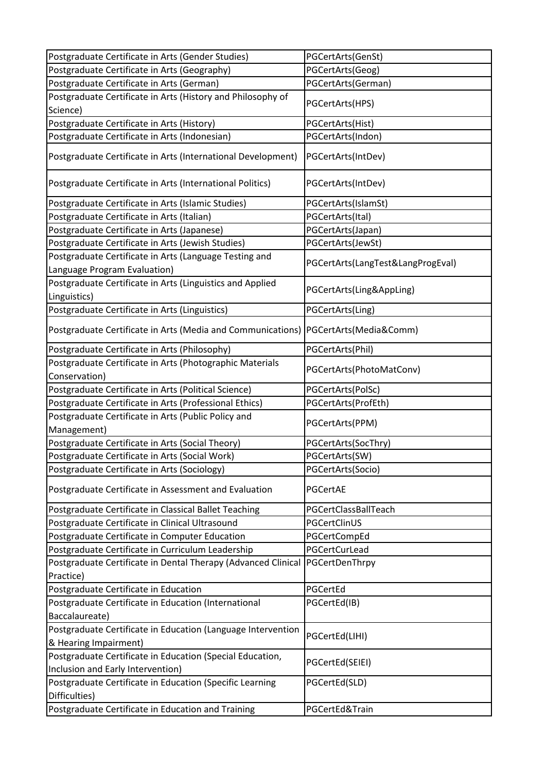| Postgraduate Certificate in Arts (Gender Studies)                         | PGCertArts(GenSt)                 |
|---------------------------------------------------------------------------|-----------------------------------|
| Postgraduate Certificate in Arts (Geography)                              | PGCertArts(Geog)                  |
| Postgraduate Certificate in Arts (German)                                 | PGCertArts(German)                |
| Postgraduate Certificate in Arts (History and Philosophy of               |                                   |
| Science)                                                                  | PGCertArts(HPS)                   |
| Postgraduate Certificate in Arts (History)                                | PGCertArts(Hist)                  |
| Postgraduate Certificate in Arts (Indonesian)                             | PGCertArts(Indon)                 |
|                                                                           |                                   |
| Postgraduate Certificate in Arts (International Development)              | PGCertArts(IntDev)                |
| Postgraduate Certificate in Arts (International Politics)                 | PGCertArts(IntDev)                |
| Postgraduate Certificate in Arts (Islamic Studies)                        | PGCertArts(IslamSt)               |
| Postgraduate Certificate in Arts (Italian)                                | PGCertArts(Ital)                  |
| Postgraduate Certificate in Arts (Japanese)                               | PGCertArts(Japan)                 |
| Postgraduate Certificate in Arts (Jewish Studies)                         | PGCertArts(JewSt)                 |
| Postgraduate Certificate in Arts (Language Testing and                    | PGCertArts(LangTest&LangProgEval) |
| Language Program Evaluation)                                              |                                   |
| Postgraduate Certificate in Arts (Linguistics and Applied                 |                                   |
| Linguistics)                                                              | PGCertArts(Ling&AppLing)          |
| Postgraduate Certificate in Arts (Linguistics)                            | PGCertArts(Ling)                  |
| Postgraduate Certificate in Arts (Media and Communications)               | PGCertArts(Media&Comm)            |
| Postgraduate Certificate in Arts (Philosophy)                             | PGCertArts(Phil)                  |
| Postgraduate Certificate in Arts (Photographic Materials<br>Conservation) | PGCertArts(PhotoMatConv)          |
| Postgraduate Certificate in Arts (Political Science)                      | PGCertArts(PolSc)                 |
| Postgraduate Certificate in Arts (Professional Ethics)                    | PGCertArts(ProfEth)               |
| Postgraduate Certificate in Arts (Public Policy and                       |                                   |
| Management)                                                               | PGCertArts(PPM)                   |
| Postgraduate Certificate in Arts (Social Theory)                          | PGCertArts(SocThry)               |
| Postgraduate Certificate in Arts (Social Work)                            | PGCertArts(SW)                    |
| Postgraduate Certificate in Arts (Sociology)                              | PGCertArts(Socio)                 |
| Postgraduate Certificate in Assessment and Evaluation                     | PGCertAE                          |
| Postgraduate Certificate in Classical Ballet Teaching                     | PGCertClassBallTeach              |
| Postgraduate Certificate in Clinical Ultrasound                           | PGCertClinUS                      |
| Postgraduate Certificate in Computer Education                            | PGCertCompEd                      |
| Postgraduate Certificate in Curriculum Leadership                         | PGCertCurLead                     |
| Postgraduate Certificate in Dental Therapy (Advanced Clinical             | PGCertDenThrpy                    |
| Practice)                                                                 |                                   |
| Postgraduate Certificate in Education                                     | PGCertEd                          |
| Postgraduate Certificate in Education (International                      | PGCertEd(IB)                      |
| Baccalaureate)                                                            |                                   |
| Postgraduate Certificate in Education (Language Intervention              |                                   |
| & Hearing Impairment)                                                     | PGCertEd(LIHI)                    |
| Postgraduate Certificate in Education (Special Education,                 |                                   |
| Inclusion and Early Intervention)                                         | PGCertEd(SEIEI)                   |
| Postgraduate Certificate in Education (Specific Learning                  |                                   |
|                                                                           | PGCertEd(SLD)                     |
| Difficulties)                                                             |                                   |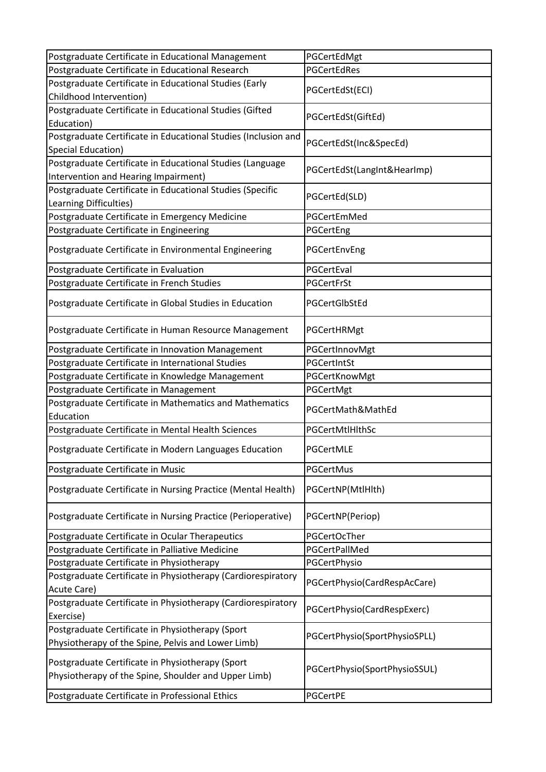| Postgraduate Certificate in Educational Management                                   | PGCertEdMgt                   |
|--------------------------------------------------------------------------------------|-------------------------------|
| Postgraduate Certificate in Educational Research                                     | <b>PGCertEdRes</b>            |
| Postgraduate Certificate in Educational Studies (Early                               |                               |
| Childhood Intervention)                                                              | PGCertEdSt(ECI)               |
| Postgraduate Certificate in Educational Studies (Gifted                              | PGCertEdSt(GiftEd)            |
| Education)                                                                           |                               |
| Postgraduate Certificate in Educational Studies (Inclusion and<br>Special Education) | PGCertEdSt(Inc&SpecEd)        |
| Postgraduate Certificate in Educational Studies (Language                            |                               |
| Intervention and Hearing Impairment)                                                 | PGCertEdSt(LangInt&HearImp)   |
| Postgraduate Certificate in Educational Studies (Specific                            |                               |
| Learning Difficulties)                                                               | PGCertEd(SLD)                 |
| Postgraduate Certificate in Emergency Medicine                                       | PGCertEmMed                   |
| Postgraduate Certificate in Engineering                                              | PGCertEng                     |
| Postgraduate Certificate in Environmental Engineering                                | PGCertEnvEng                  |
| Postgraduate Certificate in Evaluation                                               | PGCertEval                    |
| Postgraduate Certificate in French Studies                                           | PGCertFrSt                    |
| Postgraduate Certificate in Global Studies in Education                              | PGCertGlbStEd                 |
| Postgraduate Certificate in Human Resource Management                                | PGCertHRMgt                   |
| Postgraduate Certificate in Innovation Management                                    | PGCertInnovMgt                |
| Postgraduate Certificate in International Studies                                    | PGCertIntSt                   |
| Postgraduate Certificate in Knowledge Management                                     | PGCertKnowMgt                 |
| Postgraduate Certificate in Management                                               | PGCertMgt                     |
| Postgraduate Certificate in Mathematics and Mathematics                              | PGCertMath&MathEd             |
| Education                                                                            |                               |
| Postgraduate Certificate in Mental Health Sciences                                   | PGCertMtlHlthSc               |
| Postgraduate Certificate in Modern Languages Education                               | PGCertMLE                     |
| Postgraduate Certificate in Music                                                    | PGCertMus                     |
| Postgraduate Certificate in Nursing Practice (Mental Health)                         | PGCertNP(MtlHlth)             |
| Postgraduate Certificate in Nursing Practice (Perioperative)                         | PGCertNP(Periop)              |
| Postgraduate Certificate in Ocular Therapeutics                                      | PGCertOcTher                  |
| Postgraduate Certificate in Palliative Medicine                                      | PGCertPallMed                 |
| Postgraduate Certificate in Physiotherapy                                            | PGCertPhysio                  |
| Postgraduate Certificate in Physiotherapy (Cardiorespiratory                         |                               |
| Acute Care)                                                                          | PGCertPhysio(CardRespAcCare)  |
| Postgraduate Certificate in Physiotherapy (Cardiorespiratory<br>Exercise)            | PGCertPhysio(CardRespExerc)   |
| Postgraduate Certificate in Physiotherapy (Sport                                     |                               |
| Physiotherapy of the Spine, Pelvis and Lower Limb)                                   | PGCertPhysio(SportPhysioSPLL) |
| Postgraduate Certificate in Physiotherapy (Sport                                     |                               |
| Physiotherapy of the Spine, Shoulder and Upper Limb)                                 | PGCertPhysio(SportPhysioSSUL) |
| Postgraduate Certificate in Professional Ethics                                      | PGCertPE                      |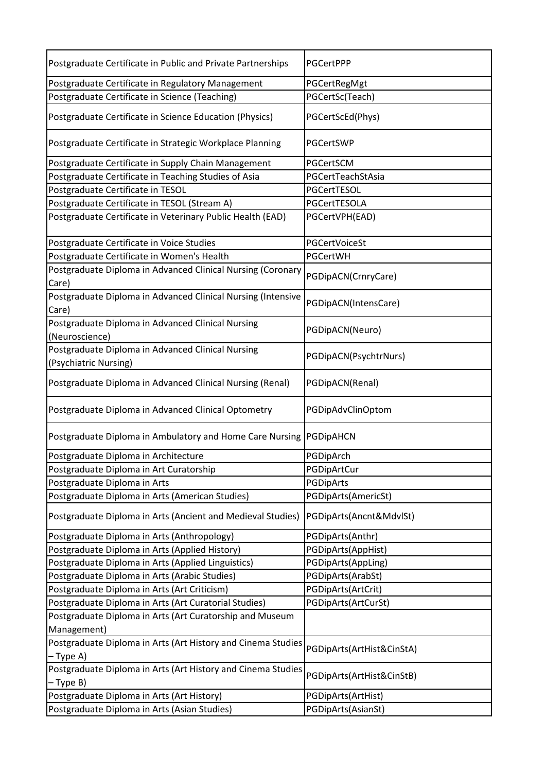| Postgraduate Certificate in Public and Private Partnerships           | PGCertPPP                 |
|-----------------------------------------------------------------------|---------------------------|
| Postgraduate Certificate in Regulatory Management                     | PGCertRegMgt              |
| Postgraduate Certificate in Science (Teaching)                        | PGCertSc(Teach)           |
| Postgraduate Certificate in Science Education (Physics)               | PGCertScEd(Phys)          |
| Postgraduate Certificate in Strategic Workplace Planning              | PGCertSWP                 |
| Postgraduate Certificate in Supply Chain Management                   | PGCertSCM                 |
| Postgraduate Certificate in Teaching Studies of Asia                  | PGCertTeachStAsia         |
| Postgraduate Certificate in TESOL                                     | PGCertTESOL               |
| Postgraduate Certificate in TESOL (Stream A)                          | PGCertTESOLA              |
| Postgraduate Certificate in Veterinary Public Health (EAD)            | PGCertVPH(EAD)            |
| Postgraduate Certificate in Voice Studies                             | PGCertVoiceSt             |
| Postgraduate Certificate in Women's Health                            | PGCertWH                  |
| Postgraduate Diploma in Advanced Clinical Nursing (Coronary<br>Care)  | PGDipACN(CrnryCare)       |
| Postgraduate Diploma in Advanced Clinical Nursing (Intensive<br>Care) | PGDipACN(IntensCare)      |
| Postgraduate Diploma in Advanced Clinical Nursing<br>(Neuroscience)   | PGDipACN(Neuro)           |
| Postgraduate Diploma in Advanced Clinical Nursing                     |                           |
| (Psychiatric Nursing)                                                 | PGDipACN(PsychtrNurs)     |
| Postgraduate Diploma in Advanced Clinical Nursing (Renal)             | PGDipACN(Renal)           |
| Postgraduate Diploma in Advanced Clinical Optometry                   | PGDipAdvClinOptom         |
| Postgraduate Diploma in Ambulatory and Home Care Nursing              | PGDipAHCN                 |
| Postgraduate Diploma in Architecture                                  | PGDipArch                 |
| Postgraduate Diploma in Art Curatorship                               | PGDipArtCur               |
| Postgraduate Diploma in Arts                                          | PGDipArts                 |
| Postgraduate Diploma in Arts (American Studies)                       | PGDipArts(AmericSt)       |
| Postgraduate Diploma in Arts (Ancient and Medieval Studies)           | PGDipArts(Ancnt&MdvlSt)   |
| Postgraduate Diploma in Arts (Anthropology)                           | PGDipArts(Anthr)          |
| Postgraduate Diploma in Arts (Applied History)                        | PGDipArts(AppHist)        |
| Postgraduate Diploma in Arts (Applied Linguistics)                    | PGDipArts(AppLing)        |
| Postgraduate Diploma in Arts (Arabic Studies)                         | PGDipArts(ArabSt)         |
| Postgraduate Diploma in Arts (Art Criticism)                          | PGDipArts(ArtCrit)        |
| Postgraduate Diploma in Arts (Art Curatorial Studies)                 | PGDipArts(ArtCurSt)       |
| Postgraduate Diploma in Arts (Art Curatorship and Museum              |                           |
| Management)                                                           |                           |
| Postgraduate Diploma in Arts (Art History and Cinema Studies          |                           |
| – Type A)                                                             | PGDipArts(ArtHist&CinStA) |
| Postgraduate Diploma in Arts (Art History and Cinema Studies          |                           |
| – Type B)                                                             | PGDipArts(ArtHist&CinStB) |
| Postgraduate Diploma in Arts (Art History)                            | PGDipArts(ArtHist)        |
| Postgraduate Diploma in Arts (Asian Studies)                          | PGDipArts(AsianSt)        |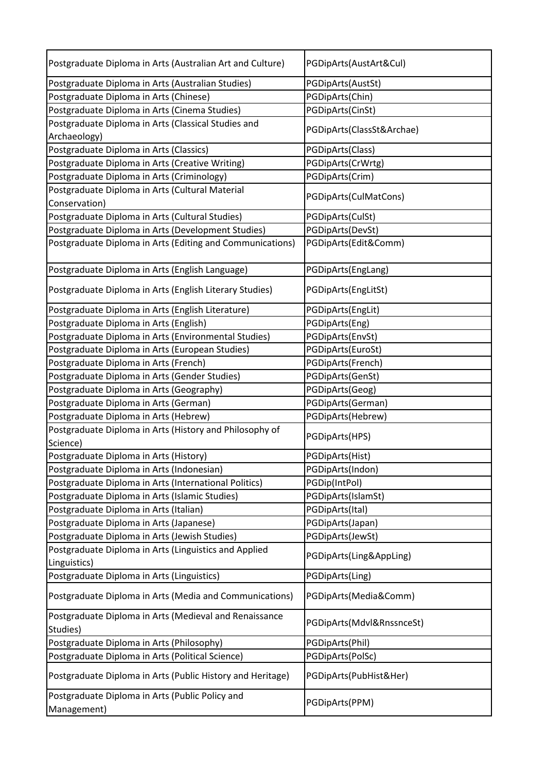| Postgraduate Diploma in Arts (Australian Art and Culture)             | PGDipArts(AustArt&Cul)    |
|-----------------------------------------------------------------------|---------------------------|
| Postgraduate Diploma in Arts (Australian Studies)                     | PGDipArts(AustSt)         |
| Postgraduate Diploma in Arts (Chinese)                                | PGDipArts(Chin)           |
| Postgraduate Diploma in Arts (Cinema Studies)                         | PGDipArts(CinSt)          |
| Postgraduate Diploma in Arts (Classical Studies and<br>Archaeology)   | PGDipArts(ClassSt&Archae) |
| Postgraduate Diploma in Arts (Classics)                               | PGDipArts(Class)          |
| Postgraduate Diploma in Arts (Creative Writing)                       | PGDipArts(CrWrtg)         |
| Postgraduate Diploma in Arts (Criminology)                            | PGDipArts(Crim)           |
| Postgraduate Diploma in Arts (Cultural Material                       |                           |
| Conservation)                                                         | PGDipArts(CulMatCons)     |
| Postgraduate Diploma in Arts (Cultural Studies)                       | PGDipArts(CulSt)          |
| Postgraduate Diploma in Arts (Development Studies)                    | PGDipArts(DevSt)          |
| Postgraduate Diploma in Arts (Editing and Communications)             | PGDipArts(Edit&Comm)      |
| Postgraduate Diploma in Arts (English Language)                       | PGDipArts(EngLang)        |
| Postgraduate Diploma in Arts (English Literary Studies)               | PGDipArts(EngLitSt)       |
| Postgraduate Diploma in Arts (English Literature)                     | PGDipArts(EngLit)         |
| Postgraduate Diploma in Arts (English)                                | PGDipArts(Eng)            |
| Postgraduate Diploma in Arts (Environmental Studies)                  | PGDipArts(EnvSt)          |
| Postgraduate Diploma in Arts (European Studies)                       | PGDipArts(EuroSt)         |
| Postgraduate Diploma in Arts (French)                                 | PGDipArts(French)         |
| Postgraduate Diploma in Arts (Gender Studies)                         | PGDipArts(GenSt)          |
| Postgraduate Diploma in Arts (Geography)                              | PGDipArts(Geog)           |
| Postgraduate Diploma in Arts (German)                                 | PGDipArts(German)         |
| Postgraduate Diploma in Arts (Hebrew)                                 | PGDipArts(Hebrew)         |
| Postgraduate Diploma in Arts (History and Philosophy of<br>Science)   | PGDipArts(HPS)            |
| Postgraduate Diploma in Arts (History)                                | PGDipArts(Hist)           |
| Postgraduate Diploma in Arts (Indonesian)                             | PGDipArts(Indon)          |
| Postgraduate Diploma in Arts (International Politics)                 | PGDip(IntPol)             |
| Postgraduate Diploma in Arts (Islamic Studies)                        | PGDipArts(IslamSt)        |
| Postgraduate Diploma in Arts (Italian)                                | PGDipArts(Ital)           |
| Postgraduate Diploma in Arts (Japanese)                               | PGDipArts(Japan)          |
| Postgraduate Diploma in Arts (Jewish Studies)                         | PGDipArts(JewSt)          |
| Postgraduate Diploma in Arts (Linguistics and Applied<br>Linguistics) | PGDipArts(Ling&AppLing)   |
| Postgraduate Diploma in Arts (Linguistics)                            | PGDipArts(Ling)           |
| Postgraduate Diploma in Arts (Media and Communications)               | PGDipArts(Media&Comm)     |
| Postgraduate Diploma in Arts (Medieval and Renaissance<br>Studies)    | PGDipArts(Mdvl&RnssnceSt) |
| Postgraduate Diploma in Arts (Philosophy)                             | PGDipArts(Phil)           |
| Postgraduate Diploma in Arts (Political Science)                      | PGDipArts(PolSc)          |
| Postgraduate Diploma in Arts (Public History and Heritage)            | PGDipArts(PubHist&Her)    |
| Postgraduate Diploma in Arts (Public Policy and<br>Management)        | PGDipArts(PPM)            |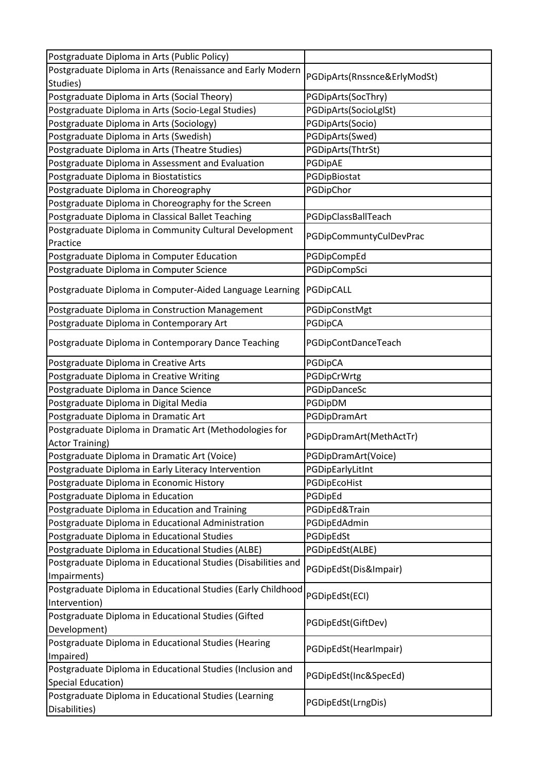| Postgraduate Diploma in Arts (Public Policy)                  |                              |
|---------------------------------------------------------------|------------------------------|
| Postgraduate Diploma in Arts (Renaissance and Early Modern    |                              |
| Studies)                                                      | PGDipArts(Rnssnce&ErlyModSt) |
| Postgraduate Diploma in Arts (Social Theory)                  | PGDipArts(SocThry)           |
| Postgraduate Diploma in Arts (Socio-Legal Studies)            | PGDipArts(SocioLglSt)        |
| Postgraduate Diploma in Arts (Sociology)                      | PGDipArts(Socio)             |
| Postgraduate Diploma in Arts (Swedish)                        | PGDipArts(Swed)              |
| Postgraduate Diploma in Arts (Theatre Studies)                | PGDipArts(ThtrSt)            |
| Postgraduate Diploma in Assessment and Evaluation             | PGDipAE                      |
| Postgraduate Diploma in Biostatistics                         | PGDipBiostat                 |
| Postgraduate Diploma in Choreography                          | PGDipChor                    |
| Postgraduate Diploma in Choreography for the Screen           |                              |
| Postgraduate Diploma in Classical Ballet Teaching             | PGDipClassBallTeach          |
| Postgraduate Diploma in Community Cultural Development        |                              |
| Practice                                                      | PGDipCommuntyCulDevPrac      |
| Postgraduate Diploma in Computer Education                    | PGDipCompEd                  |
| Postgraduate Diploma in Computer Science                      | PGDipCompSci                 |
| Postgraduate Diploma in Computer-Aided Language Learning      | PGDipCALL                    |
| Postgraduate Diploma in Construction Management               | PGDipConstMgt                |
| Postgraduate Diploma in Contemporary Art                      | PGDipCA                      |
| Postgraduate Diploma in Contemporary Dance Teaching           | PGDipContDanceTeach          |
| Postgraduate Diploma in Creative Arts                         | PGDipCA                      |
| Postgraduate Diploma in Creative Writing                      | PGDipCrWrtg                  |
| Postgraduate Diploma in Dance Science                         | PGDipDanceSc                 |
| Postgraduate Diploma in Digital Media                         | PGDipDM                      |
| Postgraduate Diploma in Dramatic Art                          | PGDipDramArt                 |
| Postgraduate Diploma in Dramatic Art (Methodologies for       |                              |
| <b>Actor Training)</b>                                        | PGDipDramArt(MethActTr)      |
| Postgraduate Diploma in Dramatic Art (Voice)                  | PGDipDramArt(Voice)          |
| Postgraduate Diploma in Early Literacy Intervention           | PGDipEarlyLitInt             |
| Postgraduate Diploma in Economic History                      | PGDipEcoHist                 |
| Postgraduate Diploma in Education                             | PGDipEd                      |
| Postgraduate Diploma in Education and Training                | PGDipEd&Train                |
| Postgraduate Diploma in Educational Administration            | PGDipEdAdmin                 |
| Postgraduate Diploma in Educational Studies                   | PGDipEdSt                    |
| Postgraduate Diploma in Educational Studies (ALBE)            | PGDipEdSt(ALBE)              |
| Postgraduate Diploma in Educational Studies (Disabilities and |                              |
| Impairments)                                                  | PGDipEdSt(Dis&Impair)        |
| Postgraduate Diploma in Educational Studies (Early Childhood  |                              |
| Intervention)                                                 | PGDipEdSt(ECI)               |
| Postgraduate Diploma in Educational Studies (Gifted           |                              |
| Development)                                                  | PGDipEdSt(GiftDev)           |
| Postgraduate Diploma in Educational Studies (Hearing          |                              |
| Impaired)                                                     | PGDipEdSt(HearImpair)        |
| Postgraduate Diploma in Educational Studies (Inclusion and    |                              |
| Special Education)                                            | PGDipEdSt(Inc&SpecEd)        |
| Postgraduate Diploma in Educational Studies (Learning         |                              |
| Disabilities)                                                 | PGDipEdSt(LrngDis)           |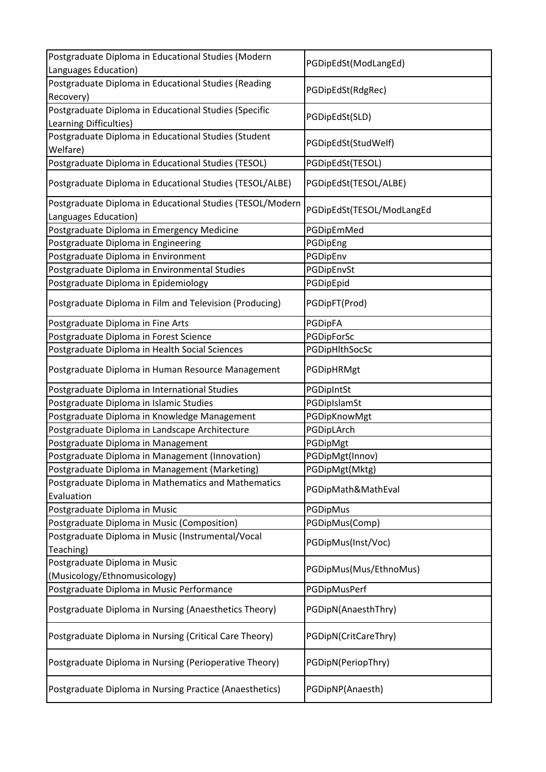| Postgraduate Diploma in Educational Studies (Modern               | PGDipEdSt(ModLangEd)      |
|-------------------------------------------------------------------|---------------------------|
| Languages Education)                                              |                           |
| Postgraduate Diploma in Educational Studies (Reading              | PGDipEdSt(RdgRec)         |
| Recovery)                                                         |                           |
| Postgraduate Diploma in Educational Studies (Specific             | PGDipEdSt(SLD)            |
| Learning Difficulties)                                            |                           |
| Postgraduate Diploma in Educational Studies (Student              | PGDipEdSt(StudWelf)       |
| Welfare)                                                          |                           |
| Postgraduate Diploma in Educational Studies (TESOL)               | PGDipEdSt(TESOL)          |
| Postgraduate Diploma in Educational Studies (TESOL/ALBE)          | PGDipEdSt(TESOL/ALBE)     |
| Postgraduate Diploma in Educational Studies (TESOL/Modern         | PGDipEdSt(TESOL/ModLangEd |
| Languages Education)                                              |                           |
| Postgraduate Diploma in Emergency Medicine                        | PGDipEmMed                |
| Postgraduate Diploma in Engineering                               | PGDipEng                  |
| Postgraduate Diploma in Environment                               | PGDipEnv                  |
| Postgraduate Diploma in Environmental Studies                     | PGDipEnvSt                |
| Postgraduate Diploma in Epidemiology                              | PGDipEpid                 |
| Postgraduate Diploma in Film and Television (Producing)           | PGDipFT(Prod)             |
| Postgraduate Diploma in Fine Arts                                 | PGDipFA                   |
| Postgraduate Diploma in Forest Science                            | PGDipForSc                |
| Postgraduate Diploma in Health Social Sciences                    | PGDipHlthSocSc            |
| Postgraduate Diploma in Human Resource Management                 | PGDipHRMgt                |
| Postgraduate Diploma in International Studies                     | PGDipIntSt                |
| Postgraduate Diploma in Islamic Studies                           | PGDipIslamSt              |
| Postgraduate Diploma in Knowledge Management                      | PGDipKnowMgt              |
| Postgraduate Diploma in Landscape Architecture                    | PGDipLArch                |
| Postgraduate Diploma in Management                                | PGDipMgt                  |
| Postgraduate Diploma in Management (Innovation)                   | PGDipMgt(Innov)           |
| Postgraduate Diploma in Management (Marketing)                    | PGDipMgt(Mktg)            |
| Postgraduate Diploma in Mathematics and Mathematics<br>Evaluation | PGDipMath&MathEval        |
| Postgraduate Diploma in Music                                     | PGDipMus                  |
| Postgraduate Diploma in Music (Composition)                       | PGDipMus(Comp)            |
| Postgraduate Diploma in Music (Instrumental/Vocal                 |                           |
| Teaching)                                                         | PGDipMus(Inst/Voc)        |
| Postgraduate Diploma in Music                                     |                           |
| (Musicology/Ethnomusicology)                                      | PGDipMus(Mus/EthnoMus)    |
| Postgraduate Diploma in Music Performance                         | PGDipMusPerf              |
|                                                                   |                           |
| Postgraduate Diploma in Nursing (Anaesthetics Theory)             | PGDipN(AnaesthThry)       |
| Postgraduate Diploma in Nursing (Critical Care Theory)            | PGDipN(CritCareThry)      |
| Postgraduate Diploma in Nursing (Perioperative Theory)            | PGDipN(PeriopThry)        |
| Postgraduate Diploma in Nursing Practice (Anaesthetics)           | PGDipNP(Anaesth)          |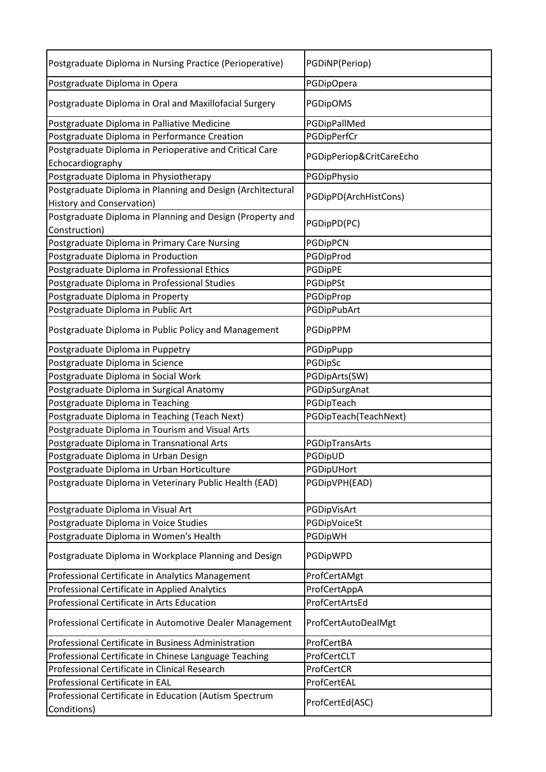| Postgraduate Diploma in Nursing Practice (Perioperative)                    | PGDiNP(Periop)           |
|-----------------------------------------------------------------------------|--------------------------|
| Postgraduate Diploma in Opera                                               | PGDipOpera               |
| Postgraduate Diploma in Oral and Maxillofacial Surgery                      | PGDipOMS                 |
| Postgraduate Diploma in Palliative Medicine                                 | PGDipPallMed             |
| Postgraduate Diploma in Performance Creation                                | PGDipPerfCr              |
| Postgraduate Diploma in Perioperative and Critical Care<br>Echocardiography | PGDipPeriop&CritCareEcho |
| Postgraduate Diploma in Physiotherapy                                       | PGDipPhysio              |
| Postgraduate Diploma in Planning and Design (Architectural                  |                          |
| <b>History and Conservation)</b>                                            | PGDipPD(ArchHistCons)    |
| Postgraduate Diploma in Planning and Design (Property and                   | PGDipPD(PC)              |
| Construction)                                                               |                          |
| Postgraduate Diploma in Primary Care Nursing                                | PGDipPCN                 |
| Postgraduate Diploma in Production                                          | PGDipProd                |
| Postgraduate Diploma in Professional Ethics                                 | PGDipPE                  |
| Postgraduate Diploma in Professional Studies                                | PGDipPSt                 |
| Postgraduate Diploma in Property                                            | PGDipProp                |
| Postgraduate Diploma in Public Art                                          | PGDipPubArt              |
| Postgraduate Diploma in Public Policy and Management                        | PGDipPPM                 |
| Postgraduate Diploma in Puppetry                                            | PGDipPupp                |
| Postgraduate Diploma in Science                                             | PGDipSc                  |
| Postgraduate Diploma in Social Work                                         | PGDipArts(SW)            |
| Postgraduate Diploma in Surgical Anatomy                                    | PGDipSurgAnat            |
| Postgraduate Diploma in Teaching                                            | PGDipTeach               |
| Postgraduate Diploma in Teaching (Teach Next)                               | PGDipTeach(TeachNext)    |
| Postgraduate Diploma in Tourism and Visual Arts                             |                          |
| Postgraduate Diploma in Transnational Arts                                  | PGDipTransArts           |
| Postgraduate Diploma in Urban Design                                        | PGDipUD                  |
| Postgraduate Diploma in Urban Horticulture                                  | PGDipUHort               |
| Postgraduate Diploma in Veterinary Public Health (EAD)                      | PGDipVPH(EAD)            |
| Postgraduate Diploma in Visual Art                                          | PGDipVisArt              |
| Postgraduate Diploma in Voice Studies                                       | PGDipVoiceSt             |
| Postgraduate Diploma in Women's Health                                      | PGDipWH                  |
| Postgraduate Diploma in Workplace Planning and Design                       | PGDipWPD                 |
| Professional Certificate in Analytics Management                            | ProfCertAMgt             |
| Professional Certificate in Applied Analytics                               | ProfCertAppA             |
| Professional Certificate in Arts Education                                  | ProfCertArtsEd           |
| Professional Certificate in Automotive Dealer Management                    | ProfCertAutoDealMgt      |
| Professional Certificate in Business Administration                         | ProfCertBA               |
| Professional Certificate in Chinese Language Teaching                       | ProfCertCLT              |
| Professional Certificate in Clinical Research                               | ProfCertCR               |
| Professional Certificate in EAL                                             | ProfCertEAL              |
| Professional Certificate in Education (Autism Spectrum                      |                          |
| Conditions)                                                                 | ProfCertEd(ASC)          |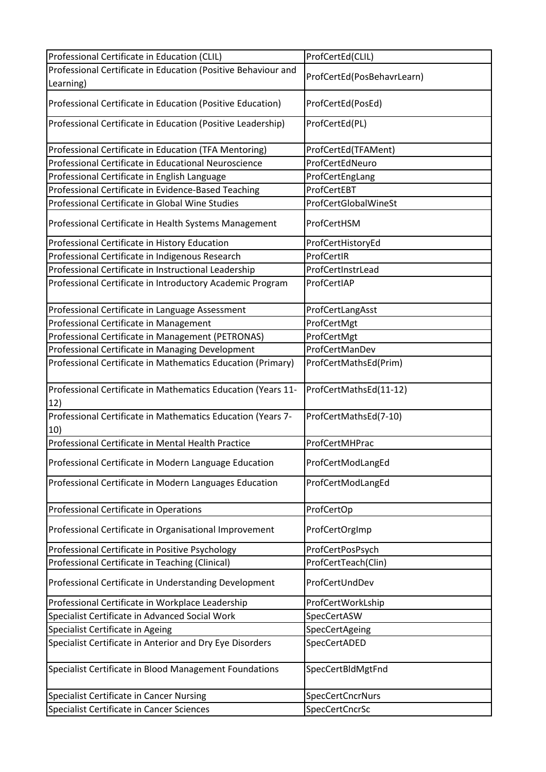| Professional Certificate in Education (CLIL)                        | ProfCertEd(CLIL)           |
|---------------------------------------------------------------------|----------------------------|
| Professional Certificate in Education (Positive Behaviour and       |                            |
| Learning)                                                           | ProfCertEd(PosBehavrLearn) |
| Professional Certificate in Education (Positive Education)          | ProfCertEd(PosEd)          |
| Professional Certificate in Education (Positive Leadership)         | ProfCertEd(PL)             |
| Professional Certificate in Education (TFA Mentoring)               | ProfCertEd(TFAMent)        |
| Professional Certificate in Educational Neuroscience                | ProfCertEdNeuro            |
| Professional Certificate in English Language                        | ProfCertEngLang            |
| Professional Certificate in Evidence-Based Teaching                 | ProfCertEBT                |
| Professional Certificate in Global Wine Studies                     | ProfCertGlobalWineSt       |
| Professional Certificate in Health Systems Management               | ProfCertHSM                |
| Professional Certificate in History Education                       | ProfCertHistoryEd          |
| Professional Certificate in Indigenous Research                     | ProfCertIR                 |
| Professional Certificate in Instructional Leadership                | ProfCertInstrLead          |
| Professional Certificate in Introductory Academic Program           | ProfCertIAP                |
| Professional Certificate in Language Assessment                     | ProfCertLangAsst           |
| Professional Certificate in Management                              | ProfCertMgt                |
| Professional Certificate in Management (PETRONAS)                   | ProfCertMgt                |
| Professional Certificate in Managing Development                    | ProfCertManDev             |
| Professional Certificate in Mathematics Education (Primary)         | ProfCertMathsEd(Prim)      |
|                                                                     |                            |
| Professional Certificate in Mathematics Education (Years 11-<br>12) | ProfCertMathsEd(11-12)     |
| Professional Certificate in Mathematics Education (Years 7-<br>10)  | ProfCertMathsEd(7-10)      |
| Professional Certificate in Mental Health Practice                  | ProfCertMHPrac             |
|                                                                     |                            |
| Professional Certificate in Modern Language Education               | ProfCertModLangEd          |
| Professional Certificate in Modern Languages Education              | ProfCertModLangEd          |
| Professional Certificate in Operations                              | ProfCertOp                 |
| Professional Certificate in Organisational Improvement              | ProfCertOrgImp             |
| Professional Certificate in Positive Psychology                     | ProfCertPosPsych           |
| Professional Certificate in Teaching (Clinical)                     | ProfCertTeach(Clin)        |
| Professional Certificate in Understanding Development               | ProfCertUndDev             |
| Professional Certificate in Workplace Leadership                    | ProfCertWorkLship          |
| Specialist Certificate in Advanced Social Work                      | SpecCertASW                |
| Specialist Certificate in Ageing                                    | SpecCertAgeing             |
| Specialist Certificate in Anterior and Dry Eye Disorders            | SpecCertADED               |
| Specialist Certificate in Blood Management Foundations              | SpecCertBldMgtFnd          |
| Specialist Certificate in Cancer Nursing                            | SpecCertCncrNurs           |
| Specialist Certificate in Cancer Sciences                           | SpecCertCncrSc             |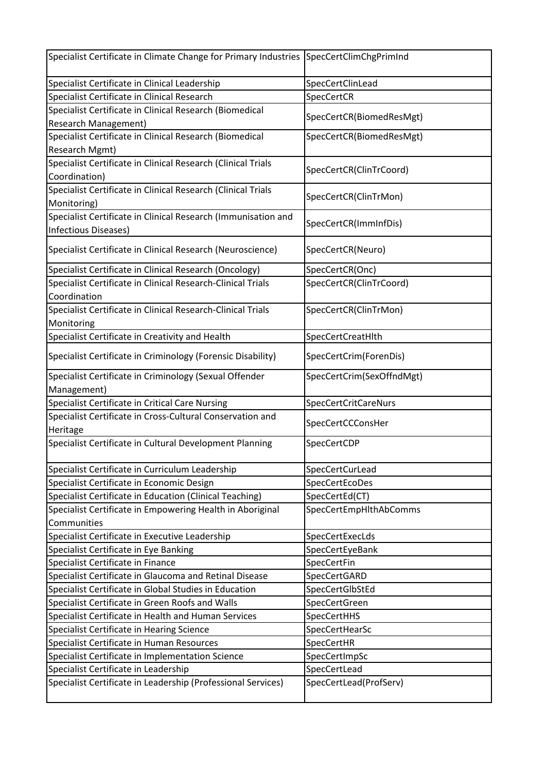| Specialist Certificate in Climate Change for Primary Industries SpecCertClimChgPrimInd |                           |
|----------------------------------------------------------------------------------------|---------------------------|
| Specialist Certificate in Clinical Leadership                                          | SpecCertClinLead          |
| Specialist Certificate in Clinical Research                                            | SpecCertCR                |
| Specialist Certificate in Clinical Research (Biomedical<br><b>Research Management)</b> | SpecCertCR(BiomedResMgt)  |
| Specialist Certificate in Clinical Research (Biomedical                                | SpecCertCR(BiomedResMgt)  |
| Research Mgmt)                                                                         |                           |
| Specialist Certificate in Clinical Research (Clinical Trials                           |                           |
| Coordination)                                                                          | SpecCertCR(ClinTrCoord)   |
| Specialist Certificate in Clinical Research (Clinical Trials                           |                           |
| Monitoring)                                                                            | SpecCertCR(ClinTrMon)     |
| Specialist Certificate in Clinical Research (Immunisation and                          |                           |
| <b>Infectious Diseases)</b>                                                            | SpecCertCR(ImmInfDis)     |
| Specialist Certificate in Clinical Research (Neuroscience)                             | SpecCertCR(Neuro)         |
| Specialist Certificate in Clinical Research (Oncology)                                 | SpecCertCR(Onc)           |
| Specialist Certificate in Clinical Research-Clinical Trials                            | SpecCertCR(ClinTrCoord)   |
| Coordination                                                                           |                           |
| Specialist Certificate in Clinical Research-Clinical Trials                            | SpecCertCR(ClinTrMon)     |
| Monitoring                                                                             |                           |
| Specialist Certificate in Creativity and Health                                        | SpecCertCreatHlth         |
| Specialist Certificate in Criminology (Forensic Disability)                            | SpecCertCrim(ForenDis)    |
| Specialist Certificate in Criminology (Sexual Offender                                 | SpecCertCrim(SexOffndMgt) |
| Management)                                                                            |                           |
| Specialist Certificate in Critical Care Nursing                                        | SpecCertCritCareNurs      |
| Specialist Certificate in Cross-Cultural Conservation and                              | SpecCertCCConsHer         |
| Heritage                                                                               |                           |
| Specialist Certificate in Cultural Development Planning                                | SpecCertCDP               |
| Specialist Certificate in Curriculum Leadership                                        | SpecCertCurLead           |
| Specialist Certificate in Economic Design                                              | SpecCertEcoDes            |
| Specialist Certificate in Education (Clinical Teaching)                                | SpecCertEd(CT)            |
| Specialist Certificate in Empowering Health in Aboriginal                              | SpecCertEmpHlthAbComms    |
| Communities                                                                            |                           |
| Specialist Certificate in Executive Leadership                                         | SpecCertExecLds           |
| Specialist Certificate in Eye Banking                                                  | SpecCertEyeBank           |
| Specialist Certificate in Finance                                                      | SpecCertFin               |
| Specialist Certificate in Glaucoma and Retinal Disease                                 | SpecCertGARD              |
| Specialist Certificate in Global Studies in Education                                  | SpecCertGlbStEd           |
| Specialist Certificate in Green Roofs and Walls                                        | SpecCertGreen             |
| Specialist Certificate in Health and Human Services                                    | <b>SpecCertHHS</b>        |
| Specialist Certificate in Hearing Science                                              | SpecCertHearSc            |
| Specialist Certificate in Human Resources                                              | SpecCertHR                |
| Specialist Certificate in Implementation Science                                       | SpecCertImpSc             |
| Specialist Certificate in Leadership                                                   | SpecCertLead              |
| Specialist Certificate in Leadership (Professional Services)                           | SpecCertLead(ProfServ)    |
|                                                                                        |                           |